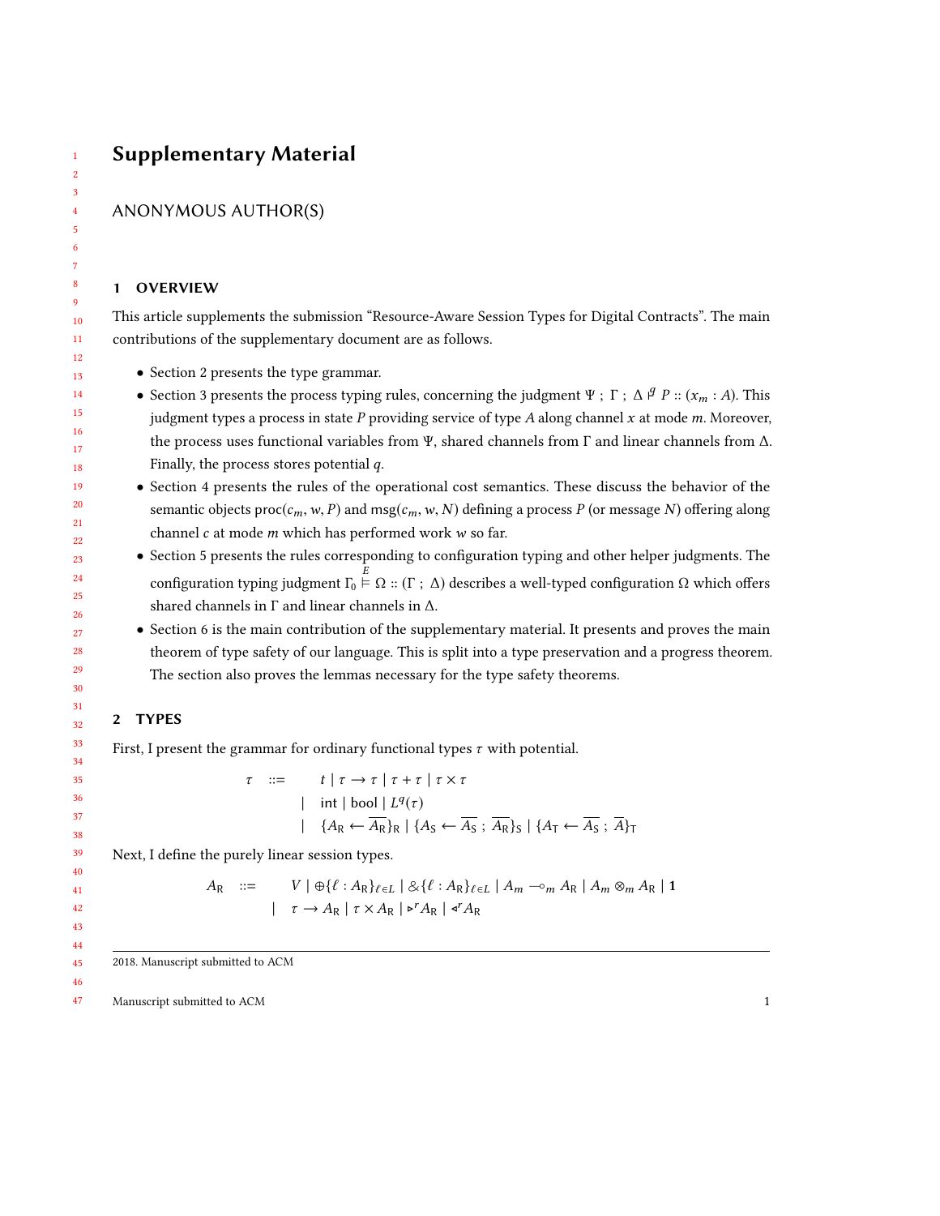# Supplementary Material

## ANONYMOUS AUTHOR(S)

### 1 OVERVIEW

This article supplements the submission "Resource-Aware Session Types for Digital Contracts". The main contributions of the supplementary document are as follows.

- Section [2](#page-0-0) presents the type grammar.
- Section [3](#page-2-0) presents the process typing rules, concerning the judgment Ψ ; Γ ;  $\Delta \nvert P :: (x_m : A)$ . This judgment types a process in state  $P$  providing service of type  $A$  along channel  $x$  at mode  $m$ . Moreover, the process uses functional variables from Ψ, shared channels from Γ and linear channels from ∆. Finally, the process stores potential  $q$ .
- Section [4](#page-4-0) presents the rules of the operational cost semantics. These discuss the behavior of the semantic objects proc( $c_m$ , w, P) and msg( $c_m$ , w, N) defining a process P (or message N) offering along channel  $c$  at mode  $m$  which has performed work  $w$  so far.
- Section [5](#page-7-0) presents the rules corresponding to configuration typing and other helper judgments. The configuration typing judgment  $Γ_0 \nightharpoonup Ω :: (Γ ; Δ)$  describes a well-typed configuration  $Ω$  which offers shared channels in Γ and linear channels in ∆.
- Section [6](#page-8-0) is the main contribution of the supplementary material. It presents and proves the main theorem of type safety of our language. This is split into a type preservation and a progress theorem. The section also proves the lemmas necessary for the type safety theorems.

## <span id="page-0-0"></span>2 TYPES

First, I present the grammar for ordinary functional types  $\tau$  with potential.

$$
\tau ::= t | \tau \to \tau | \tau + \tau | \tau \times \tau
$$
  
\n
$$
| \text{int} | \text{bool} | L^{q}(\tau)
$$
  
\n
$$
| \{A_{R} \leftarrow \overline{A_{R}}\}_{R} | \{A_{S} \leftarrow \overline{A_{S}}; \overline{A_{R}}\}_{S} | \{A_{T} \leftarrow \overline{A_{S}}; \overline{A}\}_{T}
$$

Next, I define the purely linear session types.

$$
A_{R} ::= V | \oplus \{ \ell : A_{R} \}_{\ell \in L} | \otimes \{ \ell : A_{R} \}_{\ell \in L} | A_{m} \sim_{m} A_{R} | A_{m} \otimes_{m} A_{R} | 1
$$
  

$$
| \tau \rightarrow A_{R} | \tau \times A_{R} | \triangleright^{r} A_{R} | \triangle^{r} A_{R}
$$

2018. Manuscript submitted to ACM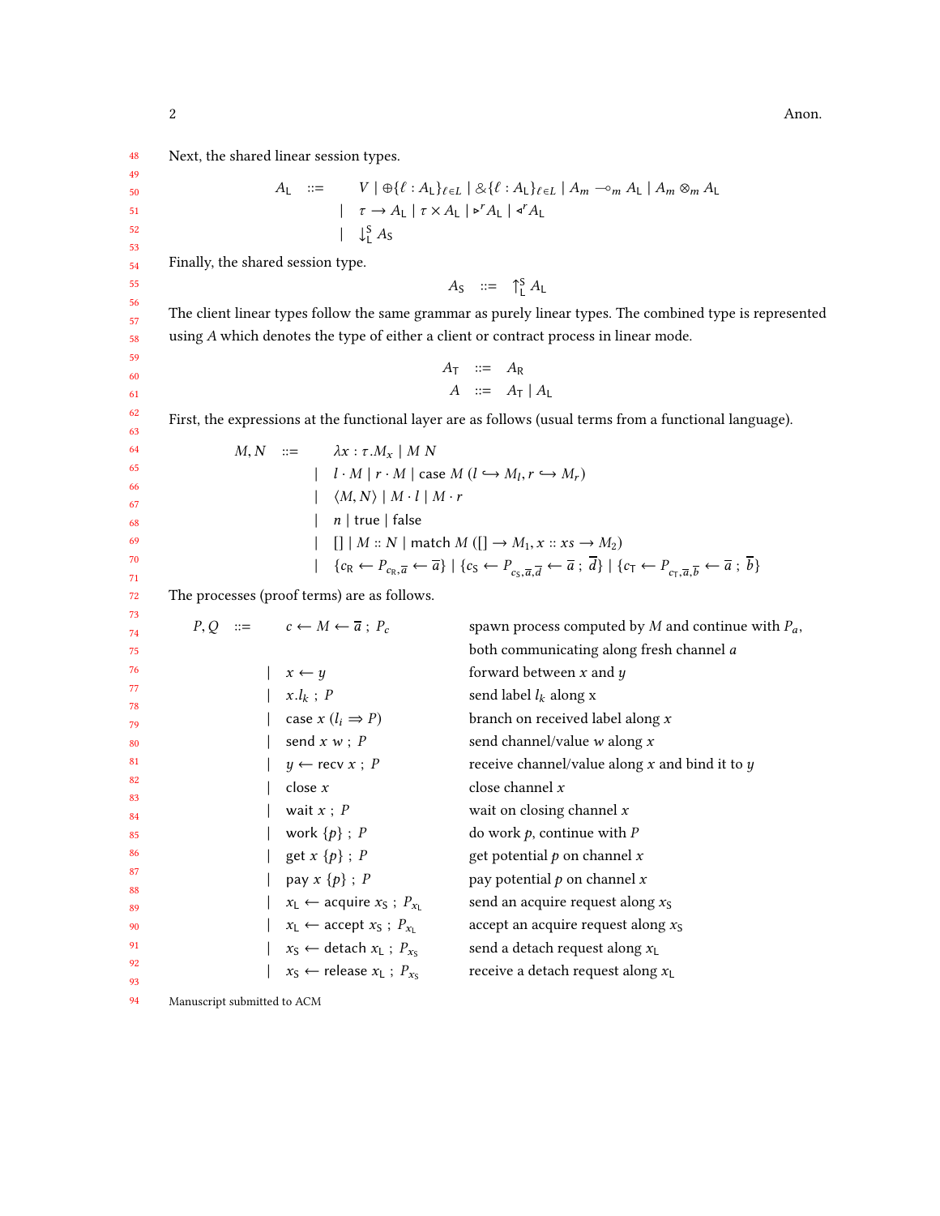48 Next, the shared linear session types.

$$
A_{\mathsf{L}} \quad ::= \quad V \mid \bigoplus \{ \ell : A_{\mathsf{L}} \}_{\ell \in \mathsf{L}} \mid \bigotimes \{ \ell : A_{\mathsf{L}} \}_{\ell \in \mathsf{L}} \mid A_{m} \sim_{m} A_{\mathsf{L}} \mid A_{m} \otimes_{m} A_{\mathsf{L}}
$$
\n
$$
\mid \quad \tau \to A_{\mathsf{L}} \mid \tau \times A_{\mathsf{L}} \mid \mathbf{I}^{r} A_{\mathsf{L}} \mid \mathbf{I}^{r} A_{\mathsf{L}}
$$
\n
$$
\mid \quad \downarrow_{\mathsf{L}}^{S} A_{\mathsf{S}}
$$

Finally, the shared session type.

$$
A_S \quad ::= \quad \uparrow_L^S A_L
$$

 $A_{\text{S}}$  ::=  $\uparrow_{\text{L}}^{\text{S}} A_{\text{L}}$ <br>The client linear types follow the same grammar as purely linear types. The combined type is represented using A which denotes the type of either a client or contract process in linear mode.

$$
\begin{array}{rcl}\nA_T & ::= & A_R \\
A & ::= & A_T \mid A_L\n\end{array}
$$

First, the expressions at the functional layer are as follows (usual terms from a functional language).

|  |  | $M, N \ ::= \lambda x : \tau.M_x \mid M N$                                                                                                                                                                                                                                       |
|--|--|----------------------------------------------------------------------------------------------------------------------------------------------------------------------------------------------------------------------------------------------------------------------------------|
|  |  | $l \cdot M \mid r \cdot M$ case $M (l \hookrightarrow M_l, r \hookrightarrow M_r)$                                                                                                                                                                                               |
|  |  | $\vert$ $\langle M, N \rangle \vert M \cdot l \vert M \cdot r$                                                                                                                                                                                                                   |
|  |  | $\vert$ n   true   false                                                                                                                                                                                                                                                         |
|  |  | $\begin{bmatrix} \begin{bmatrix} \end{bmatrix} & M :: N \end{bmatrix}$ match $M([\begin{bmatrix} \end{bmatrix} \rightarrow M_1, x :: xs \rightarrow M_2)$                                                                                                                        |
|  |  | $\left[ \{c_R \leftarrow P_{c_R, \overline{a}} \leftarrow \overline{a} \} \mid \{c_S \leftarrow P_{c_S, \overline{a}, \overline{d}} \leftarrow \overline{a} \; ; \; d \} \mid \{c_T \leftarrow P_{c_T, \overline{a}, \overline{b}} \leftarrow \overline{a} \; ; \; b \} \right]$ |
|  |  |                                                                                                                                                                                                                                                                                  |

72 The processes (proof terms) are as follows.

| 73       |  |                                                             |                                                       |
|----------|--|-------------------------------------------------------------|-------------------------------------------------------|
| 74       |  | $P, Q ::=$ $c \leftarrow M \leftarrow \overline{a}$ ; $P_c$ | spawn process computed by M and continue with $P_a$ , |
| 75       |  |                                                             | both communicating along fresh channel a              |
| 76       |  | $x \leftarrow y$                                            | forward between $x$ and $y$                           |
| 77       |  | $x.l_k$ ; P                                                 | send label $l_k$ along x                              |
| 78<br>79 |  | case $x$ $(l_i \Rightarrow P)$                              | branch on received label along $x$                    |
| 80       |  | send $x w$ ; $P$                                            | send channel/value $w$ along $x$                      |
| 81       |  | $y \leftarrow$ recv $x : P$                                 | receive channel/value along $x$ and bind it to $y$    |
| 82       |  | close $x$                                                   | close channel $x$                                     |
| 83<br>84 |  | wait $x$ ; $P$                                              | wait on closing channel $x$                           |
| 85       |  | work $\{p\}$ ; P                                            | do work $p$ , continue with $P$                       |
| 86       |  | get $x \{p\}$ ; P                                           | get potential $p$ on channel $x$                      |
| 87       |  | pay $x \{p\}$ ; P                                           | pay potential $p$ on channel $x$                      |
| 88       |  |                                                             |                                                       |
| 89       |  | $x_L \leftarrow$ acquire $x_S$ ; $P_{x_L}$                  | send an acquire request along $x_S$                   |
| 90       |  | $x_L \leftarrow$ accept $x_S$ ; $P_{x_L}$                   | accept an acquire request along $xS$                  |
| 91       |  | $x_S \leftarrow$ detach $x_L$ ; $P_{x_S}$                   | send a detach request along $x_L$                     |
| 92       |  | $x_S \leftarrow$ release $x_L$ ; $P_{x_S}$                  | receive a detach request along $x_L$                  |
| 93       |  |                                                             |                                                       |
|          |  |                                                             |                                                       |

94 Manuscript submitted to ACM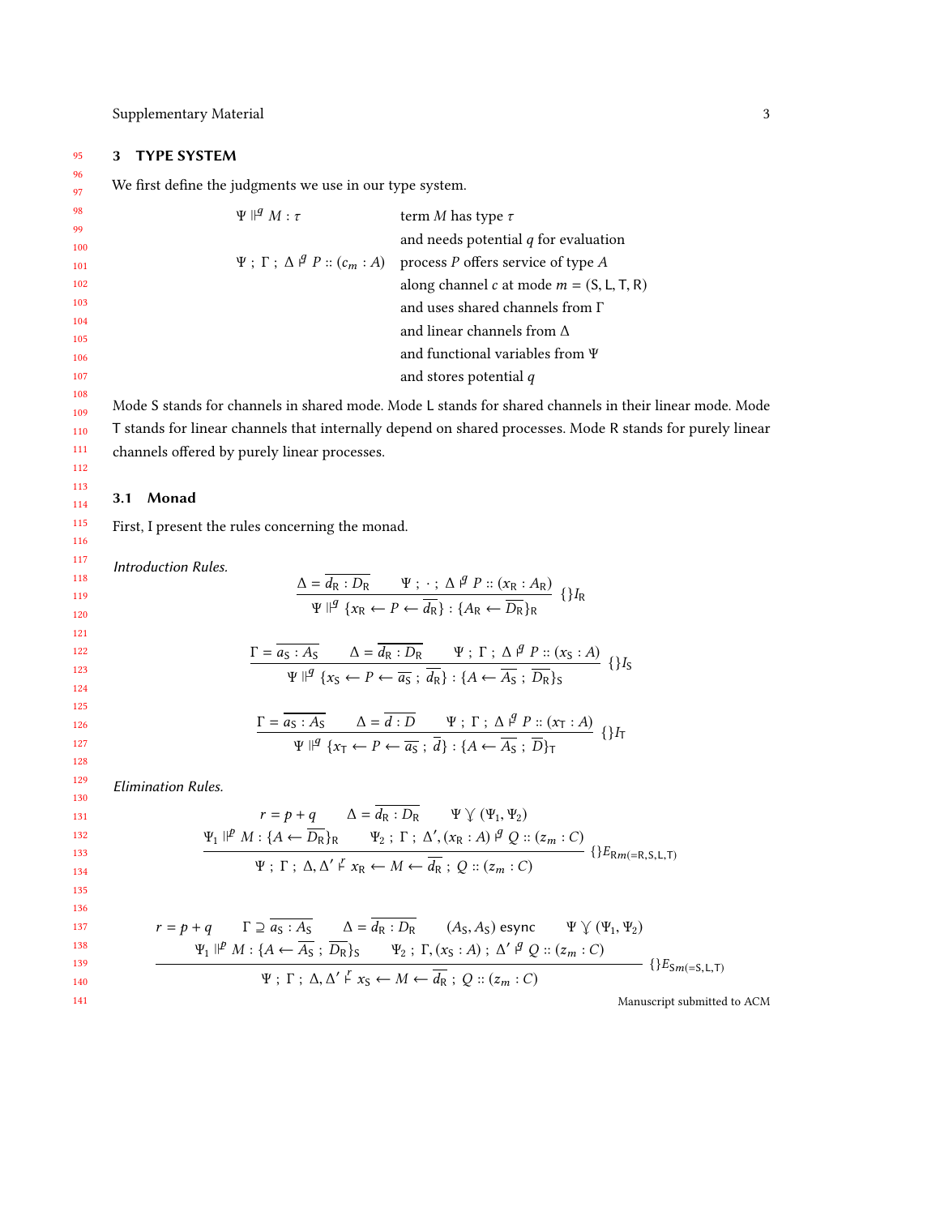## <span id="page-2-0"></span>3 TYPE SYSTEM

We first define the judgments we use in our type system.

| $\Psi\ $ <sup><i>g</i></sup> $M:\tau$ | term M has type $\tau$                                                                    |
|---------------------------------------|-------------------------------------------------------------------------------------------|
|                                       | and needs potential $q$ for evaluation                                                    |
|                                       | $\Psi$ ; $\Gamma$ ; $\Delta \nvert^g P$ :: $(c_m : A)$ process P offers service of type A |
|                                       | along channel c at mode $m = (S, L, T, R)$                                                |
|                                       | and uses shared channels from $\Gamma$                                                    |
|                                       | and linear channels from $\Lambda$                                                        |
|                                       | and functional variables from $\Psi$                                                      |
|                                       | and stores potential $q$                                                                  |
|                                       |                                                                                           |

Mode S stands for channels in shared mode. Mode L stands for shared channels in their linear mode. Mode T stands for linear channels that internally depend on shared processes. Mode R stands for purely linear channels offered by purely linear processes.

#### 3.1 Monad

First, I present the rules concerning the monad.

Introduction Rules.

$$
\frac{\Delta = \overline{d_{R} : D_{R}} \qquad \Psi ; \cdot ; \Delta \nvert^{g} P :: (x_{R} : A_{R})}{\Psi \nvert^{g} \{x_{R} \leftarrow P \leftarrow \overline{d_{R}}\} : \{A_{R} \leftarrow \overline{D_{R}}\}_{R}} \{H_{R}
$$

$$
\frac{\Gamma = \overline{a_S : A_S} \qquad \Delta = \overline{d_R : D_R} \qquad \Psi ; \Gamma ; \Delta \nsubseteq P :: (x_S : A)
$$
  
 
$$
\Psi \nparallel^q \{x_S \leftarrow P \leftarrow \overline{a_S} ; \overline{d_R} \} : \{A \leftarrow \overline{A_S} ; \overline{D_R}\}_S \qquad \{\}I_S
$$

$$
\frac{\Gamma = \overline{a_S : A_S} \qquad \Delta = \overline{d : D} \qquad \Psi ; \Gamma ; \Delta \nsubseteq P :: (x_T : A) \n\Psi \nparallel^q \{x_T \leftarrow P \leftarrow \overline{a_S} ; \overline{d}\} : \{A \leftarrow \overline{A_S} ; \overline{D}\}_T \qquad \{\}I_T
$$

Elimination Rules.

$$
r = p + q \qquad \Delta = \overline{d_{\mathsf{R}} : D_{\mathsf{R}}} \qquad \Psi \vee (\Psi_1, \Psi_2)
$$
  

$$
\Psi_1 \parallel^p M : \{A \leftarrow \overline{D_{\mathsf{R}}}\}_\mathsf{R} \qquad \Psi_2 : \Gamma : \Delta', (x_\mathsf{R} : A) \parallel^q Q :: (z_m : C)
$$
  

$$
\Psi : \Gamma : \Delta, \Delta' \vdash x_\mathsf{R} \leftarrow M \leftarrow \overline{d_{\mathsf{R}}}; Q :: (z_m : C)
$$
 {} 
$$
\}E_{\mathsf{R}m(= \mathsf{R}, \mathsf{S}, \mathsf{L}, \mathsf{T})}
$$

134 135 136

$$
r = p + q \qquad \Gamma \supseteq \overline{a_S : A_S} \qquad \Delta = \overline{d_R : D_R} \qquad (A_S, A_S) \text{ esync} \qquad \Psi \vee (\Psi_1, \Psi_2)
$$
  

$$
\Psi_1 \parallel^p M : \{A \leftarrow \overline{A_S} : \overline{D_R}\}_S \qquad \Psi_2 : \Gamma, (x_S : A) : \Delta' \parallel^q Q :: (z_m : C)
$$
  

$$
\Psi : \Gamma : \Delta, \Delta' \vdash x_S \leftarrow M \leftarrow \overline{d_R} : Q :: (z_m : C)
$$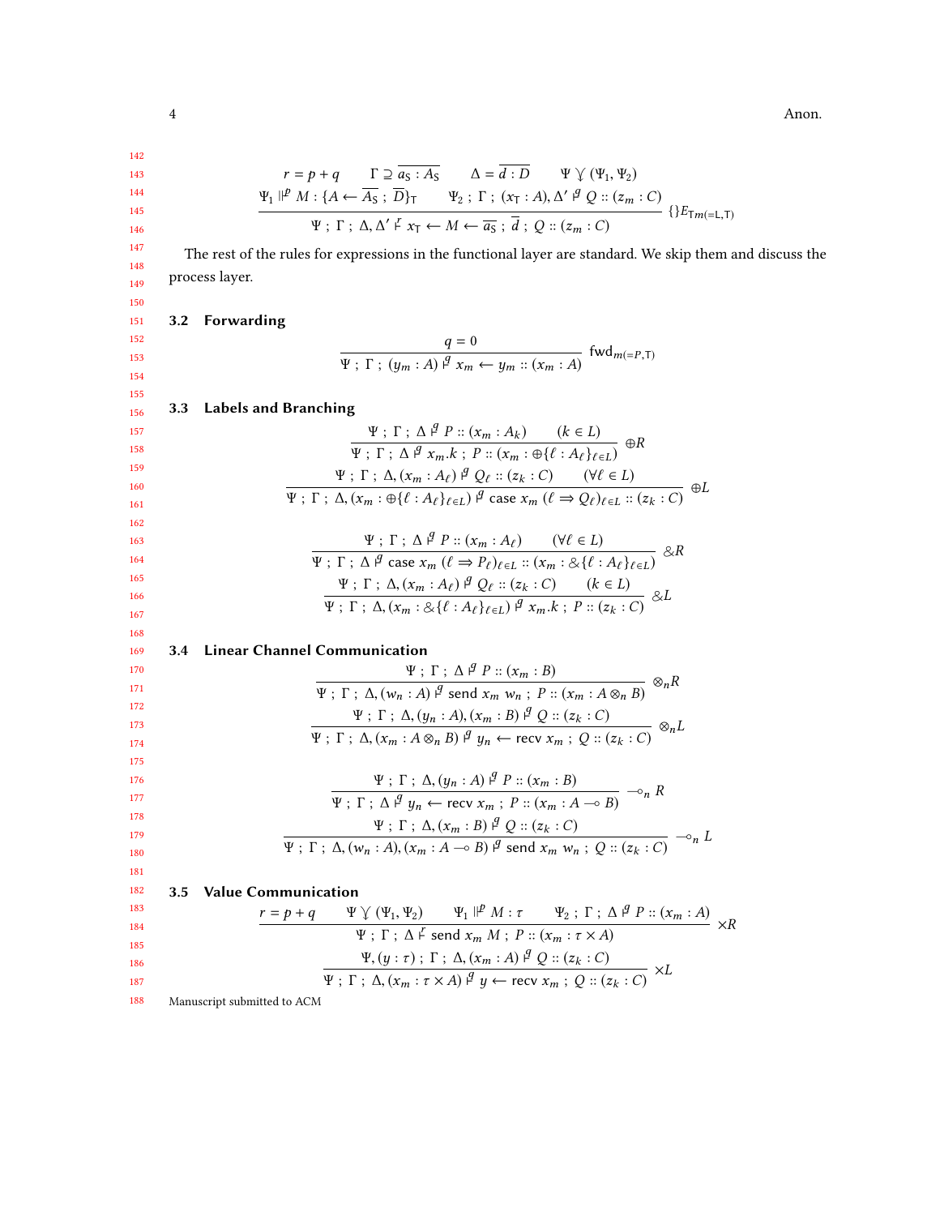$$
^{144}
$$

145 146

147 148 149

 $\Psi$ ;  $\Gamma$ ;  $\Delta$ ,  $\Delta'$   $\stackrel{F}{\leftarrow}$   $x_{\overline{1}} \leftarrow M \leftarrow \overline{a_S}$ ;  $\overline{d}$ ;  $Q$  ::  $(z_m : C)$  {}E<sub>Tm(=L,T)</sub> The rest of the rules for expressions in the functional layer are standard. We skip them and discuss the process layer.

 $r = p + q$   $\Gamma \supseteq \overline{a_S : A_S}$   $\Delta = \overline{d : D}$   $\Psi \vee (\Psi_1, \Psi_2)$  $\Psi_1 \Vdash^p M : \{ A \leftarrow \overline{A_S} ; \overline{D} \}_{\overline{1}} \qquad \Psi_2 ; \Gamma ; (x_{\overline{1}} : A), \Delta' \Vdash^q Q :: (z_m : C)$ 

150 151 152

153 154 155

168

181 182

$$
\frac{q=0}{\Psi \; ; \; \Gamma \; ; \; (y_m:A) \; \mathop{\not}\limits^q x_m \leftarrow y_m :: (x_m:A)} \; \mathop{\text{fwd}}\nolimits_{m(=P,T)}
$$

| 156 |  | 3.3 Labels and Branching |  |
|-----|--|--------------------------|--|
|     |  |                          |  |

3.2 Forwarding

| 157 | $\frac{\Psi~;~\Gamma~;~\Delta~\mathcal{I}~P~::~(x_m:A_k)~~(k\in L)}{\Psi~;~\Gamma~;~\Delta~\mathcal{I}~x_m.k~;~P::~(x_m:\oplus\{\ell:A_\ell\}_{\ell\in L})}~\oplus R$                                                                                                                                                                                                                                   |
|-----|---------------------------------------------------------------------------------------------------------------------------------------------------------------------------------------------------------------------------------------------------------------------------------------------------------------------------------------------------------------------------------------------------------|
| 158 |                                                                                                                                                                                                                                                                                                                                                                                                         |
| 159 | $\Psi$ ; $\Gamma$ ; $\Delta$ , $(x_m : A_\ell)$ $\varphi$ $Q_\ell :: (z_k : C)$ $(\forall \ell \in L)$                                                                                                                                                                                                                                                                                                  |
| 160 | $\oplus L$                                                                                                                                                                                                                                                                                                                                                                                              |
| 161 | $\Psi$ ; $\Gamma$ ; $\Delta$ , $(x_m : \bigoplus \{\ell : A_{\ell}\}_{\ell \in L})$ $\bigoplus$ case $x_m$ $(\ell \Rightarrow Q_{\ell})_{\ell \in L}$ : $(z_k : C)$                                                                                                                                                                                                                                     |
| 162 |                                                                                                                                                                                                                                                                                                                                                                                                         |
| 163 | $\frac{\Psi \; ; \; \Gamma \; ; \; \Delta \; \mathrel{\mathop{\not}P} \; \mathrel{\mathop{\not}=}\; (x_m : A_\ell) \qquad (\forall \ell \in L)}{\Psi \; ; \; \Gamma \; ; \; \Delta \; \mathrel{\mathop{\not}P} \; \text{case} \; x_m \; (\ell \Rightarrow P_\ell)_{\ell \in L} \; \mathrel{\mathop{\not=}\;} (x_m : \& \{\ell \; : A_\ell\}_{\ell \in L})} \; \mathrel{\mathop{\not\!\!\!\! \times}} R$ |
| 164 |                                                                                                                                                                                                                                                                                                                                                                                                         |
| 165 | $\frac{\Psi~;~\Gamma~;~\Delta,(x_m:A_\ell)~\mathcal{Y}~Q_\ell::(z_k:C)\qquad (k\in L)}{\Psi~;~\Gamma~;~\Delta,(x_m:\mathcal{Q}\{\ell:A_\ell\}_{\ell\in L})~\mathcal{Y}~x_m.k~;~P::(z_k:C)}~\mathcal{Z}L$                                                                                                                                                                                                |
| 166 |                                                                                                                                                                                                                                                                                                                                                                                                         |
| 167 |                                                                                                                                                                                                                                                                                                                                                                                                         |

#### 169 3.4 Linear Channel Communication

| 170 | $\Psi$ ; $\Gamma$ ; $\Delta$ $\beta$ $P$ :: $(x_m : B)$                                                                           |
|-----|-----------------------------------------------------------------------------------------------------------------------------------|
| 171 | $\otimes_n R$<br>$\Psi$ ; $\Gamma$ ; $\Delta$ , $(w_n : A)$ $\beta$ send $x_m w_n$ ; $P$ :: $(x_m : A \otimes_n B)$               |
| 172 | $\Psi$ ; $\Gamma$ ; $\Delta$ , $(y_n : A)$ , $(x_m : B) \nightharpoonup^q Q :: (z_k : C)$                                         |
| 173 | $\otimes_n L$                                                                                                                     |
| 174 | $\Psi$ ; $\Gamma$ ; $\Delta$ , $(x_m : A \otimes_n B)$ $\stackrel{d}{\rightarrow} y_n \leftarrow$ recv $x_m$ ; $Q$ :: $(z_k : C)$ |
| 175 |                                                                                                                                   |
| 176 | $\Psi$ ; $\Gamma$ ; $\Delta$ , $(\psi_n : A)$ $\stackrel{d}{\sim} P :: (x_m : B)$                                                 |
| 177 | $\multimap_n R$<br>$\Psi : \Gamma : \Delta \nightharpoonup^g u_n \leftarrow \text{recv } x_m : P :: (x_m : A \multimap B)$        |
| 178 | $\Psi$ ; $\Gamma$ ; $\Delta$ , $(x_m : B)$ $\varphi$ $Q$ :: $(z_k : C)$                                                           |
| 179 | $\mathbin{{\multimap}}_n L$                                                                                                       |
| 180 | $\Psi : \Gamma : \Delta, (w_n : A), (x_m : A \multimap B) \nvert^g$ send $x_m w_n : Q :: (z_k : C)$                               |

3.5 Value Communication

183 184 185 186 187 <sup>r</sup> <sup>=</sup> <sup>p</sup> <sup>+</sup> <sup>q</sup> <sup>Ψ</sup> . (Ψ1, <sup>Ψ</sup>2) <sup>Ψ</sup><sup>1</sup> <sup>⊩</sup> <sup>p</sup> <sup>M</sup> : <sup>τ</sup> <sup>Ψ</sup><sup>2</sup> ; <sup>Γ</sup> ; <sup>∆</sup> <sup>⊢</sup> q <sup>P</sup> :: (xm : <sup>A</sup>) Ψ ; Γ ; ∆ <sup>⊢</sup> r send <sup>x</sup>m <sup>M</sup> ; <sup>P</sup> :: (xm : <sup>τ</sup> <sup>×</sup> <sup>A</sup>) ×R <sup>Ψ</sup>, (<sup>y</sup> : <sup>τ</sup> ) ; <sup>Γ</sup> ; <sup>∆</sup>, (x<sup>m</sup> : <sup>A</sup>) ⊢<sup>q</sup> <sup>Q</sup> :: (zk : <sup>C</sup>) <sup>Ψ</sup> ; <sup>Γ</sup> ; <sup>∆</sup>, (xm : <sup>τ</sup> <sup>×</sup> <sup>A</sup>) ⊢<sup>q</sup> <sup>y</sup> <sup>←</sup> recv <sup>x</sup><sup>m</sup> ; <sup>Q</sup> :: (zk : <sup>C</sup>) ×L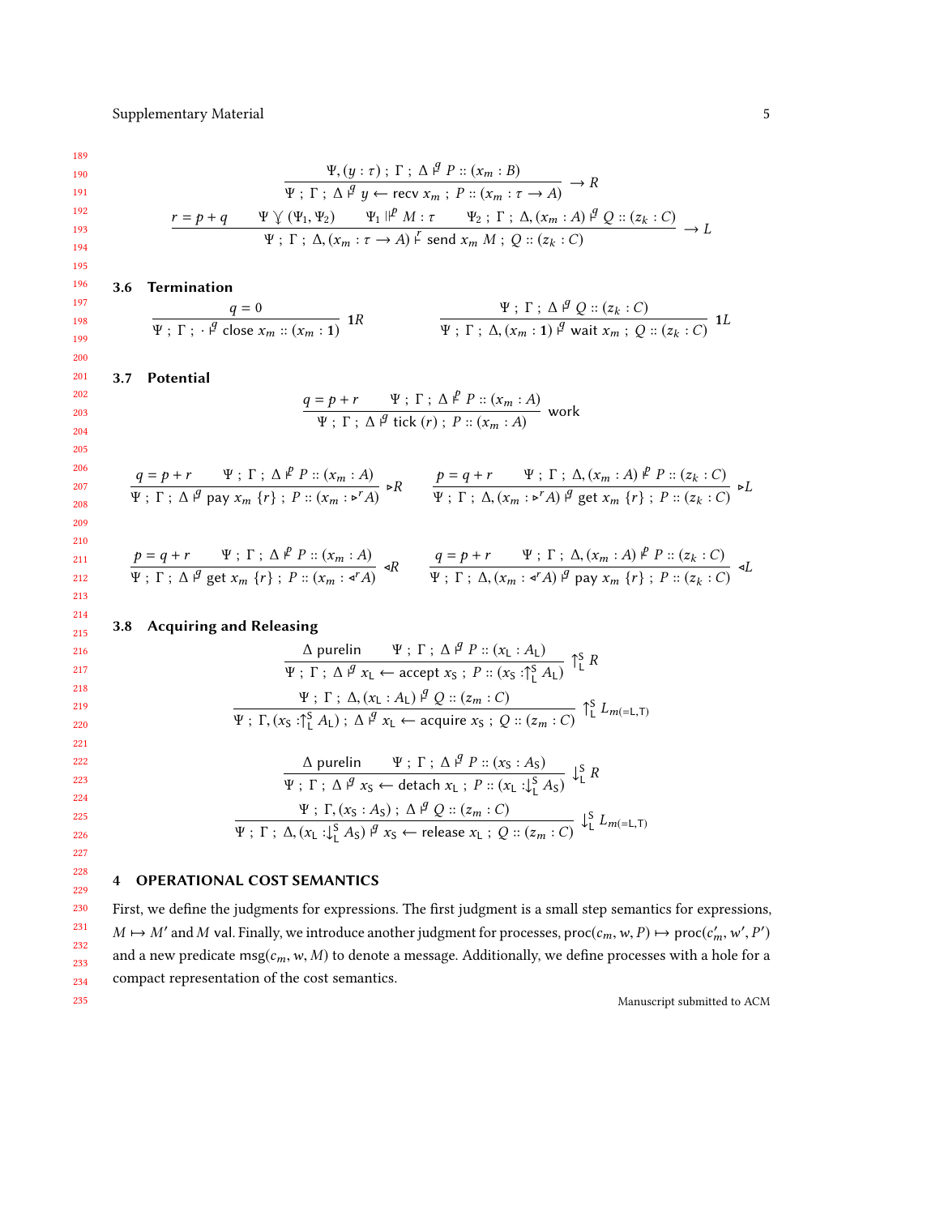$$
\frac{191}{192}
$$

$$
\frac{\Psi, (y:\tau) \; ; \; \Gamma \; ; \; \Delta \; \mathcal{J} \; P :: (x_m : B)}{\Psi \; ; \; \Gamma \; ; \; \Delta \; \mathcal{J} \; y \leftarrow \text{recv } x_m \; ; \; P :: (x_m : \tau \to A)} \to R
$$
\n
$$
\frac{r = p + q \qquad \Psi \; \Upsilon \; (\Psi_1, \Psi_2) \qquad \Psi_1 \; \mathcal{J} \; \mathcal{J} \; \mathcal{J} \; : \; (\chi_m : \tau \to A)}{\Psi \; ; \; \Gamma \; ; \; \Delta, (x_m : \tau \to A) \; \mathcal{J} \; \text{send } x_m \; M \; ; \; Q :: (z_k : C)} \to L
$$

#### 3.6 Termination

$$
\frac{q=0}{\Psi; \Gamma; \ \cdot \, \beta \text{ close } x_m :: (x_m:1)} \ 1R \qquad \qquad \frac{\Psi; \ \Gamma; \ \Delta \, \beta \, Q :: (z_k:C)}{\Psi; \ \Gamma; \ \Delta, (x_m:1) \, \beta \text{ wait } x_m; \ Q :: (z_k:C)} \ 1L
$$

#### 3.7 Potential

$$
\frac{q = p + r \quad \Psi; \Gamma; \Delta \stackrel{p}{\vdash} P :: (x_m : A)}{\Psi; \Gamma; \Delta \stackrel{q}{\vdash} tick (r); P :: (x_m : A)} \text{work}
$$

$$
\frac{q=p+r\qquad \Psi \; ; \; \Gamma \; ; \; \Delta \; l^p \; P :: (x_m : A)}{\Psi \; ; \; \Gamma \; ; \; \Delta \; l^q \text{ pay } x_m \; \{r\} \; ; \; P :: (x_m : \triangleright^r A)} \; \triangleright R \qquad \frac{p=q+r\qquad \Psi \; ; \; \Gamma \; ; \; \Delta, (x_m : A) \; l^p \; P :: (z_k : C)}{\Psi \; ; \; \Gamma \; ; \; \Delta, (x_m : \triangleright^r A) \; l^q \; \text{get } x_m \; \{r\} \; ; \; P :: (z_k : C)} \; \triangleright L
$$

$$
\frac{p = q + r \qquad \Psi; \Gamma; \Delta \stackrel{p}{\vdash} P :: (x_m : A)}{\Psi; \Gamma; \Delta \stackrel{q}{\vdash} get \ x_m \{r\}; \ P :: (x_m : \triangleleft A)} \triangleleft R \qquad \frac{q = p + r \qquad \Psi; \Gamma; \Delta, (x_m : A) \stackrel{p}{\vdash} P :: (z_k : C)}{\Psi; \Gamma; \Delta, (x_m : \triangleleft A) \stackrel{q}{\vdash} pay \ x_m \{r\}; \ P :: (z_k : C) \triangleleft L}
$$

#### 3.8 Acquiring and Releasing

$$
\frac{\Delta \text{ purelin}}{\Psi; \Gamma; \Delta \nvert \Psi: \Gamma; \Delta \nvert \Psi: (x_L : A_L)} \nabla_L^S R
$$
\n
$$
\frac{\Psi; \Gamma; \Delta \nvert \Psi: \Delta \cdot (\alpha_L : A_L) \nvert \Psi: \Gamma; \Delta \cdot (x_L : A_L) \nvert \Psi: \Gamma: (x_S : \Gamma_L^S A_L) \nvert \Psi: \Gamma \cdot (\alpha_L : A_L) \nvert \Psi: \Delta \cdot (\alpha_L : A_L) \nvert \Psi: \Gamma \cdot (\alpha_L : A_L) \nvert \Psi: \Gamma \cdot (\alpha_L : A_L) \nvert \Psi: \Gamma \cdot (\alpha_L : A_L) \nvert \Psi: \Gamma \cdot (\alpha_L : A_L) \nvert \Psi: \Gamma \cdot (\alpha_L : A_L) \nvert \Psi: \Gamma \cdot (\alpha_L : A_L) \nvert \Psi: \Gamma \cdot (\alpha_L : A_L) \nvert \Psi: \Gamma \cdot (\alpha_L : A_L) \nvert \Psi: \Gamma \cdot (\alpha_L : A_L) \nvert \Psi: \Gamma \cdot (\alpha_L : A_L) \nvert \Psi: \Gamma \cdot (\alpha_L : A_L) \nvert \Psi: \Gamma \cdot (\alpha_L : A_L) \nvert \Psi: \Gamma \cdot (\alpha_L : A_L) \nvert \Psi: \Gamma \cdot (\alpha_L : A_L) \nvert \Psi: \Gamma \cdot (\alpha_L : A_L) \nvert \Psi: \Gamma \cdot (\alpha_L : A_L) \nvert \Psi: \Gamma \cdot (\alpha_L : A_L) \nvert \Psi: \Gamma \cdot (\alpha_L : A_L) \nvert \Psi: \Gamma \cdot (\alpha_L : A_L) \nvert \Psi: \Gamma \cdot (\alpha_L : A_L) \nvert \Psi: \Gamma \cdot (\alpha_L : A_L) \nvert \Psi: \Gamma \cdot (\alpha_L : A_L) \nvert \Psi: \Gamma \cdot (\alpha_L : A_L) \nvert \Psi: \Gamma \cdot (\alpha_L : A_L) \nvert \Psi: \Gamma \cdot (\alpha_L : A_L) \nvert \Psi: \Gamma \cdot (\alpha_L : A_L) \nvert \Psi: \Gamma \cdot (\alpha_L : A_L) \nvert \Psi: \Gamma \cdot (\alpha_L : A_L) \nvert \Psi: \Gamma \cdot (\alpha_L : A_L) \nvert \Psi: \Gamma \cdot (\alpha_L : A_L) \nvert \Psi: \Gamma \cdot (\alpha_L : A_L) \nvert \Psi: \Gamma \cdot (\alpha_L : A_L) \nvert \Psi: \Gamma \cdot (\alpha_L : A_L) \nvert \Psi: \Gamma \cdot (\alpha_L : A_L) \nvert \Psi: \Gamma \cdot (\alpha_L : A_L) \nvert \
$$

$$
\frac{\Delta \text{ purelin}}{\Psi; \Gamma; \Delta \nmid q P::(x_S : A_S)} \n\downarrow^S_L R
$$
\n
$$
\frac{\Psi; \Gamma; \Delta \nmid q x_S \leftarrow \text{detach } x_L; \ P::(x_L : \mathcal{L}^S A_S)} \n\downarrow^S_L R
$$
\n
$$
\frac{\Psi; \Gamma, (x_S : A_S); \Delta \nmid q Q::(z_m : C)}{\Psi; \Gamma; \Delta, (x_L : \mathcal{L}^S L A_S)} \n\downarrow^S_L L_{m(=L, T)}
$$

### 224 225 226 227

228 229

235

## <span id="page-4-0"></span>4 OPERATIONAL COST SEMANTICS

230 231 232 233 234 First, we define the judgments for expressions. The first judgment is a small step semantics for expressions,  $M \mapsto M'$  and M val. Finally, we introduce another judgment for processes,  $\text{proc}(c_m, w, P) \mapsto \text{proc}(c'_m, w', P')$ and a new predicate msg( $c_m$ , w, M) to denote a message. Additionally, we define processes with a hole for a compact representation of the cost semantics.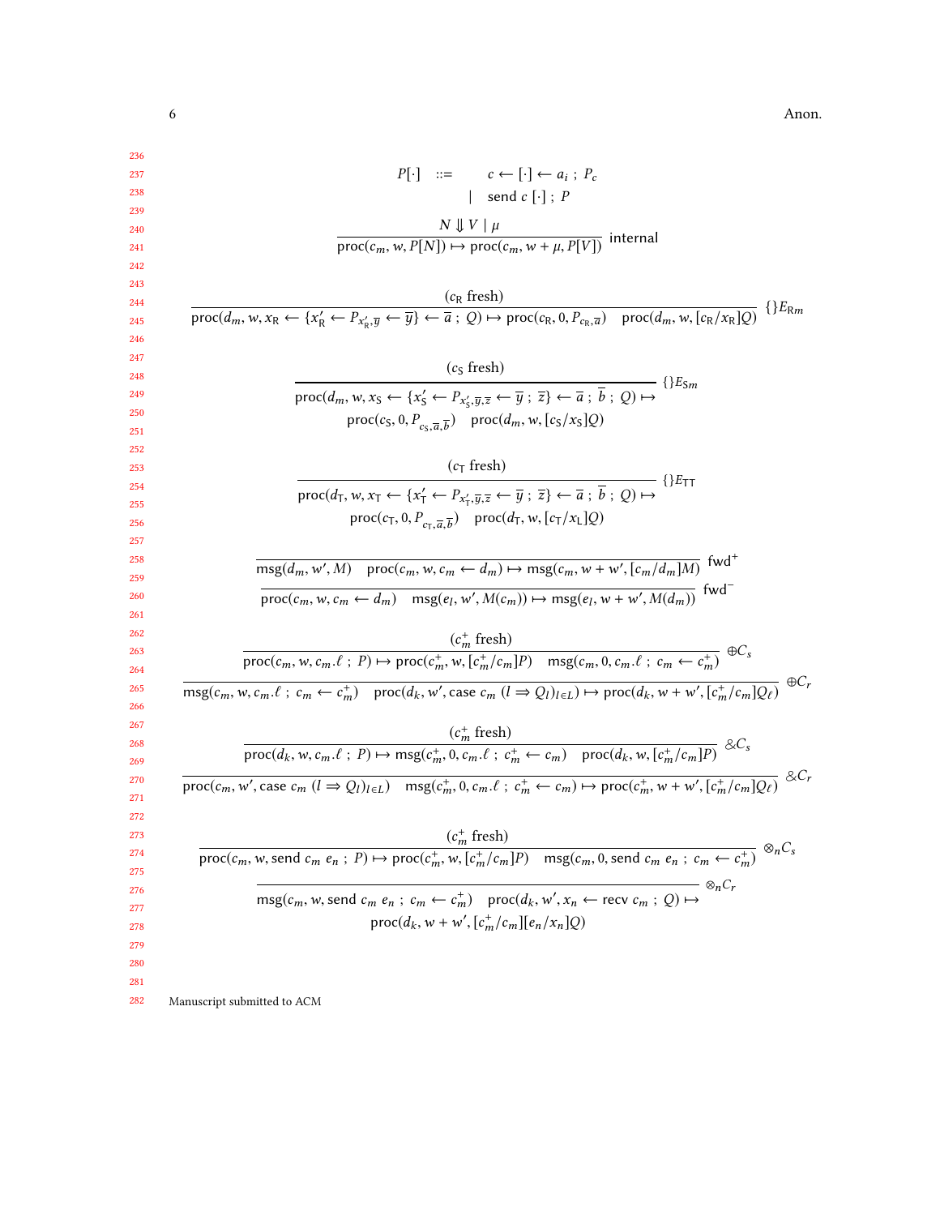$6<sub>6</sub>$  Anon.

|                             | $P[\cdot]$ ::= $c \leftarrow [\cdot] \leftarrow a_i$ ; $P_c$                                                                                                                                                                                                            |
|-----------------------------|-------------------------------------------------------------------------------------------------------------------------------------------------------------------------------------------------------------------------------------------------------------------------|
|                             | send $c[\cdot]$ ; P                                                                                                                                                                                                                                                     |
|                             |                                                                                                                                                                                                                                                                         |
|                             | $\frac{N \Downarrow V \mid \mu}{\text{proc}(c_m, w, P[N]) \mapsto \text{proc}(c_m, w + \mu, P[V])}$ internal                                                                                                                                                            |
|                             |                                                                                                                                                                                                                                                                         |
|                             | $(c_R$ fresh)                                                                                                                                                                                                                                                           |
|                             | $\frac{(c_R \text{ from})}{\text{proc}(d_m, w, x_R \leftarrow \{x'_R \leftarrow P_{x'_R}, \overline{y} \leftarrow \overline{y}\} \leftarrow \overline{a}; Q) \mapsto \text{proc}(c_R, 0, P_{c_R}, \overline{a}) \quad \text{proc}(d_m, w, [c_R/x_R]Q)}$<br>$\{E_{Rm}\}$ |
|                             |                                                                                                                                                                                                                                                                         |
|                             | $(cS$ fresh)                                                                                                                                                                                                                                                            |
|                             |                                                                                                                                                                                                                                                                         |
|                             | $\text{proc}(d_m, w, x_S \leftarrow \{x'_S \leftarrow P_{x'_S, \overline{y}, \overline{z}} \leftarrow \overline{y} \; ; \; \overline{z}\} \leftarrow \overline{a} \; ; \; \overline{b} \; ; \; Q) \mapsto$                                                              |
|                             | $proc(c_S, 0, P_{c_S, \overline{a}, \overline{b}})$ proc $(d_m, w, [c_S/x_S]Q)$                                                                                                                                                                                         |
|                             |                                                                                                                                                                                                                                                                         |
|                             | $(cT$ fresh)                                                                                                                                                                                                                                                            |
|                             | proc( $d_{\overline{1}}, w, x_{\overline{1}} \leftarrow \{x'_{\overline{1}} \leftarrow P_{x'_{\overline{1}}, \overline{y}, \overline{z}} \leftarrow \overline{y}$ ; $\overline{z}\} \leftarrow \overline{a}$ ; $\overline{b}$ ; $Q) \mapsto$                            |
|                             | $proc(c_T, 0, P_{cr. \overline{a}, \overline{b}})$ proc( $d_T, w, [c_T/x_L]Q$ )                                                                                                                                                                                         |
|                             |                                                                                                                                                                                                                                                                         |
|                             | $\overline{\text{msg}(d_m, w', M)}$ proc $(c_m, w, c_m \leftarrow d_m) \mapsto \text{msg}(c_m, w + w', [c_m/d_m]M)$ fwd <sup>+</sup>                                                                                                                                    |
|                             |                                                                                                                                                                                                                                                                         |
|                             | $\overline{\text{proc}(c_m, w, c_m \leftarrow d_m)}$ msg $(e_l, w', M(c_m)) \mapsto \text{msg}(e_l, w + w', M(d_m))$ fwd <sup>-</sup>                                                                                                                                   |
|                             | $(c_m^+$ fresh)                                                                                                                                                                                                                                                         |
|                             | $\overline{\text{proc}(c_m, w, c_m.\ell ; P) \mapsto \text{proc}(c_m^+, w, [c_m^+/c_m]P) - \text{msg}(c_m, 0, c_m.\ell ; c_m \leftarrow c_m^+) } \oplus C_s$                                                                                                            |
|                             |                                                                                                                                                                                                                                                                         |
|                             | $\overline{\text{msg}(c_m, w, c_m.\ell \, ; \, c_m \leftarrow c_m^+) \quad \text{proc}(d_k, w', \text{case } c_m (l \Rightarrow Q_l)_{l \in L}) \mapsto \text{proc}(d_k, w + w', [c_m^+/c_m]Q_{\ell})} \quad \oplus C_r$                                                |
|                             |                                                                                                                                                                                                                                                                         |
|                             | $\frac{(c_m^+ \text{ fresh})}{\text{proc}(d_k, w, c_m.\ell ; P) \mapsto \text{msg}(c_m^+, 0, c_m.\ell ; c_m^+ \leftarrow c_m) \quad \text{proc}(d_k, w, [c_m^+/c_m]P)} \& C_s$                                                                                          |
|                             |                                                                                                                                                                                                                                                                         |
|                             | $\frac{1}{\text{proc}(c_m, w', \text{case } c_m (l \Rightarrow Q_l)_{l \in L})}$ $\text{msg}(c_m^+, 0, c_m \ell; c_m^+ \leftarrow c_m) \mapsto \text{proc}(c_m^+, w + w', [c_m^+/c_m]Q_\ell)$ $\& C_r$                                                                  |
|                             |                                                                                                                                                                                                                                                                         |
|                             | $(c_m^+$ fresh)                                                                                                                                                                                                                                                         |
|                             | $\frac{m}{\text{proc}(c_m, w, \text{send }c_m \cdot e_n; P) \mapsto \text{proc}(c_m^+, w, [c_m^+/c_m]P)$ msg $(c_m, 0, \text{send }c_m \cdot e_n; c_m \leftarrow c_m^+)$ $\otimes_n C_s$                                                                                |
|                             | $-\otimes_n C_r$                                                                                                                                                                                                                                                        |
|                             | $\text{msg}(c_m, w, \text{send } c_m \ e_n \ ; \ c_m \leftarrow c_m^+)$ proc $(d_k, w', x_n \leftarrow \text{recv } c_m \ ; \ Q) \mapsto$                                                                                                                               |
|                             | $proc(d_k, w + w', [c_m^+/c_m][e_n/x_n]Q)$                                                                                                                                                                                                                              |
|                             |                                                                                                                                                                                                                                                                         |
|                             |                                                                                                                                                                                                                                                                         |
|                             |                                                                                                                                                                                                                                                                         |
| Manuscript submitted to ACM |                                                                                                                                                                                                                                                                         |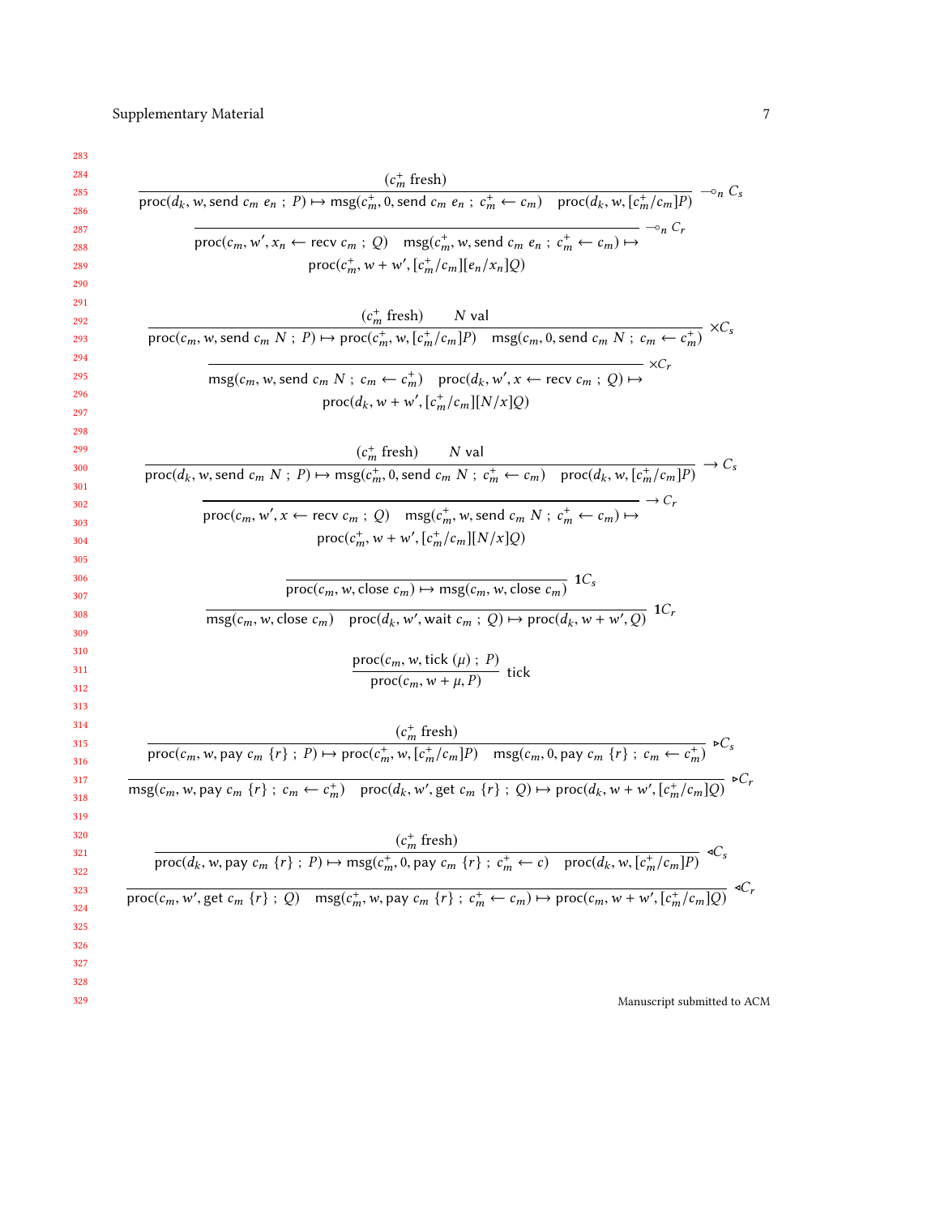| $\frac{(c_m^+ \text{ fresh})}{\text{proc}(d_k, w, \text{send } c_m \ e_n ; P) \mapsto \text{msg}(c_m^+, 0, \text{send } c_m \ e_n ; c_m^+ \leftarrow c_m) \quad \text{proc}(d_k, w, [c_m^+/c_m]P)} \multimap_n C_s$ |
|---------------------------------------------------------------------------------------------------------------------------------------------------------------------------------------------------------------------|
|                                                                                                                                                                                                                     |
| $ \circ$ <sub>n</sub> $C_r$                                                                                                                                                                                         |
| $\text{proc}(c_m, w', x_n \leftarrow \text{recv } c_m ; Q)$ $\text{msg}(c_m^+, w, \text{send } c_m \cdot e_n ; c_m^+ \leftarrow c_m) \mapsto$                                                                       |
| $proc(c_m^+, w + w', [c_m^+/c_m][e_n/x_n]Q)$                                                                                                                                                                        |
|                                                                                                                                                                                                                     |
| $\frac{(c_m^+ \text{ fresh})}{\text{proc}(c_m, w, \text{send } c_m N ; P) \mapsto \text{proc}(c_m^+, w, [c_m^+/c_m]P) \quad \text{msg}(c_m, 0, \text{send } c_m N ; c_m \leftarrow c_m^+) } \times C_s$             |
|                                                                                                                                                                                                                     |
| $\text{msg}(c_m, w, \text{send } c_m \land x; c_m \leftarrow c_m^+)$ proc $(d_k, w', x \leftarrow \text{recv } c_m; Q) \mapsto$                                                                                     |
| $proc(d_k, w + w', [c_m^+/c_m][N/x]Q)$                                                                                                                                                                              |
|                                                                                                                                                                                                                     |
|                                                                                                                                                                                                                     |
| $\frac{(c_m^+ \text{ fresh})}{\text{proc}(d_k, w, \text{send } c_m N ; P) \mapsto \text{msg}(c_m^+, 0, \text{send } c_m N ; c_m^+ \leftarrow c_m) \quad \text{proc}(d_k, w, [c_m^+/c_m]P)} \rightarrow C_s$         |
|                                                                                                                                                                                                                     |
| $\text{proc}(c_m, w', x \leftarrow \text{recv } c_m ; Q)$ msg $(c_m^+, w, \text{send } c_m N ; c_m^+ \leftarrow c_m) \mapsto$                                                                                       |
| $proc(c_m^+, w + w', [c_m^+/c_m][N/x]Q)$                                                                                                                                                                            |
|                                                                                                                                                                                                                     |
| $\overline{\text{proc}(c_m, w, \text{close } c_m)} \mapsto \text{msg}(c_m, w, \text{close } c_m)$ 1C <sub>s</sub>                                                                                                   |
| $\overline{\text{msg}(c_m, w, \text{close } c_m)}$ proc $(d_k, w', \text{wait } c_m : Q) \mapsto \text{proc}(d_k, w + w', Q)$ 1Cr                                                                                   |
|                                                                                                                                                                                                                     |
|                                                                                                                                                                                                                     |
| $\frac{\operatorname{proc}(c_m, w, \operatorname{tick}(\mu); P)}{\operatorname{proc}(c_m, w + \mu, P)}$ tick                                                                                                        |
|                                                                                                                                                                                                                     |
|                                                                                                                                                                                                                     |
| $\frac{(c_m^+ \text{ fresh})}{\text{proc}(c_m, w, \text{pay } c_m \{r\};\ P) \mapsto \text{proc}(c_m^+, w, [c_m^+/c_m]P) \quad \text{msg}(c_m, 0, \text{pay } c_m \{r\};\ c_m \leftarrow c_m^+) } \in C_s$          |
| $\overline{\text{msg}(c_m, w, \text{pay } c_m \{r\} ; c_m \leftarrow c_m^+) \text{proc}(d_k, w', \text{get } c_m \{r\} ; Q) \mapsto \text{proc}(d_k, w + w', [c_m^+/c_m]Q) \rightarrow C_r$                         |
|                                                                                                                                                                                                                     |
|                                                                                                                                                                                                                     |
| $(c_m^+$ fresh)                                                                                                                                                                                                     |
| $\overline{\text{proc}(d_k, w, \text{pay } c_m \{r\}; P) \mapsto \text{msg}(c_m^+, 0, \text{pay } c_m \{r\}; c_m^+ \leftarrow c) \quad \text{proc}(d_k, w, [c_m^+/c_m]P)}$                                          |
| $\overline{\text{proc}(c_m, w', \text{get } c_m \{r\}; Q)}$ $\text{msg}(c_m^+, w, \text{pay } c_m \{r\}; c_m^+ \leftarrow c_m) \mapsto \text{proc}(c_m, w + w', [c_m^+/c_m]Q)$                                      |
|                                                                                                                                                                                                                     |
|                                                                                                                                                                                                                     |
|                                                                                                                                                                                                                     |
|                                                                                                                                                                                                                     |
| Manuscript submitted to ACM                                                                                                                                                                                         |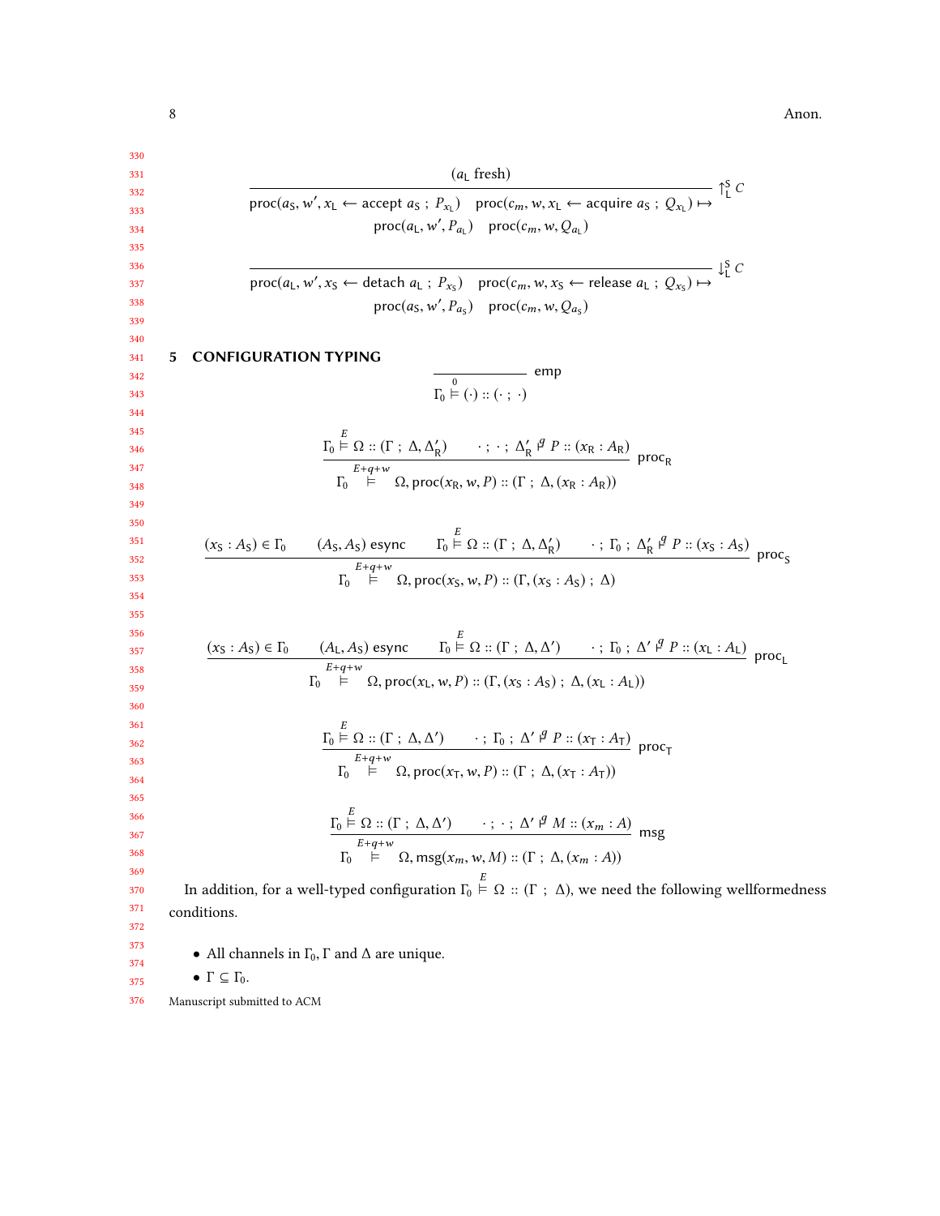<span id="page-7-0"></span>

| 330        |                                                                                                                                                                                                                                                                                                                                            |
|------------|--------------------------------------------------------------------------------------------------------------------------------------------------------------------------------------------------------------------------------------------------------------------------------------------------------------------------------------------|
| 331        | $(aL$ fresh)                                                                                                                                                                                                                                                                                                                               |
| 332        | proc( $a_S, w', x_L \leftarrow$ accept $a_S : P_{x_L}$ ) proc( $c_m, w, x_L \leftarrow$ acquire $a_S : Q_{x_L}$ ) $\mapsto$ $\bigcap_L^S C$                                                                                                                                                                                                |
| 333<br>334 | $proc(a_L, w', P_{a_l})$ $proc(c_m, w, Q_{a_l})$                                                                                                                                                                                                                                                                                           |
| 335        |                                                                                                                                                                                                                                                                                                                                            |
| 336        |                                                                                                                                                                                                                                                                                                                                            |
| 337        | $\text{proc}(a_L, w', x_S \leftarrow \text{detach } a_L ; P_{x_S})$ $\text{proc}(c_m, w, x_S \leftarrow \text{release } a_L ; Q_{x_S}) \mapsto$ $\downarrow^S_L C$                                                                                                                                                                         |
| 338<br>339 | $proc(a_S, w', P_{a_S})$ proc $(c_m, w, Q_{a_S})$                                                                                                                                                                                                                                                                                          |
| 340        |                                                                                                                                                                                                                                                                                                                                            |
| 341        | 5<br><b>CONFIGURATION TYPING</b>                                                                                                                                                                                                                                                                                                           |
| 342        | $\frac{0}{\Gamma_0 \models (\cdot) :: (\cdot \; ; \; \cdot)}$ emp                                                                                                                                                                                                                                                                          |
| 343<br>344 |                                                                                                                                                                                                                                                                                                                                            |
|            |                                                                                                                                                                                                                                                                                                                                            |
|            | $\underline{\Gamma_0 \stackrel{\sim}{\vDash} \Omega :: (\Gamma : \Delta, \Delta'_R) \qquad \cdots ; \cdots : \Delta'_R \stackrel{\beta}{\vDash} P :: (x_R : A_R)}$ proc <sub>R</sub>                                                                                                                                                       |
|            |                                                                                                                                                                                                                                                                                                                                            |
|            | $\vdash$ $\Omega$ , proc(x <sub>R</sub> , w, P) :: ( $\Gamma$ ; $\Delta$ , (x <sub>R</sub> : A <sub>R</sub> ))                                                                                                                                                                                                                             |
|            |                                                                                                                                                                                                                                                                                                                                            |
| 350<br>351 | $(x_S: A_S) \in \Gamma_0$ $(A_S, A_S)$ esync $\Gamma_0 \stackrel{E}{\models} \Omega :: (\Gamma : \Delta, \Delta'_R)$ $\cdot : \Gamma_0 : \Delta'_R \stackrel{q}{\models} P :: (x_S: A_S)$ proc.                                                                                                                                            |
|            | $E+q+w$                                                                                                                                                                                                                                                                                                                                    |
|            | $\Gamma_0$ $\vdash$ $\Omega$ , proc(x <sub>S</sub> , w, P) :: ( $\Gamma$ , (x <sub>S</sub> : A <sub>S</sub> ) ; $\Delta$ )                                                                                                                                                                                                                 |
|            |                                                                                                                                                                                                                                                                                                                                            |
|            |                                                                                                                                                                                                                                                                                                                                            |
|            | $(x_S : A_S) \in \Gamma_0$ $(A_L, A_S)$ esync $\Gamma_0 \stackrel{E}{\models} \Omega :: (\Gamma : \Delta, \Delta') \longrightarrow : \Gamma_0 : \Delta' \stackrel{\varphi}{\models} P :: (x_L : A_L)$ proc <sub>L</sub><br>$\Gamma_0 \stackrel{E+q+w}{\models} \Omega$ , proc $(x_L, w, P) :: (\Gamma, (x_S : A_S) : \Delta, (x_L : A_L))$ |
|            |                                                                                                                                                                                                                                                                                                                                            |
|            |                                                                                                                                                                                                                                                                                                                                            |
|            | $\underline{\Gamma_0 \stackrel{E}{\models} \Omega :: (\Gamma : \Delta, \Delta')} \qquad \cdot ; \Gamma_0 : \Delta' \stackrel{g}{\rightarrow} P :: (x_T : A_T) \text{ proc}_T$<br>$\underline{\Gamma_0 \stackrel{E+q+w}{\models} O \text{ proc} \cdots}$                                                                                    |
|            |                                                                                                                                                                                                                                                                                                                                            |
|            | $\stackrel{\text{tw}}{\Omega}$ , proc $(x_T, w, P)$ :: $(\Gamma; \Delta, (x_T : A_T))$                                                                                                                                                                                                                                                     |
|            |                                                                                                                                                                                                                                                                                                                                            |
|            |                                                                                                                                                                                                                                                                                                                                            |
|            | $\underline{\Gamma_0 \vDash \Omega :: (\Gamma : \Delta, \Delta')}$ ; ; $\Delta' \nmid M :: (x_m : A)$ msg                                                                                                                                                                                                                                  |
|            | $E+q+w$<br>$\Gamma_0$ $\vdash$ $\Omega$ , msg $(x_m, w, M) :: (\Gamma ; \Delta, (x_m : A))$                                                                                                                                                                                                                                                |
|            |                                                                                                                                                                                                                                                                                                                                            |
|            | In addition, for a well-typed configuration $\Gamma_0 \stackrel{E}{\vdash} \Omega$ :: ( $\Gamma$ ; $\Delta$ ), we need the following wellformedness                                                                                                                                                                                        |
|            | conditions.                                                                                                                                                                                                                                                                                                                                |
|            |                                                                                                                                                                                                                                                                                                                                            |
|            | • All channels in $\Gamma_0$ , $\Gamma$ and $\Delta$ are unique.                                                                                                                                                                                                                                                                           |
|            |                                                                                                                                                                                                                                                                                                                                            |

• Γ $\subseteq$   $\Gamma_{0}.$ 

375 376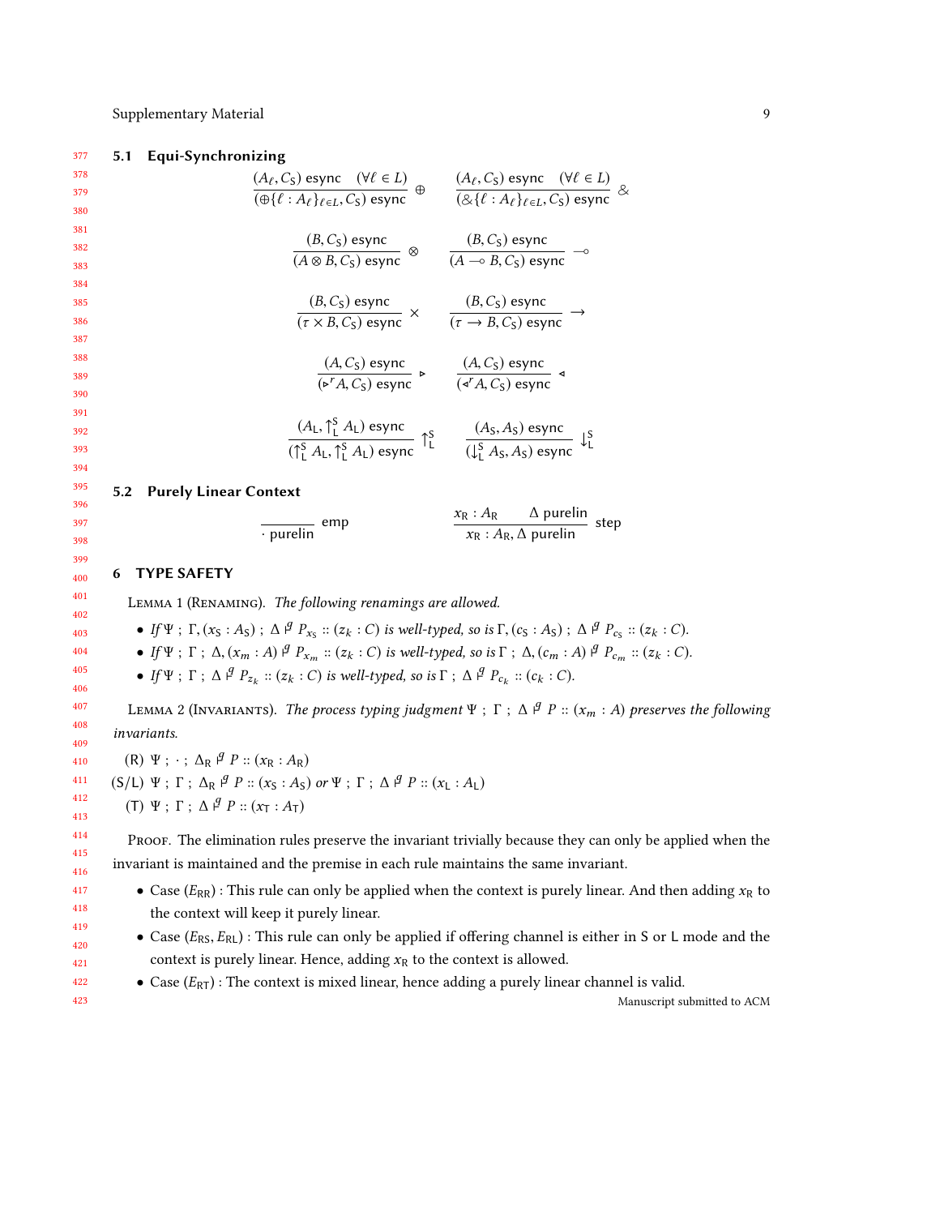#### Supplementary Material 9

#### 377 5.1 Equi-Synchronizing

378 379 380 381 382 383 384 385 386 387 388 389 390 391 392 393 394 395 396 397  $(A_{\ell}, C_{\mathsf{S}})$  esync  $(\forall \ell \in L)$  $(A_{\ell}, C_{\mathsf{S}})$  esync  $(\forall \ell \in L)$ <br>  $(\oplus \{\ell : A_{\ell}\}_{\ell \in L}, C_{\mathsf{S}})$  esync  $\oplus$   $\qquad \qquad (\Delta_{\ell}, C_{\mathsf{S}})$  esync  $(\forall \ell \in L)$  $\overline{(\&\{\ell : A_{\ell}\}_{\ell \in L}, C_{\mathsf{S}})}$  esync  $\propto$  $(B, C<sub>S</sub>)$  esync  $\frac{(B, C_S) \text{ esync}}{(A \otimes B, C_S) \text{ esync}}$   $\otimes$   $\frac{(B, C_S) \text{ esync}}{(A \multimap B, C_S) \text{ esync}}$  $\frac{(B, C_S)$  esync  $\rightarrow$  (*A* → *B*, *C*<sub>S</sub>) esync  $(B, C<sub>S</sub>)$  esync  $\frac{(B, C_S) \text{ esync}}{(\tau \times B, C_S) \text{ esync}} \times \frac{(B, C_S) \text{ esync}}{(\tau \to B, C_S) \text{ esyu}}$  $\frac{(B, C_5) \cos \pi}{(\tau \to B, C_5) \cos \pi}$  $(A, C<sub>S</sub>)$  esync  $(A, C<sub>S</sub>)$  esync<br>  $(\triangleright^{r} A, C<sub>S</sub>)$  esync<br>  $\cdot$   $(A, C<sub>S</sub>)$  esync<br>  $(\triangleright^{r} A, C<sub>S</sub>)$  esyn  $(\triangleleft^r A, C_S)$  esync  $(A_L, \uparrow_L^S A_L)$  esync  $\frac{(A_L, \uparrow_L^S A_L) \text{ esync}}{(\uparrow_L^S A_L, \uparrow_L^S A_L) \text{ esync}} \uparrow_L^S \qquad \frac{(A_S, A_S) \text{ esync}}{(\downarrow_L^S A_S, A_S) \text{ esync}} \downarrow_L^S$ 5.2 Purely Linear Context · purelin emp  $\frac{x_R : A_R \sim \Delta \text{ purelin}}{x_R : A \sim \Delta \text{ purelin}}$  $\frac{X}{x_R}$ :  $A_R$ ,  $\Delta$  purelin step

#### <span id="page-8-0"></span>6 TYPE SAFETY

<span id="page-8-1"></span>Lemma 1 (Renaming). The following renamings are allowed.

• If  $\Psi$ ;  $\Gamma$ ,  $(x_S : A_S)$ ;  $\Delta \frac{\beta}{r} P_{x_S} :: (z_k : C)$  is well-typed, so is  $\Gamma$ ,  $(c_S : A_S)$ ;  $\Delta \frac{\beta}{r} P_{c_S} :: (z_k : C)$ .

• If Ψ ; Γ ;  $\Delta$ , (x<sub>m</sub> : A)  $\beta$  P<sub>xm</sub> :: (z<sub>k</sub> : C) is well-typed, so is Γ ;  $\Delta$ , (c<sub>m</sub> : A)  $\beta$  P<sub>cm</sub> :: (z<sub>k</sub> : C).

• If  $\Psi$ ;  $\Gamma$ ;  $\Delta \nvert^g P_{z_k}$  :: ( $z_k$  : C) is well-typed, so is  $\Gamma$ ;  $\Delta \nvert^g P_{c_k}$  :: ( $c_k$  : C).

LEMMA 2 (INVARIANTS). The process typing judgment  $\Psi$ ;  $\Gamma$ ;  $\Delta$   $\beta$   $P$  ::  $(x_m : A)$  preserves the following invariants.

(R)  $\Psi$ ;  $\cdot$ ;  $\Delta_R$   $\theta$   $P$  :: ( $x_R$  :  $A_R$ ) (S/L)  $\Psi$ ;  $\Gamma$ ;  $\Delta_R$   $\beta$   $P$  :: ( $x_S$  : A<sub>S</sub>) or  $\Psi$ ;  $\Gamma$ ;  $\Delta$   $\beta$   $P$  :: ( $x_L$  : A<sub>L</sub>) (T)  $\Psi$ ;  $\Gamma$ ;  $\Delta \nvert^g P :: (x_T : A_T)$ 

Proof. The elimination rules preserve the invariant trivially because they can only be applied when the invariant is maintained and the premise in each rule maintains the same invariant.

- Case  $(E_{RR})$ : This rule can only be applied when the context is purely linear. And then adding  $x_R$  to the context will keep it purely linear.
- Case  $(E_{RS}, E_{RL})$ : This rule can only be applied if offering channel is either in S or L mode and the context is purely linear. Hence, adding  $x_R$  to the context is allowed.
- Case  $(E_{RT})$ : The context is mixed linear, hence adding a purely linear channel is valid.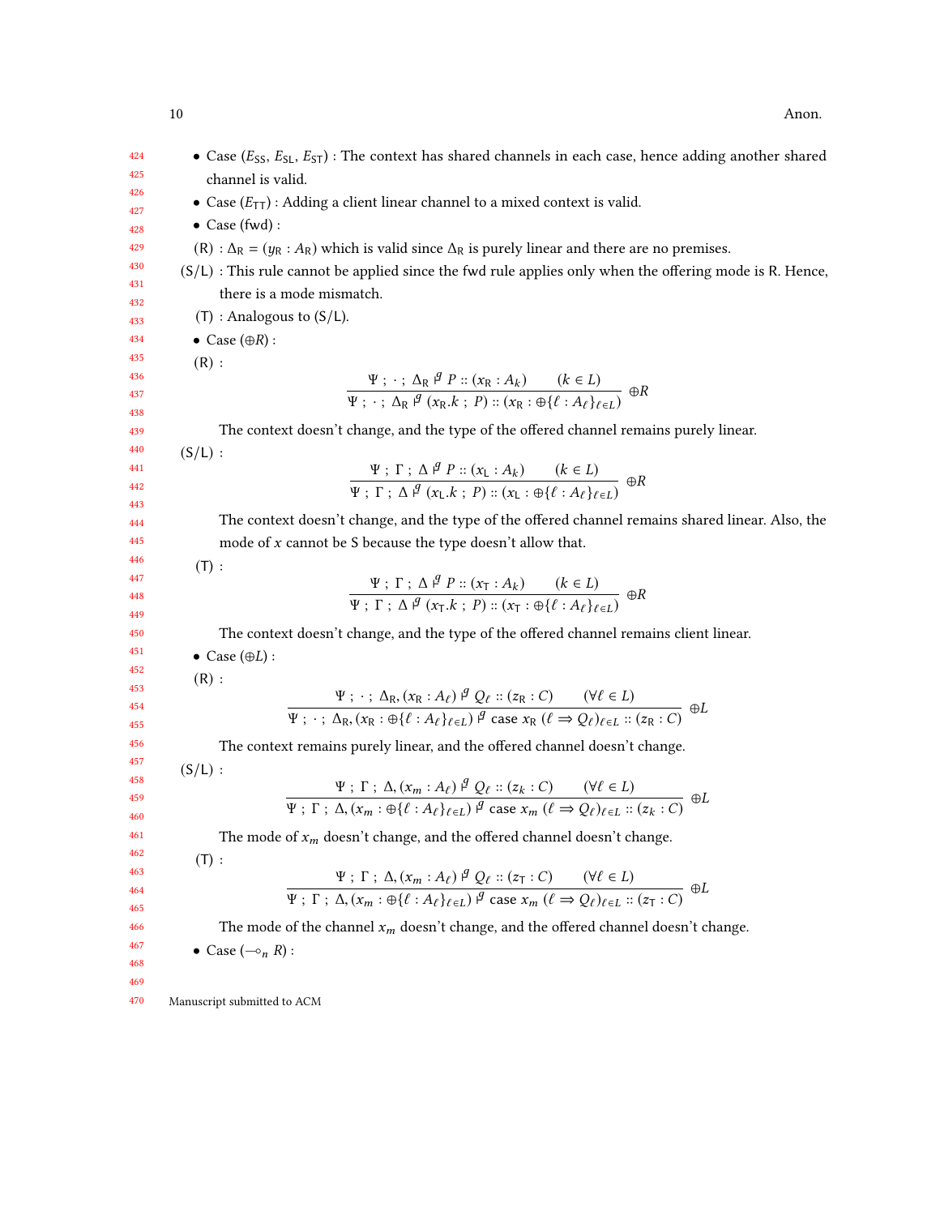| 424<br>425 | • Case $(E_{SS}, E_{SL}, E_{ST})$ : The context has shared channels in each case, hence adding another shared                                                                                                                                                                                                                                                                            |
|------------|------------------------------------------------------------------------------------------------------------------------------------------------------------------------------------------------------------------------------------------------------------------------------------------------------------------------------------------------------------------------------------------|
| 426        | channel is valid.                                                                                                                                                                                                                                                                                                                                                                        |
| 427        | • Case $(E_{TT})$ : Adding a client linear channel to a mixed context is valid.                                                                                                                                                                                                                                                                                                          |
| 428        | $\bullet$ Case (fwd):                                                                                                                                                                                                                                                                                                                                                                    |
| 429        | (R) : $\Delta_R$ = ( $y_R$ : $A_R$ ) which is valid since $\Delta_R$ is purely linear and there are no premises.                                                                                                                                                                                                                                                                         |
| 430<br>431 | $(S/L)$ : This rule cannot be applied since the fwd rule applies only when the offering mode is R. Hence,                                                                                                                                                                                                                                                                                |
| 432        | there is a mode mismatch.                                                                                                                                                                                                                                                                                                                                                                |
| 433        | $(T)$ : Analogous to $(S/L)$ .                                                                                                                                                                                                                                                                                                                                                           |
| 434        | • Case $(\oplus R)$ :                                                                                                                                                                                                                                                                                                                                                                    |
| 435<br>436 | (R):                                                                                                                                                                                                                                                                                                                                                                                     |
| 437        | $\frac{\Psi : \cdot : \Delta_{\mathbb{R}} \nvert^g P :: (x_{\mathbb{R}} : A_k) \qquad (k \in L)}{\Psi : \cdot : \Delta_{\mathbb{R}} \nvert^g (x_{\mathbb{R}} \cdot k : P) :: (x_{\mathbb{R}} : \bigoplus \{ \ell : A_\ell \}_{\ell \in I})} \nbrace \oplus R$                                                                                                                            |
| 438        |                                                                                                                                                                                                                                                                                                                                                                                          |
| 439        | The context doesn't change, and the type of the offered channel remains purely linear.                                                                                                                                                                                                                                                                                                   |
| 440        | $(S/L)$ :                                                                                                                                                                                                                                                                                                                                                                                |
| 441<br>442 | $\Psi: \Gamma: \Delta \nsubseteq P :: (x_L : A_k)$ $(k \in L)$<br>$\Psi: \Gamma: \Delta \nsubseteq (x_L k : P) :: (x_L : \bigoplus \{\ell : A_\ell\}_{\ell \in I})$                                                                                                                                                                                                                      |
| 443        |                                                                                                                                                                                                                                                                                                                                                                                          |
| 444        | The context doesn't change, and the type of the offered channel remains shared linear. Also, the                                                                                                                                                                                                                                                                                         |
| 445        | mode of $x$ cannot be S because the type doesn't allow that.                                                                                                                                                                                                                                                                                                                             |
| 446<br>447 | (T):                                                                                                                                                                                                                                                                                                                                                                                     |
| 448        | $\frac{\Psi : \Gamma : \Delta \stackrel{g}{\rightarrow} P :: (x_T : A_k) \qquad (k \in L)}{\Psi : \Gamma : \Delta \stackrel{g}{\rightarrow} (x_T.k ; P) :: (x_T : \oplus \{\ell : A_\ell\}_{\ell \in I})} \oplus R$                                                                                                                                                                      |
| 449        |                                                                                                                                                                                                                                                                                                                                                                                          |
| 450        | The context doesn't change, and the type of the offered channel remains client linear.                                                                                                                                                                                                                                                                                                   |
| 451        | • Case $(\oplus L)$ :                                                                                                                                                                                                                                                                                                                                                                    |
| 452<br>453 | (R):                                                                                                                                                                                                                                                                                                                                                                                     |
| 454        | $\Psi$ ; $\cdot$ ; $\Delta_{\text{R}}$ , $(x_{\text{R}} : A_{\ell}) \stackrel{\beta}{\sim} Q_{\ell} :: (z_{\text{R}} : C)$ $(\forall \ell \in L)$<br>$\Psi$ ; $\cdot$ ; $\Delta_{\text{R}}$ , $(x_{\text{R}} : \bigoplus \{\ell : A_{\ell}\}_{\ell \in L}) \stackrel{\beta}{\sim} \text{case } x_{\text{R}}$ $(\ell \Rightarrow Q_{\ell})_{\ell \in L} :: (z_{\text{R}} : C)$ $\oplus L$ |
| 455        |                                                                                                                                                                                                                                                                                                                                                                                          |
| 456        | The context remains purely linear, and the offered channel doesn't change.                                                                                                                                                                                                                                                                                                               |
| 457<br>458 | $(S/L)$ :                                                                                                                                                                                                                                                                                                                                                                                |
| 459        | $\frac{\Psi\;;\; \Gamma\;;\; \Delta, (x_m:A_\ell)\stackrel{q}{\sim}\; Q_\ell::(z_k:C)\qquad (\forall \ell\in L)}{\Psi\;;\; \Gamma\;;\; \Delta, (x_m:\oplus\{\ell:A_\ell\}_{\ell\in L})\stackrel{q}{\sim}\text{case}\;x_m\; (\ell\Rightarrow Q_\ell)_{\ell\in L}::(z_k:C)}\;\oplus L$                                                                                                     |
| 460        |                                                                                                                                                                                                                                                                                                                                                                                          |
| 461        | The mode of $x_m$ doesn't change, and the offered channel doesn't change.                                                                                                                                                                                                                                                                                                                |
| 462<br>463 | (T):                                                                                                                                                                                                                                                                                                                                                                                     |
| 464        | $\frac{\Psi : \Gamma : \Delta,(x_m:A_\ell) \stackrel{q}{\sim} Q_\ell ::(z_{\mathsf{T}}:C)}{\Psi : \Gamma : \Delta,(x_m:\oplus \{\ell : A_\ell\}_{\ell \in L}) \stackrel{q}{\sim} \text{case } x_m \; (\ell \Rightarrow Q_\ell)_{\ell \in L} ::(z_{\mathsf{T}}:C)} \; \oplus L$                                                                                                           |
| 465        |                                                                                                                                                                                                                                                                                                                                                                                          |
| 466        | The mode of the channel $x_m$ doesn't change, and the offered channel doesn't change.                                                                                                                                                                                                                                                                                                    |
| 467        | • Case $(-\circ_n R)$ :                                                                                                                                                                                                                                                                                                                                                                  |
| 468<br>469 |                                                                                                                                                                                                                                                                                                                                                                                          |
| 470        | Manuscript submitted to ACM                                                                                                                                                                                                                                                                                                                                                              |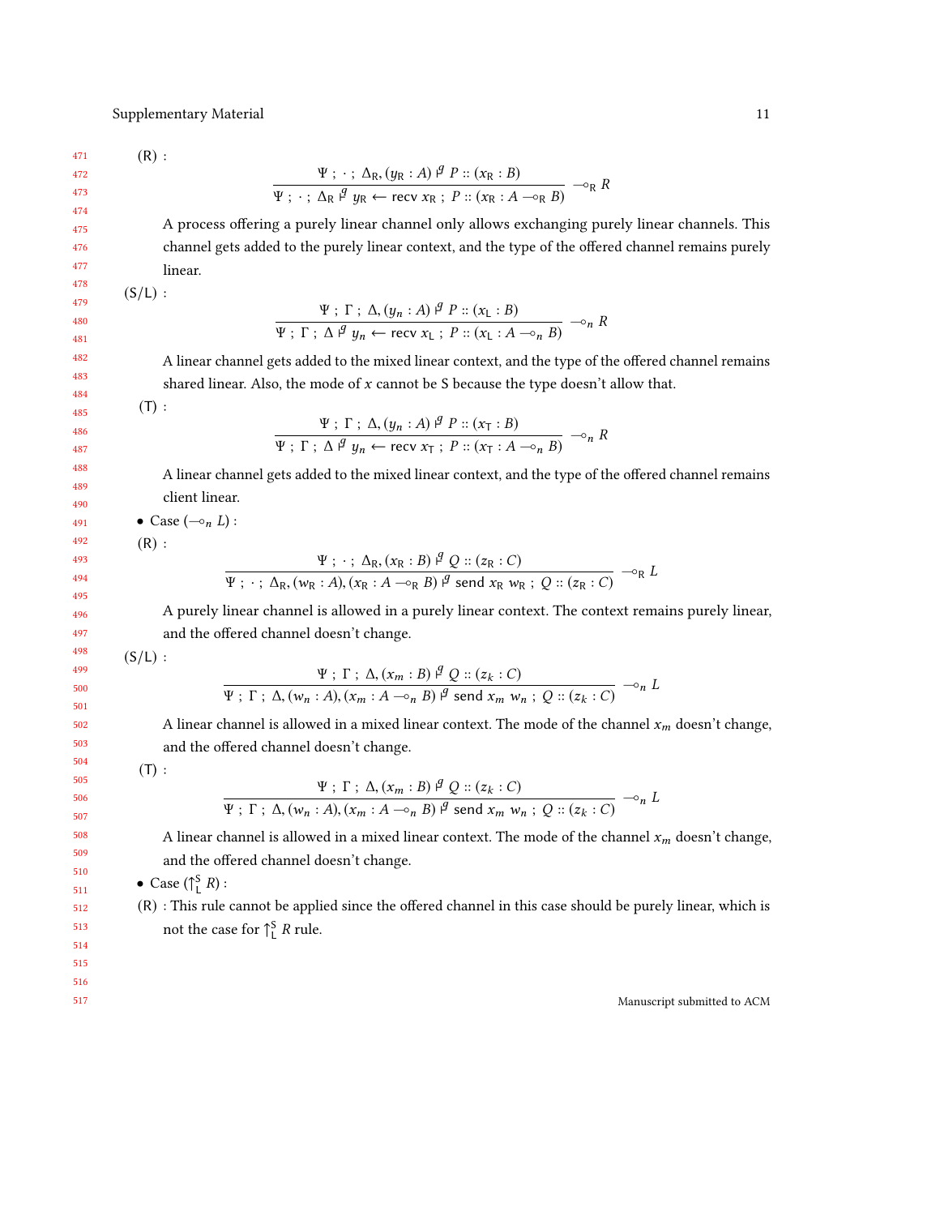471  $(R)$ :

$$
\frac{\Psi : \cdot : \Delta_{\mathsf{R}}, (y_{\mathsf{R}} : A) \stackrel{q}{\to} P :: (x_{\mathsf{R}} : B)}{\Psi : \cdot : \Delta_{\mathsf{R}} \stackrel{q}{\to} y_{\mathsf{R}} \leftarrow \text{recv } x_{\mathsf{R}} : P :: (x_{\mathsf{R}} : A \multimap_{\mathsf{R}} B) } \neg \circ_{\mathsf{R}} R
$$

A process offering a purely linear channel only allows exchanging purely linear channels. This channel gets added to the purely linear context, and the type of the offered channel remains purely linear.

 $(S/L)$ :

$$
\frac{\Psi : \Gamma : \Delta, (y_n : A) \stackrel{q}{\mu} P :: (x_L : B)}{\Psi : \Gamma : \Delta \stackrel{q}{\mu} y_n \leftarrow \text{recv } x_L : P :: (x_L : A \multimap_n B)} \multimap_n R
$$

A linear channel gets added to the mixed linear context, and the type of the offered channel remains shared linear. Also, the mode of  $x$  cannot be  $S$  because the type doesn't allow that.

 $(T):$ 

$$
\frac{\Psi : \Gamma : \Delta, (y_n : A) \stackrel{q}{\mu} P :: (x_\Gamma : B)}{\Psi : \Gamma : \Delta \stackrel{q}{\mu} y_n \leftarrow \text{recv } x_\Gamma : P :: (x_\Gamma : A \multimap_n B)} \multimap_n R
$$

A linear channel gets added to the mixed linear context, and the type of the offered channel remains client linear.

• Case  $(-\circ_n L)$ :

 $(R)$ :

$$
\frac{\Psi : \cdot : \Delta_{\mathsf{R}}, (x_{\mathsf{R}} : B) \stackrel{d}{\sim} Q :: (z_{\mathsf{R}} : C)}{\Psi : \cdot : \Delta_{\mathsf{R}}, (w_{\mathsf{R}} : A), (x_{\mathsf{R}} : A \multimap_{\mathsf{R}} B) \stackrel{d}{\sim} \mathsf{send} \ x_{\mathsf{R}} \ w_{\mathsf{R}} : Q :: (z_{\mathsf{R}} : C)} \neg_{\mathsf{R}} L
$$

A purely linear channel is allowed in a purely linear context. The context remains purely linear, and the offered channel doesn't change.

 $(S/L)$ :

$$
\Psi : \Gamma : \Delta, (x_m : B) \stackrel{q}{\sim} Q :: (z_k : C)
$$
  

$$
\Psi : \Gamma : \Delta, (w_n : A), (x_m : A \multimap_n B) \stackrel{q}{\sim} \text{send } x_m w_n ; Q :: (z_k : C) \longrightarrow_n L
$$

A linear channel is allowed in a mixed linear context. The mode of the channel  $x_m$  doesn't change, and the offered channel doesn't change.

 $(T):$ 

$$
\Psi ; \Gamma ; \Delta, (x_m : B) \stackrel{\varphi}{\sim} Q :: (z_k : C)
$$
  

$$
\Psi ; \Gamma ; \Delta, (w_n : A), (x_m : A \multimap_n B) \stackrel{\varphi}{\sim} \text{send } x_m w_n ; Q :: (z_k : C) \multimap_n L
$$

A linear channel is allowed in a mixed linear context. The mode of the channel  $x_m$  doesn't change, and the offered channel doesn't change.

• Case  $(\uparrow_L^S R)$ :

(R) : This rule cannot be applied since the offered channel in this case should be purely linear, which is not the case for  $\uparrow_L^S R$  rule.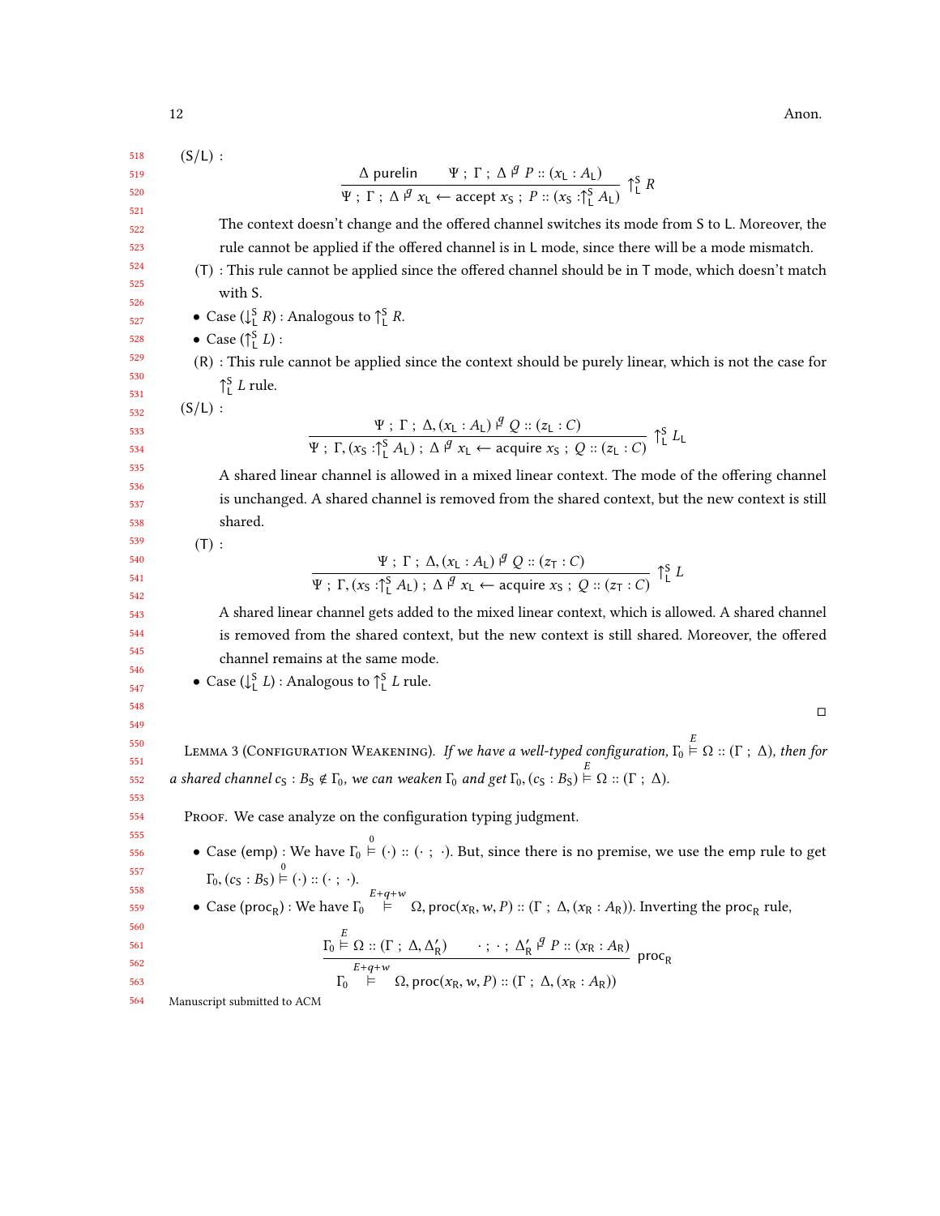$(S/L)$ :

$$
\frac{518}{519}
$$

521 522 523

> 520

 $\Delta$  purelin  $\Psi$ ;  $\Gamma$ ;  $\Delta$   $\stackrel{q}{\sim} P$  :: ( $x_L$  :  $A_L$ )  $\frac{d}{dx}$  put  $\frac{d}{dx}$  +  $\frac{d}{dx}$  +  $\frac{d}{dx}$  +  $\frac{d}{dx}$  +  $\frac{d}{dx}$  +  $\frac{d}{dx}$  +  $\frac{d}{dx}$  +  $\frac{d}{dx}$  +  $\frac{d}{dx}$  +  $\frac{d}{dx}$  +  $\frac{d}{dx}$  +  $\frac{d}{dx}$  +  $\frac{d}{dx}$  +  $\frac{d}{dx}$  +  $\frac{d}{dx}$  +  $\frac{d}{dx}$  +  $\frac{d}{dx}$  +  $\frac$ The context doesn't change and the offered channel switches its mode from S to L. Moreover, the rule cannot be applied if the offered channel is in L mode, since there will be a mode mismatch. (T) : This rule cannot be applied since the offered channel should be in T mode, which doesn't match with S.

- Case  $(\downarrow_{\text{L}}^S R)$ : Analogous to  $\uparrow_{\text{L}}^S R$ .
- Case  $(\uparrow_L^S L)$ :
- (R) : This rule cannot be applied since the context should be purely linear, which is not the case for  $\int_{L}^{S} L$  rule.

 $(S/L)$ :

$$
\frac{\Psi : \Gamma : \Delta, (x_L : A_L) \stackrel{q}{\mu} Q :: (z_L : C)}{\Psi : \Gamma, (x_S : \uparrow_L^S A_L) : \Delta \stackrel{q}{\mu} x_L \leftarrow \text{acquire } x_S : Q :: (z_L : C)} \uparrow_L^S L_L
$$

A shared linear channel is allowed in a mixed linear context. The mode of the offering channel is unchanged. A shared channel is removed from the shared context, but the new context is still shared.

 $(T):$ 

$$
\Psi ; \Gamma ; \Delta, (x_{L} : A_{L}) \stackrel{\beta}{\sim} Q :: (z_{T} : C)
$$
  

$$
\Psi ; \Gamma, (x_{S} : \uparrow_{L}^{S} A_{L}) ; \Delta \stackrel{\beta}{\sim} x_{L} \leftarrow \text{acquire } x_{S} ; Q :: (z_{T} : C) \uparrow_{L}^{S} I
$$

A shared linear channel gets added to the mixed linear context, which is allowed. A shared channel is removed from the shared context, but the new context is still shared. Moreover, the offered channel remains at the same mode.

• Case  $(\downarrow_{\mathsf{L}}^S L)$ : Analogous to  $\uparrow_{\mathsf{L}}^S L$  rule.

□

<span id="page-11-0"></span>LEMMA 3 (CONFIGURATION WEAKENING). If we have a well-typed configuration,  $\Gamma_0 \stackrel{\sim}{\models} \Omega :: (\Gamma \, ; \, \Delta)$ , then for a shared channel  $c_S : B_S \notin \Gamma_0$ , we can weaken  $\Gamma_0$  and get  $\Gamma_0$ ,  $(c_S : B_S) \stackrel{\cong}{\vdash} \Omega :: (\Gamma ; \Delta)$ .

PROOF. We case analyze on the configuration typing judgment.

- Case (emp) : We have  $\Gamma_0 \stackrel{0}{\models} (\cdot) :: (\cdot ; \cdot)$ . But, since there is no premise, we use the emp rule to get  $\Gamma_0, (c_S : B_S) \models (\cdot) :: (\cdot \ ; \ \cdot).$
- Case (proc<sub>R</sub>) : We have  $\Gamma_0 \stackrel{E+q+w}{\models} \Omega$ , proc(x<sub>R</sub>, w, P) :: (Γ; Δ, (x<sub>R</sub> : A<sub>R</sub>)). Inverting the proc<sub>R</sub> rule,

$$
\frac{\Gamma_0 \stackrel{E}{\models} \Omega :: (\Gamma : \Delta, \Delta'_R) \qquad \cdots : \Delta'_R \stackrel{g}{\models} P :: (x_R : A_R)}{\Gamma_0 \stackrel{E+q+w}{\models}} \frac{\Gamma_0 \downarrow}{\Gamma_0 \downarrow} \text{proc}_R, w, P) :: (\Gamma : \Delta, (x_R : A_R))
$$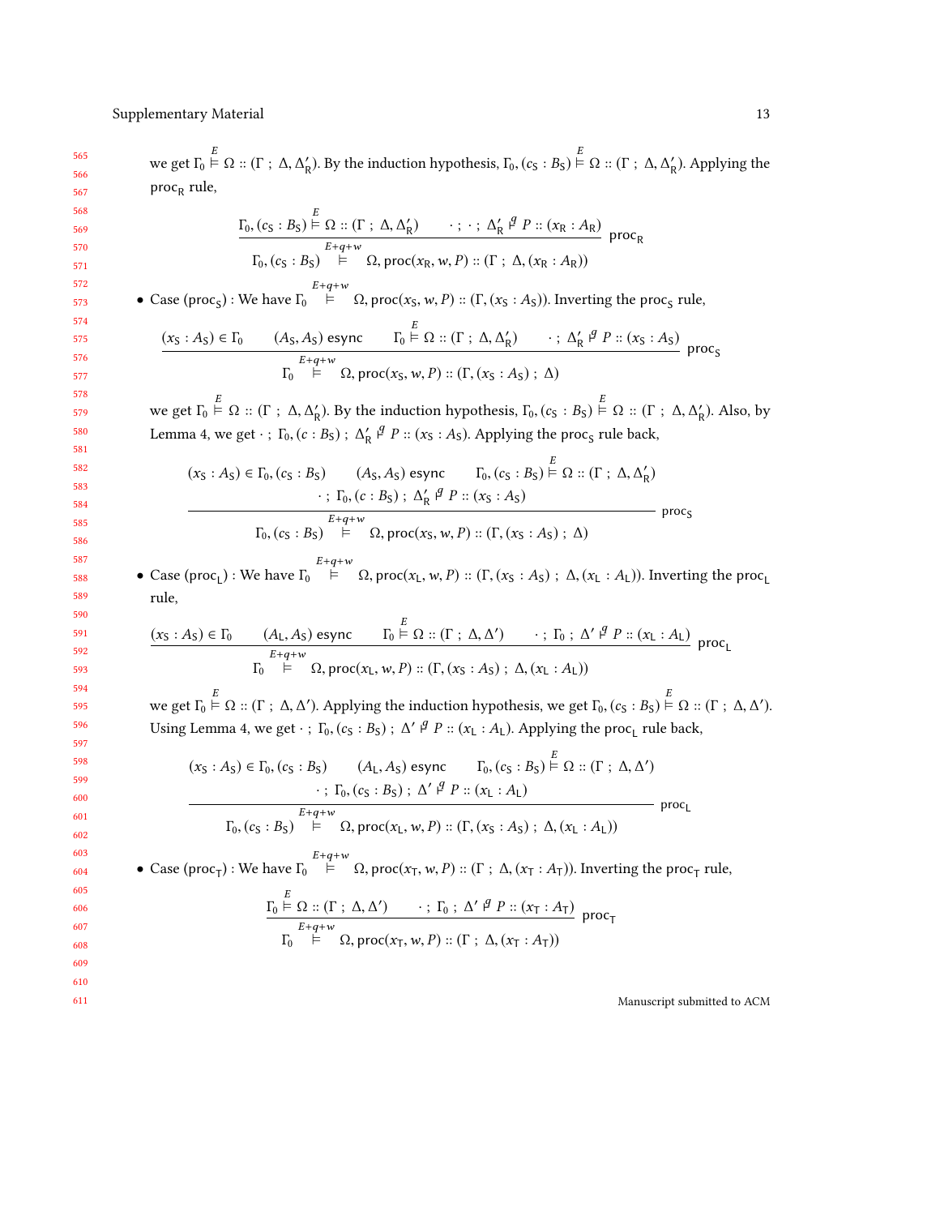565 566 567 568 569 570 571 572 573 574 575 576 577 578 579 580 581 582 583 584 585 586 587 588 589 590 591 592 593 594 595 596 597 598 599 600 601 602 603 604 605 we get  $\Gamma_0 \stackrel{\sim}{\models} \Omega :: (\Gamma : \Delta, \Delta'_R)$ . By the induction hypothesis,  $\Gamma_0$ ,  $(c_S : B_S) \stackrel{\sim}{\models} \Omega :: (\Gamma : \Delta, \Delta'_R)$ . Applying the proc<sub>R</sub> rule,  $(\Gamma_0, (c_S : B_S) \stackrel{\sim}{\vdash} \Omega :: (\Gamma : \Delta, \Delta'_R) \longrightarrow ; \cdot ; \Delta'_R \stackrel{\beta}{\vdash} P :: (x_R : A_R)$  $\Gamma_0$ ,  $(c_S : B_S) \stackrel{E+q+w}{\models} \Omega$ , proc $(x_R, w, P) :: (\Gamma : \Delta, (x_R : A_R))$ proc<sub>R</sub> • Case (proc<sub>S</sub>) : We have  $\Gamma_0 \stackrel{E+q+w}{\models} \Omega$ , proc( $x_S, w, P$ ) :: ( $\Gamma$ , ( $x_S : A_S$ )). Inverting the proc<sub>S</sub> rule,  $(x_S : A_S) \in \Gamma_0$   $(A_S, A_S)$  esync  $\Gamma_0 \stackrel{\sim}{\vdash} \Omega :: (\Gamma : \Delta, \Delta'_R)$   $\cdot : \Delta'_R \stackrel{q}{\vdash} P :: (x_S : A_S)$  $\mathbf{r}_0$  $E+q+w$ <br>  $\models$   $\Omega$ , proc(x<sub>S</sub>, w, P) :: (Γ, (x<sub>S</sub>: A<sub>S</sub>); Δ)  $proc<sub>S</sub>$ we get  $\Gamma_0 \stackrel{\sim}{\models} \Omega :: (\Gamma \, ; \, \Delta, \Delta'_R)$ . By the induction hypothesis,  $\Gamma_0$ ,  $(c_S : B_S) \stackrel{\sim}{\models} \Omega :: (\Gamma \, ; \, \Delta, \Delta'_R)$ . Also, by Lemma [4,](#page-13-0) we get  $\cdot$ ;  $\Gamma_0$ ,  $(c : B_S)$ ;  $\Delta'_R$   $\beta$   $P$  ::  $(x_S : A_S)$ . Applying the proc<sub>S</sub> rule back,  $(x_S : A_S) \in \Gamma_0$ ,  $(c_S : B_S)$   $(A_S, A_S)$  esync  $\Gamma_0$ ,  $(c_S : B_S) \stackrel{\sim}{\vdash} \Omega :: (\Gamma : \Delta, \Delta'_R)$  $\frac{1}{\sqrt{25}}$  (c : B<sub>S</sub>); Δ'<sub>R</sub> ι<sup>g</sup> P :: (x<sub>S</sub> : A<sub>S</sub>)  $\Gamma_0$ ,  $(c_S : B_S) \stackrel{E+q+w}{\models} \Omega$ , proc $(x_S, w, P) :: (\Gamma, (x_S : A_S) ; \Delta)$  $proc<sub>c</sub>$ • Case (proc<sub>L</sub>) : We have  $\Gamma_0 \stackrel{E+q+w}{\models} \Omega$ , proc( $x_L, w, P$ ) :: ( $\Gamma$ , ( $x_S : A_S$ ) ;  $\Delta$ , ( $x_L : A_L$ )). Inverting the proc<sub>L</sub> rule,  $(x_S : A_S) \in \Gamma_0$   $(A_L, A_S)$  esync  $\Gamma_0 \stackrel{\sim}{\vdash} \Omega :: (\Gamma : \Delta, \Delta')$   $\cdot$ ;  $\Gamma_0 : \Delta' \stackrel{\beta}{\vdash} P :: (x_L : A_L)$  $\mathbf{r}_0$  $E+q+w$ <br>  $\vdash \Omega$ , proc(x<sub>L</sub>, w, P) :: (Γ, (x<sub>S</sub>: A<sub>S</sub>); Δ, (x<sub>L</sub>: A<sub>L</sub>)) proc<sub>L</sub> we get  $\Gamma_0 \stackrel{\sim}{\vdash} \Omega :: (\Gamma : \Delta, \Delta')$ . Applying the induction hypothesis, we get  $\Gamma_0$ ,  $(c_S : B_S) \stackrel{\sim}{\vdash} \Omega :: (\Gamma : \Delta, \Delta')$ . Using Lemma [4,](#page-13-0) we get  $\cdot$ ;  $\Gamma_0$ ,  $(c_S : B_S)$ ;  $\Delta' \not\in P :: (x_L : A_L)$ . Applying the proc<sub>L</sub> rule back,  $(x_S : A_S) \in \Gamma_0, (c_S : B_S)$  (A<sub>L</sub>, A<sub>S</sub>) esync  $\Gamma_0, (c_S : B_S) \stackrel{\scriptscriptstyle\leftrightarrow}{\models} \Omega :: (\Gamma : \Delta, \Delta')$  $\cdot$ ; Γ<sub>0</sub>, (c<sub>S</sub> : B<sub>S</sub>); Δ' β<sup>*'*</sup> *P* :: (x<sub>L</sub> : A<sub>L</sub>)  $\Gamma_0$ ,  $(c_S : B_S) \stackrel{E+q+w}{\models} \Omega$ , proc $(x_L, w, P) :: (\Gamma, (x_S : A_S) ; \Delta, (x_L : A_L))$  $-$  proc<sub>l</sub> • Case (proc<sub>T</sub>) : We have  $\Gamma_0$ <sup>E+q+w</sup> Ω, proc(x<sub>T</sub>, w, P) :: (Γ ; Δ, (x<sub>T</sub> : A<sub>T</sub>)). Inverting the proc<sub>T</sub> rule,

$$
\frac{\Gamma_0 \stackrel{E}{\models} \Omega :: (\Gamma : \Delta, \Delta') \qquad \cdot : \Gamma_0 : \Delta' \stackrel{g}{\models} P :: (x_T : A_T)}{\Gamma_0 \stackrel{E+q+w}{\models} \Omega, \text{proc}(x_T, w, P) :: (\Gamma : \Delta, (x_T : A_T))}
$$
proc<sub>T</sub>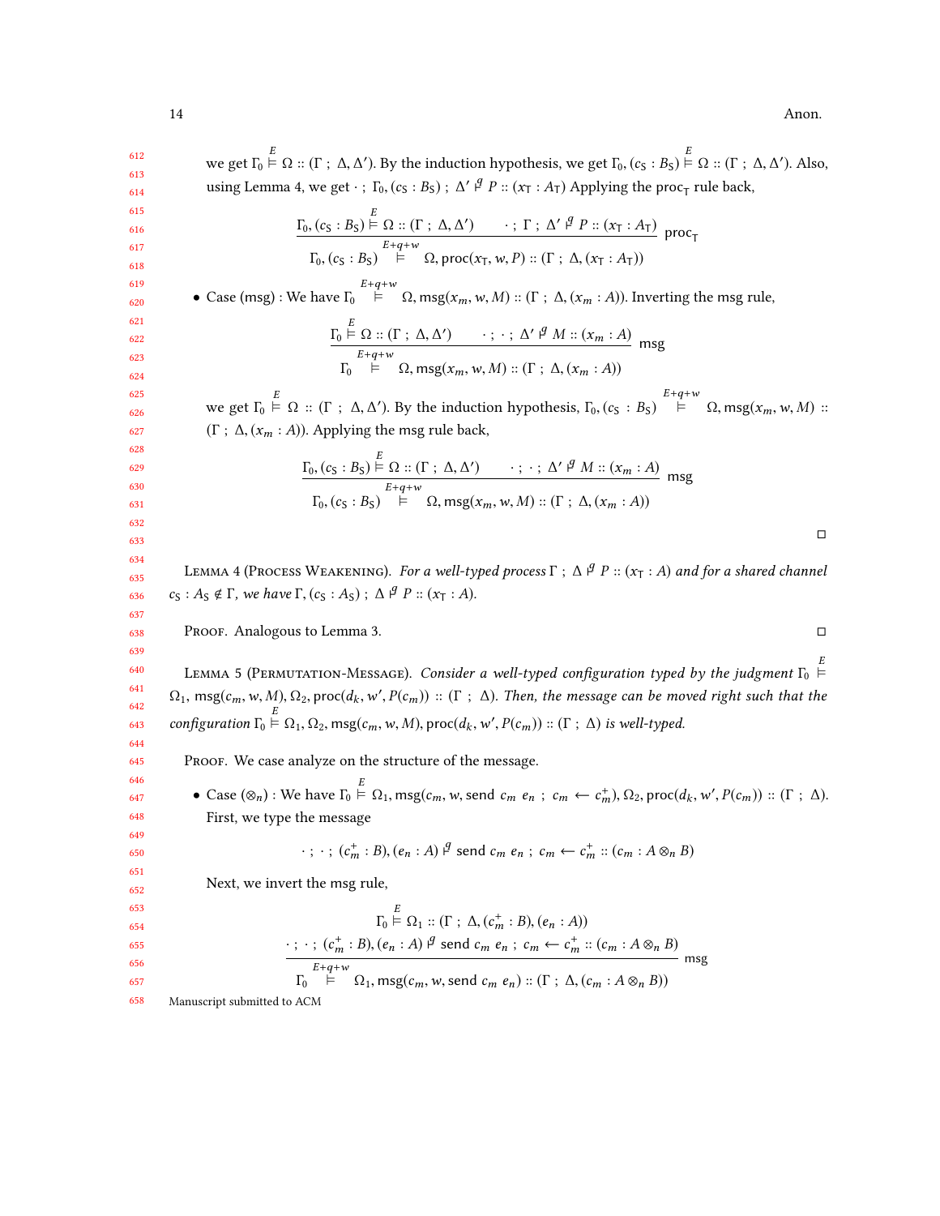14 Anon.

<span id="page-13-1"></span><span id="page-13-0"></span>612 613 614 615 616 617 618 619 620 621 622 623 624 625 626 627 628 629 630 631 632 633 634 635 636 637 638 639 640 641 642 643 644 645 646 647 648 649 650 651 652 653 654 655 656 657 658 we get  $\Gamma_0 \stackrel{\sim}{\models} \Omega$  :: (Γ ; Δ, Δ'). By the induction hypothesis, we get  $\Gamma_0$ , ( $c_S : B_S$ )  $\stackrel{\sim}{\models} \Omega$  :: (Γ ; Δ, Δ'). Also, using Lemma [4,](#page-13-0) we get  $\cdot$ ;  $\Gamma_0$ ,  $(c_S : B_S)$ ;  $\Delta' \not\in P :: (x_T : A_T)$  Applying the proc<sub>T</sub> rule back,  $\Gamma_0$ ,  $(c_S : B_S) \stackrel{\sim}{\vdash} \Omega :: (\Gamma : \Delta, \Delta') \longrightarrow ; \Gamma : \Delta' \stackrel{\beta}{\vdash} P :: (x_T : A_T)$  $\Gamma_0$ ,  $(c_S : B_S) \stackrel{E+q+w}{\models} \Omega$ , proc $(x_T, w, P) :: (\Gamma : \Delta, (x_T : A_T))$  $proc_T$ • Case (msg) : We have  $\Gamma_0$ <sup>E+q+w</sup> Ω, msg(x<sub>m</sub>, w, M) :: (Γ; Δ, (x<sub>m</sub> : A)). Inverting the msg rule,  $\frac{\Gamma_0 \stackrel{\sim}{\vdash} \Omega :: (\Gamma ; \Delta, \Delta') \qquad \cdots ; \cdots ; \Delta' \stackrel{\beta}{\vdash} M :: (x_m : A)}{\Gamma \vdash \square \vdash \square}$  $\mathbf{r}_0$  $E+q+w$ <br>  $\models$   $\Omega$ , msg $(x_m, w, M) :: (\Gamma ; \Delta, (x_m : A))$ msg we get  $\Gamma_0 \stackrel{E}{\models} \Omega$  :: (Γ ;  $\Delta, \Delta'$ ). By the induction hypothesis,  $\Gamma_0$ ,  $(c_S : B_S) \stackrel{E+q+w}{\models} \Omega$ , msg $(x_m, w, M)$  :: (Γ;  $\Delta$ , ( $x_m$ : A)). Applying the msg rule back,  $\Gamma_{0}, (c_{\mathsf{S}} : B_{\mathsf{S}}) \stackrel{\sim}{\vdash} \Omega :: (\Gamma : \Delta, \Delta') \longrightarrow ; \; \cdot ; \; \Delta' \stackrel{\beta}{\vdash} M :: (x_{m} : A)$  $\Gamma_0$ ,  $(c_S : B_S) \stackrel{E+q+w}{\models} \Omega$ , msg $(x_m, w, M) :: (\Gamma : \Delta, (x_m : A))$ msg □ LEMMA 4 (PROCESS WEAKENING). For a well-typed process  $\Gamma$ ;  $\Delta \nvert^q P :: (x_T : A)$  and for a shared channel  $c_S : A_S \notin \Gamma$ , we have  $\Gamma$ ,  $(c_S : A_S)$ ;  $\Delta \nvert^g P :: (x_T : A)$ . Proof. Analogous to Lemma [3.](#page-11-0) □ LEMMA 5 (PERMUTATION-MESSAGE). Consider a well-typed configuration typed by the judgment  $\Gamma_0 \stackrel{\sim}{\vdash}$  $\Omega_1$ , msg $(c_m, w, M)$ ,  $\Omega_2$ , proc $(d_k, w', P(c_m))$  :: ( $\Gamma$ ;  $\Delta$ ). Then, the message can be moved right such that the configuration  $\Gamma_0 \stackrel{\cong}{\models} \Omega_1, \Omega_2$ ,  $\text{msg}(c_m, w, M)$ ,  $\text{proc}(d_k, w', P(c_m)) :: (\Gamma : \Delta)$  is well-typed. Proof. We case analyze on the structure of the message. • Case  $(\otimes_n)$ : We have  $\Gamma_0 \stackrel{\sim}{\models} \Omega_1$ , msg $(c_m, w, \text{send } c_m \ e_n \ ; \ c_m \leftarrow c_m^+)$ ,  $\Omega_2$ , proc $(d_k, w', P(c_m))$  ::  $(\Gamma \ ; \ \Delta)$ . First, we type the message  $\cdot$ ;  $\cdot$ ;  $(c_m^+ : B), (e_n : A) \nvert^g$  send  $c_m e_n$ ;  $c_m \leftarrow c_m^+ :: (c_m : A \otimes_n B)$ Next, we invert the msg rule, Γ0  $\stackrel{\sim}{\models} \Omega_1 :: (\Gamma \; ; \; \Delta, (c_m^+ : B), (e_n : A))$  $\cdot$ ;  $(c_m^+ : B), (e_n : A)$   $\beta$  send  $c_m e_n$ ;  $c_m \leftarrow c_m^+ :: (c_m : A \otimes_n B)$ Γ<sub>0</sub>  $E+q+w$ <br>
⊨ Ω<sub>1</sub>, msg(c<sub>m</sub>, w, send c<sub>m</sub> e<sub>n</sub>) :: (Γ ; Δ, (c<sub>m</sub> : A ⊗<sub>n</sub> B)) msg Manuscript submitted to ACM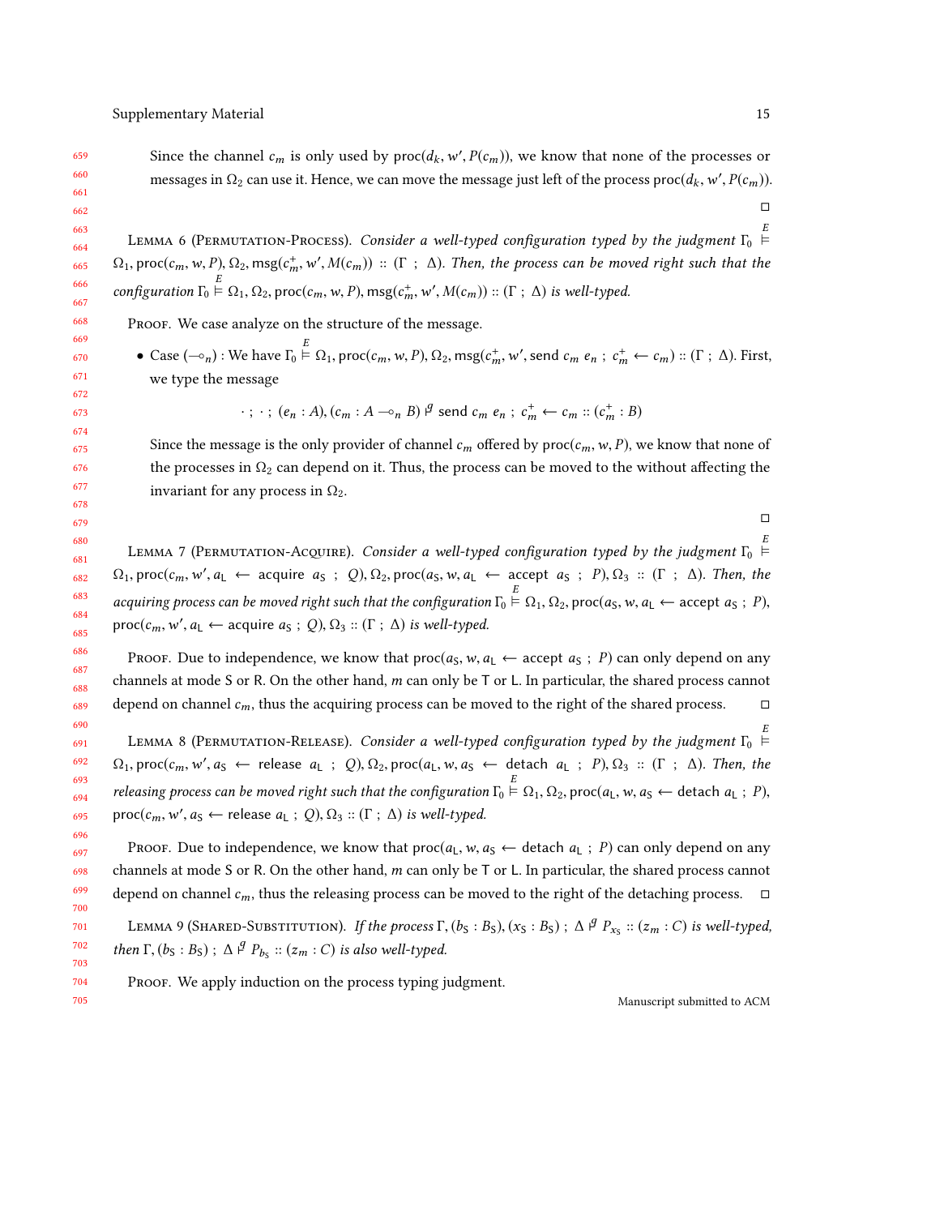703 704 705

<span id="page-14-3"></span>LEMMA 6 (PERMUTATION-PROCESS). Consider a well-typed configuration typed by the judgment  $\Gamma_0 \stackrel{\leftarrow}{\leftarrow}$  $\Omega_1$ , proc $(c_m, w, P)$ ,  $\Omega_2$ , msg $(c_m^+, w', M(c_m))$  :: ( $\Gamma$  ;  $\Delta$ ). Then, the process can be moved right such that the  $\mathfrak{m}$ , where  $\mathfrak{m}$ configuration  $\Gamma_0 \stackrel{\sim}{\models} \Omega_1, \Omega_2$ , proc $(c_m, w, P)$ , msg $(c_n^+$  $m<sub>z</sub>$  $\mathcal{C}, M(c_m)) :: (\Gamma ; \Delta)$  is well-typed.

PROOF. We case analyze on the structure of the message.

• Case  $(-\circ_n)$ : We have  $\Gamma_0 \stackrel{\scriptscriptstyle \times}{\models} \Omega_1$ , proc $(c_m, w, P), \Omega_2$ , msg $(c_m^+$  $m<sub>z</sub>$ ', send  $c_m$   $e_n$ ;  $c_m^+ \leftarrow c_m$ ) :: ( $\Gamma$ ;  $\Delta$ ). First, we type the message

$$
\cdot
$$
;  $\cdot$ ; ( $e_n$ : A), ( $c_m$ : A  $\neg \circ_n$  B)  $\nvdots$  send  $c_m$   $e_n$ ;  $c_m^+ \leftarrow c_m$  :: ( $c_m^+$ : B)

Since the message is the only provider of channel  $c_m$  offered by  $proc(c_m, w, P)$ , we know that none of the processes in  $\Omega_2$  can depend on it. Thus, the process can be moved to the without affecting the invariant for any process in  $\Omega_2$ .

□

<span id="page-14-1"></span>LEMMA 7 (PERMUTATION-ACQUIRE). Consider a well-typed configuration typed by the judgment  $\Gamma_0 \stackrel{\sim}{\vdash}$  $\Omega_1$ , proc $(c_m, w', a_L \leftarrow \text{ acquire } a_S ; Q), \Omega_2$ , proc $(a_S, w, a_L \leftarrow \text{accept } a_S ; P), \Omega_3 :: (\Gamma ; \Delta)$ . Then, the acquiring process can be moved right such that the configuration  $\Gamma_0 \stackrel{\sim}{\vdash} \Omega_1, \Omega_2$ , proc(a<sub>S</sub>, w, a<sub>L</sub> ← accept a<sub>S</sub> ; P),  $\text{proc}(c_m, w', a_{\text{L}} \leftarrow \text{acquire } a_{\text{S}} \text{ ; } Q), \Omega_3 \text{ :: } (\Gamma \text{ ; } \Delta) \text{ is well-typed.}$ 

Proof. Due to independence, we know that  $proc(a<sub>S</sub>, w, a<sub>L</sub> \leftarrow accept a<sub>S</sub>; P)$  can only depend on any channels at mode S or R. On the other hand, *m* can only be T or L. In particular, the shared process cannot depend on channel  $c_m$ , thus the acquiring process can be moved to the right of the shared process. depend on channel  $c_m$ , thus the acquiring process can be moved to the right of the shared process.

<span id="page-14-2"></span>691 692 693 694 695 LEMMA 8 (PERMUTATION-RELEASE). Consider a well-typed configuration typed by the judgment  $\Gamma_0 \stackrel{\sim}{\vdash}$  $\Omega_1$ , proc $(c_m, w', a_S \leftarrow$  release  $a_L$ ;  $Q$ ),  $\Omega_2$ , proc $(a_L, w, a_S \leftarrow$  detach  $a_L$ ;  $P$ ),  $\Omega_3$ :  $(\Gamma; \Delta)$ . Then, the releasing process can be moved right such that the configuration  $\Gamma_0 \stackrel{\sim}{\vdash} \Omega_1, \Omega_2$ , proc( $a_L, w, a_S \leftarrow$  detach  $a_L$ ; P),  $\text{proc}(c_m, w', a_S \leftarrow \text{release } a_L ; Q), \Omega_3 :: (\Gamma ; \Delta) \text{ is well-typed.}$ 

Proof. Due to independence, we know that  $proc(a_L, w, a_S \leftarrow$  detach  $a_L$ ; P) can only depend on any channels at mode <sup>S</sup> or <sup>R</sup>. On the other hand, m can only be <sup>T</sup> or <sup>L</sup>. In particular, the shared process cannot depend on channel  $c_m$ , thus the releasing process can be moved to the right of the detaching process.  $\Box$ 

<span id="page-14-0"></span>701 702 LEMMA 9 (SHARED-SUBSTITUTION). If the process  $\Gamma$ ,  $(b_S : B_S)$ ,  $(x_S : B_S)$ ;  $\Delta \nvert^g P_{x_S}$  ::  $(z_m : C)$  is well-typed, then  $\Gamma$ ,  $(b_S : B_S)$ ;  $\Delta \nvert^g P_{b_S} :: (z_m : C)$  is also well-typed.

Proof. We apply induction on the process typing judgment.

Manuscript submitted to ACM

□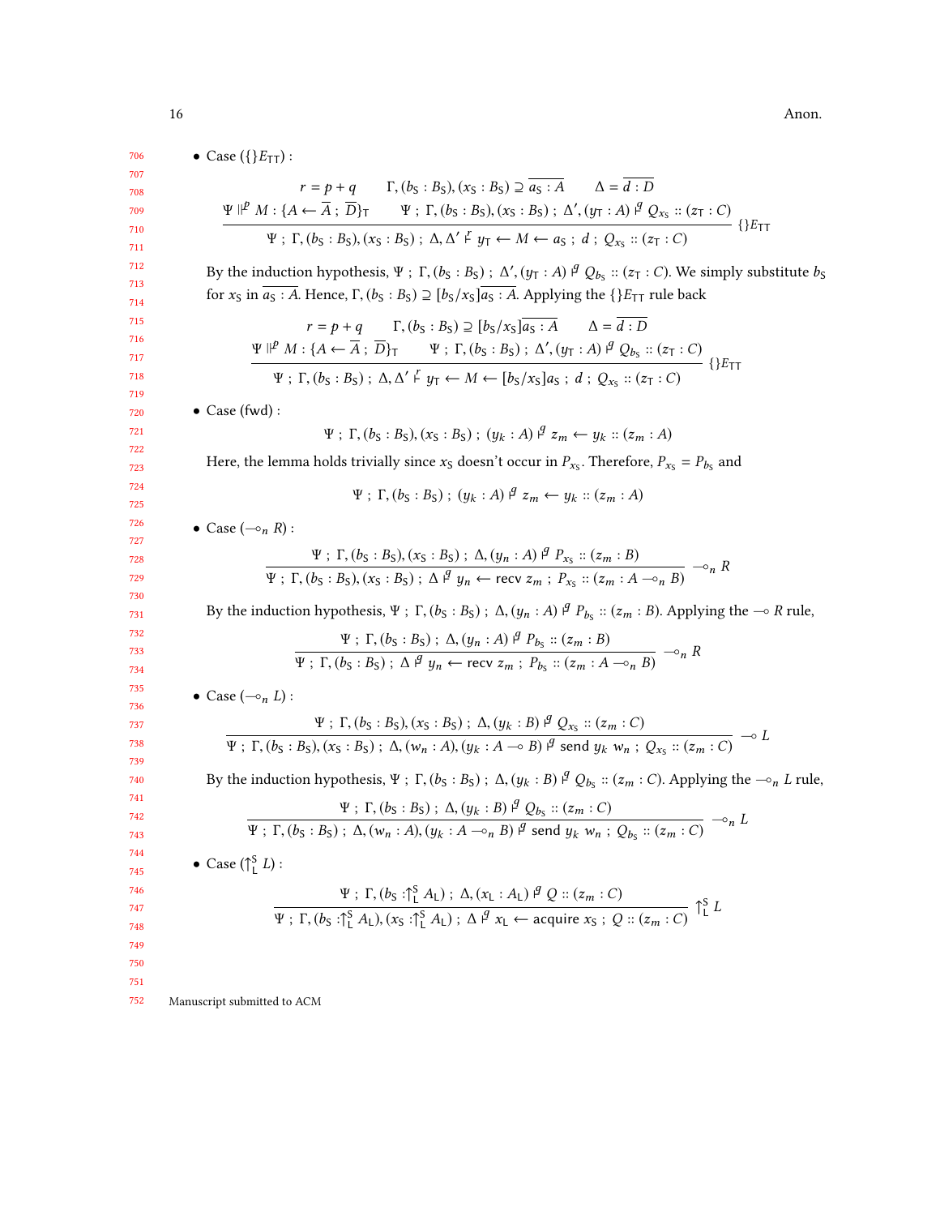• Case  $({E_{TT}})$  :

$$
r = p + q \qquad \Gamma, (b_S : B_S), (x_S : B_S) \supseteq \overline{a_S : A} \qquad \Delta = \overline{d : D}
$$
  

$$
\Psi \Vdash^{p} M : \{A \leftarrow \overline{A} ; \overline{D}\}_{T} \qquad \Psi ; \Gamma, (b_S : B_S), (x_S : B_S) ; \Delta', (y_T : A) \Vdash^{q} Q_{x_S} :: (z_T : C)
$$
  

$$
\Psi ; \Gamma, (b_S : B_S), (x_S : B_S) ; \Delta, \Delta' \Vdash^{r} y_T \leftarrow M \leftarrow a_S ; d ; Q_{x_S} :: (z_T : C)
$$
 {}

By the induction hypothesis, Ψ ; Γ,  $(b_S : B_S)$ ;  $\Delta'$ ,  $(y_T : A)$   $\beta$   $Q_{b_S}$  ::  $(z_T : C)$ . We simply substitute  $b_S$ for  $x_S$  in  $\overline{a_S : A}$ . Hence,  $\Gamma$ ,  $(b_S : B_S) \supseteq [b_S/x_S]\overline{a_S : A}$ . Applying the  $\{\}E_{TT}$  rule back

$$
r = p + q \quad \Gamma, (b_S : B_S) \supseteq [b_S/x_S] \overline{a_S : A} \quad \Delta = \overline{d : D}
$$
  

$$
\Psi \parallel^p M : \{A \leftarrow \overline{A} ; \overline{D}\}_{T} \quad \Psi ; \Gamma, (b_S : B_S) ; \Delta', (y_T : A) \parallel^q Q_{b_S} :: (z_T : C)
$$
  

$$
\Psi ; \Gamma, (b_S : B_S) ; \Delta, \Delta' \vdash y_T \leftarrow M \leftarrow [b_S/x_S] a_S ; d ; Q_{x_S} :: (z_T : C)
$$
 {}

• Case (fwd) :

$$
\Psi
$$
;  $\Gamma$ ,  $(b_S : B_S)$ ,  $(x_S : B_S)$ ;  $(y_k : A) \, \mathcal{I} \, z_m \leftarrow y_k :: (z_m : A)$ 

Here, the lemma holds trivially since  $x_S$  doesn't occur in  $P_{x_S}$ . Therefore,  $P_{x_S} = P_{b_S}$  and

 $Ψ ; Γ, (b<sub>S</sub> : B<sub>S</sub>) ; (y<sub>k</sub> : A)$   $\nvert^q z_m \leftarrow y_k :: (z_m : A)$ 

• Case  $(-\circ_n R)$ :

$$
\frac{\Psi: \Gamma,(b_S:B_S),(x_S:B_S): \Delta,(y_n:A) \stackrel{\beta}{\rightarrow} P_{x_S}::(z_m:B)}{\Psi: \Gamma,(b_S:B_S),(x_S:B_S): \Delta \stackrel{\beta}{\rightarrow} y_n \leftarrow \text{recv } z_m: P_{x_S}::(z_m:A \multimap_n B)} \multimap_n R
$$

By the induction hypothesis,  $\Psi$ ;  $\Gamma$ ,  $(b_S : B_S)$ ;  $\Delta$ ,  $(y_n : A)$   $\varphi$   $P_{b_S} :: (z_m : B)$ . Applying the  $\multimap R$  rule,

$$
\frac{\Psi: \Gamma,(b_S:B_S): \Delta,(y_n:A) \stackrel{q}{\mu} P_{b_S}::(z_m:B)}{\Psi: \Gamma,(b_S:B_S): \Delta \stackrel{q}{\mu} y_n \leftarrow \text{recv } z_m: P_{b_S}::(z_m:A \multimap_n B)} \multimap_n R
$$

• Case  $(-\circ_n L)$ :

$$
\frac{\Psi : \Gamma,(b_{S}:B_{S}),(x_{S}:B_{S}) : \Delta,(y_{k}:B) \nsubseteq Q_{x_{S}} :: (z_{m}:C)}{\Psi : \Gamma,(b_{S}:B_{S}),(x_{S}:B_{S}) : \Delta,(w_{n}:A),(y_{k}:A\multimap B) \nsubseteq \text{send } y_{k} \cdot w_{n} : Q_{x_{S}} :: (z_{m}:C)} \neg D
$$

By the induction hypothesis,  $\Psi$ ;  $\Gamma$ ,  $(b_S : B_S)$ ;  $\Delta$ ,  $(y_k : B)$   $\beta$   $Q_{b_S}$  ::  $(z_m : C)$ . Applying the  $\multimap_n L$  rule,

$$
\Psi: \Gamma, (b_S: B_S): \Delta, (y_k: B) \nsubseteq Q_{b_S} :: (z_m: C)
$$
\n
$$
\Psi: \Gamma, (b_S: B_S): \Delta, (w_n: A), (y_k: A \multimap_n B) \nsubseteq \text{send } y_k \ w_n: Q_{b_S} :: (z_m: C) \multimap_n L
$$

• Case  $(\uparrow_L^S L)$ :

$$
\frac{\Psi : \Gamma, (b_S : \uparrow_L^S A_L) : \Delta, (x_L : A_L) \stackrel{q}{\downarrow} Q :: (z_m : C)}{\Psi : \Gamma, (b_S : \uparrow_L^S A_L), (x_S : \uparrow_L^S A_L) : \Delta \stackrel{q}{\downarrow} x_L \leftarrow \text{acquire } x_S : Q :: (z_m : C)} \uparrow_L^S L
$$

752 Manuscript submitted to ACM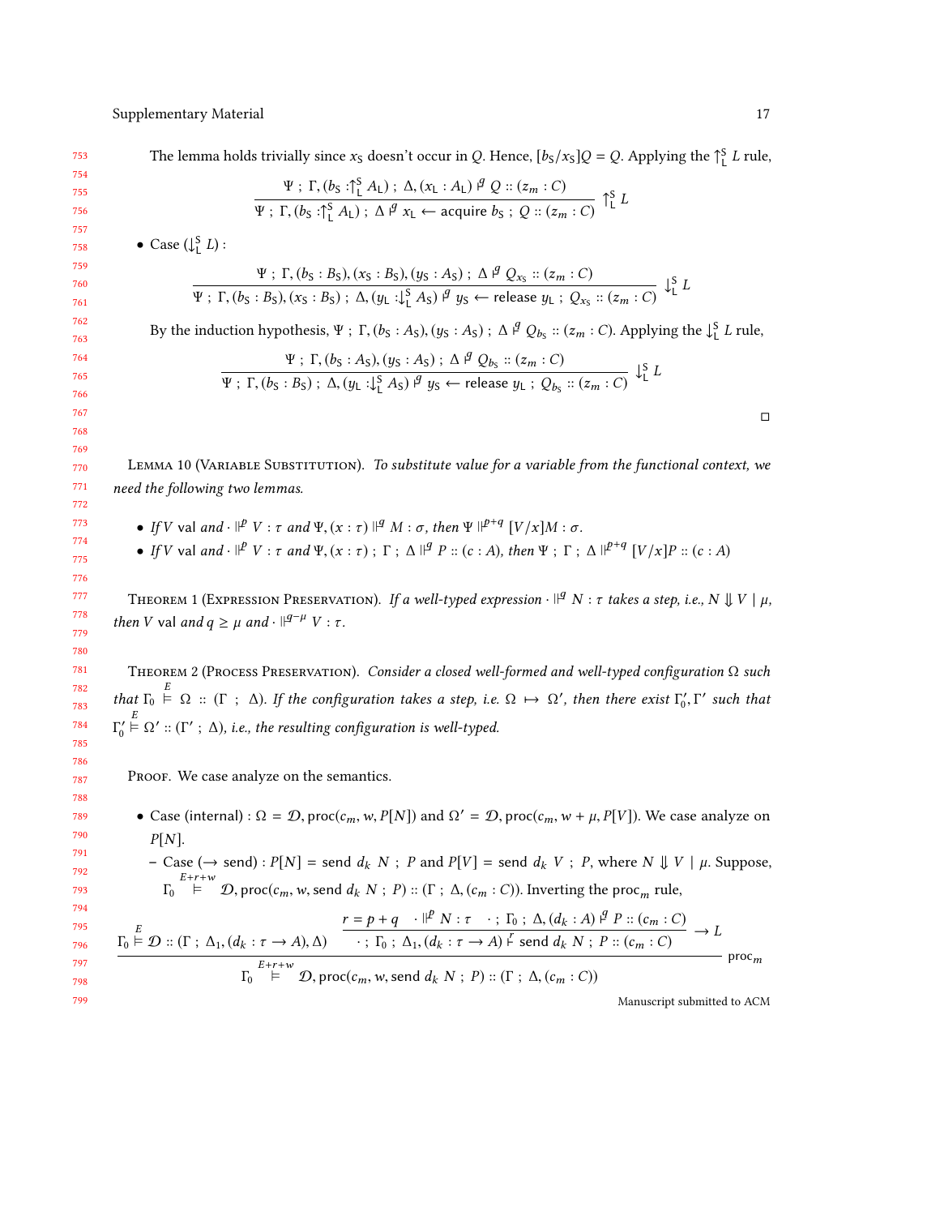The lemma holds trivially since  $x_S$  doesn't occur in Q. Hence,  $[b_S/x_S]Q = Q$ . Applying the  $\int_L^S L$  rule,

$$
\frac{\Psi : \Gamma, (b_S : \uparrow_L^S A_L) : \Delta, (x_L : A_L) \stackrel{q}{\neq} Q :: (z_m : C)}{\Psi : \Gamma, (b_S : \uparrow_L^S A_L) : \Delta \stackrel{q}{\neq} x_L \leftarrow \text{acquire } b_S : Q :: (z_m : C)} \uparrow_L^S L
$$

• Case  $(\downarrow_{\mathsf{L}}^S L)$ :

$$
\frac{\Psi : \Gamma,(b_S:B_S),(x_S:B_S),(y_S:A_S): \Delta \stackrel{q}{\to} Q_{x_S}::(z_m:C)}{\Psi : \Gamma,(b_S:B_S),(x_S:B_S): \Delta,(y_L:\downarrow^S_L A_S) \stackrel{q}{\to} y_S \leftarrow \text{release } y_L : Q_{x_S}::(z_m:C)} \downarrow^S_L I
$$

By the induction hypothesis,  $\Psi$ ;  $\Gamma$ ,  $(b_S : A_S)$ ,  $(y_S : A_S)$ ;  $\Delta \nsubseteq Q_{b_S} :: (z_m : C)$ . Applying the  $\downarrow^S_L L$  rule,

$$
\frac{\Psi : \Gamma,(b_S : A_S), (y_S : A_S) : \Delta \nsubseteq Q_{b_S} :: (z_m : C)}{\Psi : \Gamma,(b_S : B_S) : \Delta, (y_L : \downarrow^S_L A_S) \nsubseteq y_S \leftarrow \text{release } y_L : Q_{b_S} :: (z_m : C)} \nsubseteq^S L
$$

LEMMA 10 (VARIABLE SUBSTITUTION). To substitute value for a variable from the functional context, we need the following two lemmas.

- If V val and ·  $\mathbb{P}^V$  :  $\tau$  and  $\Psi$ ,  $(x : \tau)$   $\mathbb{P}^q$   $M : \sigma$ , then  $\Psi \mathbb{P}^{+q}$   $[V/x]M : \sigma$ .
- If V val and  $\cdot$   $\parallel^p V$  :  $\tau$  and  $\Psi$ ,  $(x:\tau)$ ;  $\Gamma$ ;  $\Delta \parallel^q P :: (c:A)$ , then  $\Psi$ ;  $\Gamma$ ;  $\Delta \parallel^{p+q} [V/x]P :: (c:A)$

<span id="page-16-0"></span>THEOREM 1 (EXPRESSION PRESERVATION). If a well-typed expression  $\cdot$   $\mathbb{P}^g$  N : τ takes a step, i.e., N  $\mathbb{U} V \mid \mu$ , then V val and  $q \geq \mu$  and  $\cdot$   $\mid^{q-\mu} V : \tau$ .

Theorem 2 (Process Preservation). Consider a closed well-formed and well-typed configuration Ω such that  $\Gamma_0 \stackrel{\sim}{\models} \Omega$  :: ( $\Gamma$  ;  $\Delta$ ). If the configuration takes a step, i.e.  $\Omega \mapsto \Omega'$ , then there exist  $\Gamma'_0$ ,  $\Gamma$ ′ such that Γ  $C_0' \stackrel{\sim}{\models} \Omega' :: (\Gamma' ; \Delta)$ , i.e., the resulting configuration is well-typed.

PROOF. We case analyze on the semantics.

• Case (internal) :  $\Omega = \mathcal{D}$ , proc( $c_m$ , w,  $P[N]$ ) and  $\Omega' = \mathcal{D}$ , proc( $c_m$ ,  $w + \mu$ ,  $P[V]$ ). We case analyze on  $P[N]$ .

- Case (
$$
\rightarrow
$$
 send) :  $P[N]$  = send  $d_k$   $N$ ;  $P$  and  $P[V]$  = send  $d_k$   $V$ ;  $P$ , where  $N \Downarrow V \mid \mu$ . Suppose,  
\n
$$
\Gamma_0 \xrightarrow{E+r+w} D
$$
, proc( $c_m$ ,  $w$ , send  $d_k$   $N$ ;  $P$ ) :: ( $\Gamma$ ;  $\Delta$ , ( $c_m$  :  $C$ )). Inverting the proc<sub>m</sub> rule,

$$
\frac{r = p + q \cdot |P \times r : \tau \cdot ; \Gamma_0 : \Delta, (d_k : A) \stackrel{q}{\rightarrow} P :: (c_m : C)}{\Gamma_0 \models \mathcal{D} :: (\Gamma : \Delta_1, (d_k : \tau \to A), \Delta)} \xrightarrow{\tau \cdot \Gamma_0 : \Delta_1, (d_k : \tau \to A) \stackrel{r}{\leftarrow} \text{send } d_k \times S : P :: (c_m : C)} \rightarrow L
$$
\n
$$
\frac{F + r + w}{\Gamma_0 \models \mathcal{D}, \text{proc}(c_m, w, \text{send } d_k \times S : P :: (\Gamma : \Delta, (c_m : C))} \text{proc}_m
$$

Manuscript submitted to ACM

□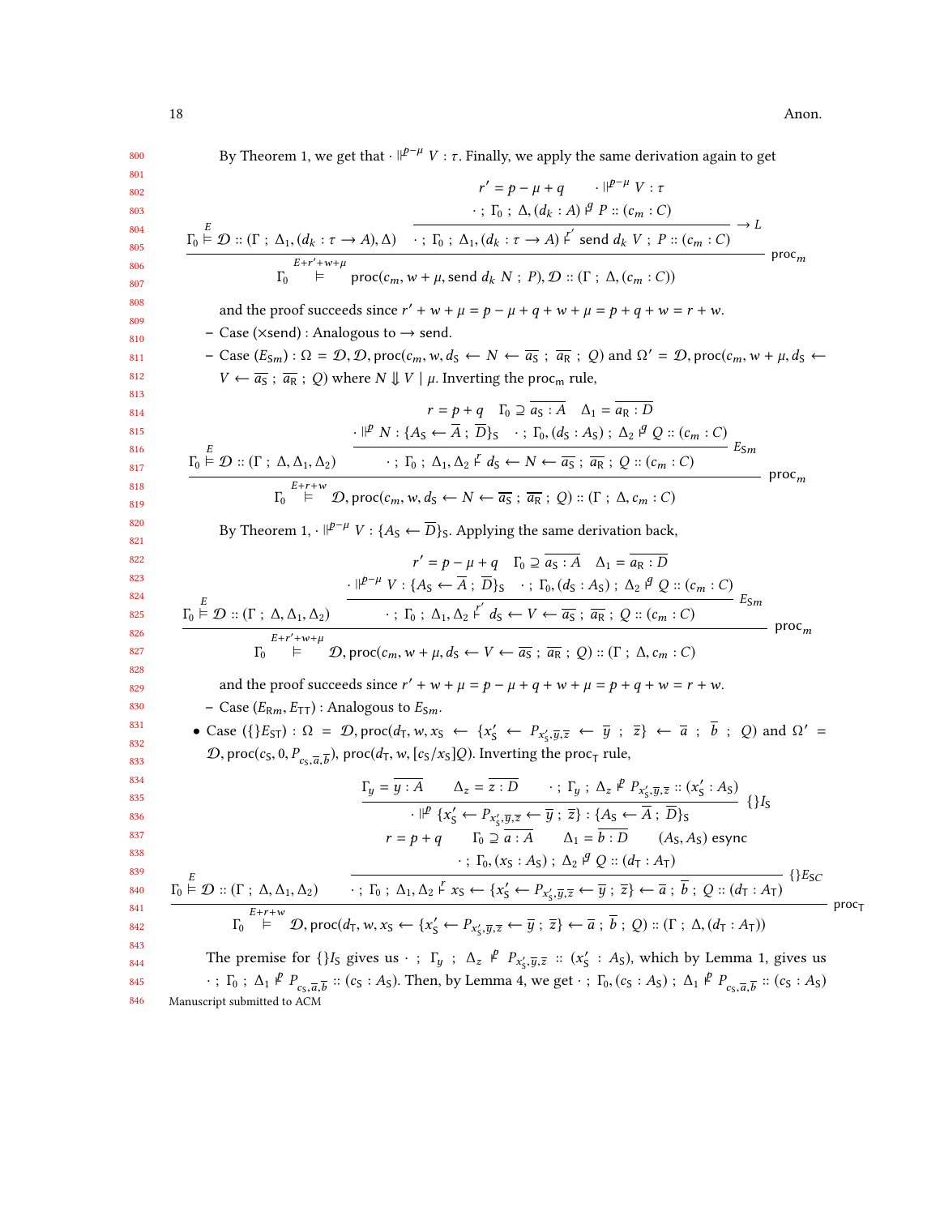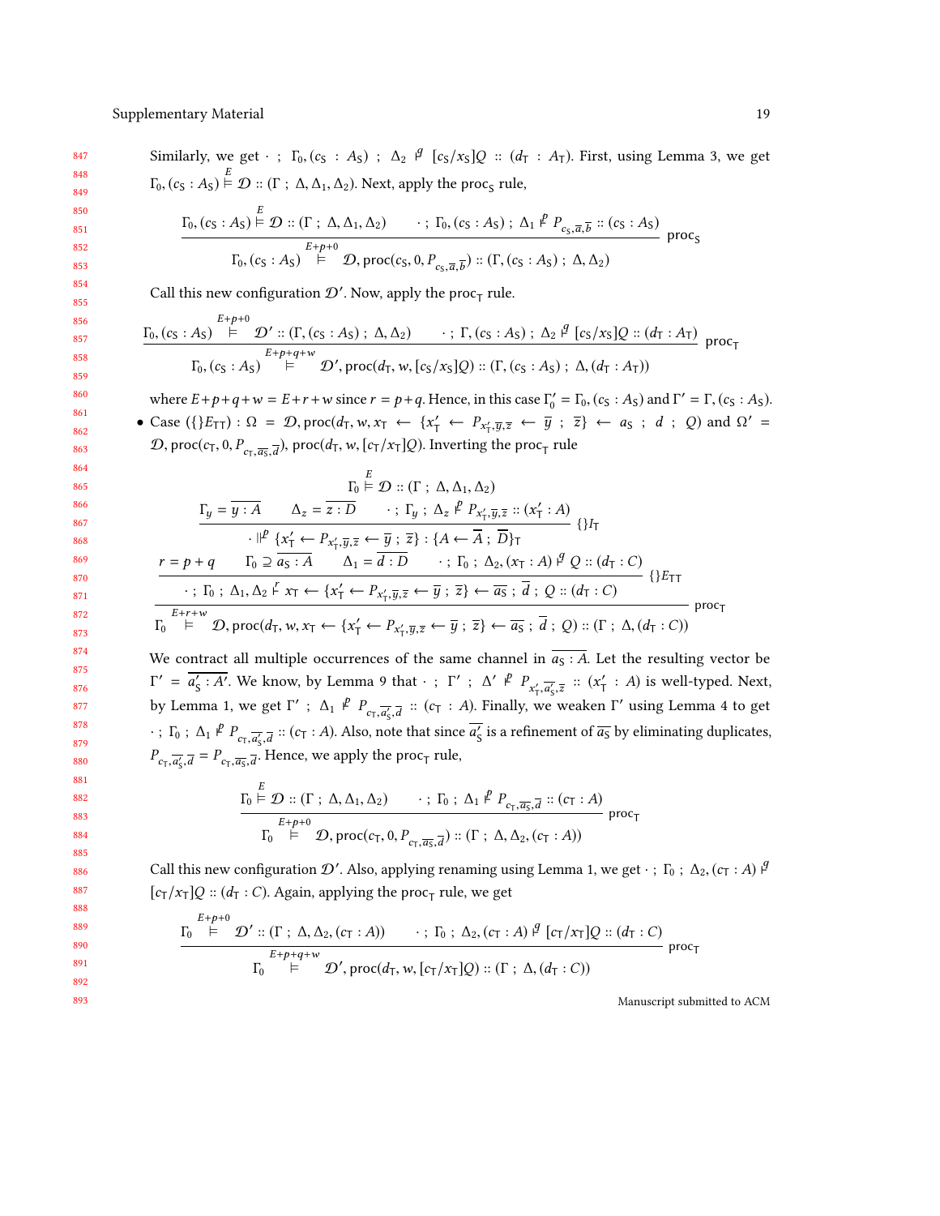$E+p+0$ 

Similarly, we get  $\cdot$  ;  $\Gamma_0$ ,  $(c_S : A_S)$  ;  $\Delta_2 \neq [c_S/x_S]Q :: (d_T : A_T)$ . First, using Lemma [3,](#page-11-0) we get  $\Gamma_0$ ,  $(c_S : A_S) \stackrel{\sim}{\vdash} \mathcal{D} :: (\Gamma : \Delta, \Delta_1, \Delta_2)$ . Next, apply the proc<sub>S</sub> rule,  $\Gamma_{0}$ ,  $(c_S : A_S) \stackrel{\sim}{\models} \mathcal{D} :: (\Gamma : \Delta, \Delta_1, \Delta_2) \longrightarrow; \Gamma_{0}$ ,  $(c_S : A_S) ; \Delta_1 \not\perp^p P_{c_S, \overline{a}, \overline{b}} :: (c_S : A_S)$  $\Gamma_0$ ,  $(c_S : A_S) \stackrel{E+p+0}{\models} \mathcal{D}$ , proc $(c_S, 0, P_{c_S, \overline{a}, \overline{b}}) :: (\Gamma, (c_S : A_S) ; \Delta, \Delta_2)$ Call this new configuration  $\mathcal{D}'$ . Now, apply the proc<sub>T</sub> rule.

$$
\frac{\Gamma_0, (c_S: A_S) \stackrel{\cdot}{\models} \mathcal{D}' :: (\Gamma, (c_S: A_S); \Delta, \Delta_2) \cdot ; \Gamma, (c_S: A_S); \Delta_2 \stackrel{\beta}{\models} [c_S/x_S]Q :: (d_T: A_T)}{\Gamma_0, (c_S: A_S) \stackrel{E+p+q+w}{\models} \mathcal{D}', \text{proc}(d_T, w, [c_S/x_S]Q) :: (\Gamma, (c_S: A_S); \Delta, (d_T: A_T))} \text{proc}_T
$$

where  $E+p+q+w = E+r+w$  since  $r = p+q$ . Hence, in this case  $\Gamma'_0 = \Gamma_0$ ,  $(c_S : A_S)$  and  $\Gamma' = \Gamma$ ,  $(c_S : A_S)$ .

• Case  $({E_{TT}}): \Omega = \mathcal{D}$ , proc( $d_T, w, x_T \leftarrow {x'_T \leftarrow P_{x'_T, \overline{y}, \overline{z}} \leftarrow \overline{y}$ ;  $\overline{z} \leftarrow a_S$ ; d; Q) and  $\Omega' =$ D, proc $(c_7, 0, P_{c_7, \overline{a_5}, \overline{d}})$ , proc $(d_7, w, [c_7/x_7]Q)$ . Inverting the proc<sub>T</sub> rule

$$
\frac{\Gamma_y = \overline{y : A} \qquad \Delta_z = \overline{z : D} \qquad : \Gamma_y : \Delta_z \not\stackrel{P}{=} P_{x'_1, \overline{y}, \overline{z}} :: (x'_1 : A)
$$
\n
$$
\cdot \frac{\left| \varphi \right|}{\left| \varphi \right|} \{x'_1 \leftarrow P_{x'_1, \overline{y}, \overline{z}} \leftarrow \overline{y} ; \overline{z} \} : \{A \leftarrow \overline{A} ; \overline{D} \}_{\tau} \{ \} \}
$$
\n
$$
r = p + q \qquad \Gamma_0 \supseteq \overline{a_S : A} \qquad \Delta_1 = \overline{d : D} \qquad : \Gamma_0 : \Delta_2, (x_{\overline{1}} : A) \not\stackrel{Q}{=} \mathcal{Q} :: (d_{\overline{1}} : C)
$$
\n
$$
\cdot : \Gamma_0 : \Delta_1, \Delta_2 \not\stackrel{P}{=} x_{\overline{1}} \leftarrow \{x'_1 \leftarrow P_{x'_1, \overline{y}, \overline{z}} \leftarrow \overline{y} ; \overline{z} \} \leftarrow \overline{a_S} ; \overline{d} : Q :: (d_{\overline{1}} : C)
$$
\n
$$
\Gamma_0 \not\stackrel{E+r+w}{\models} \mathcal{D}, \text{proc}(d_{\overline{1}}, w, x_{\overline{1}} \leftarrow \{x'_{\overline{1}} \leftarrow P_{x'_1, \overline{y}, \overline{z}} \leftarrow \overline{y} ; \overline{z} \} \leftarrow \overline{a_S} ; \overline{d} ; Q :: (\Gamma : \Delta, (d_{\overline{1}} : C)) \text{proc}_{\overline{1}} \}
$$

We contract all multiple occurrences of the same channel in  $\overline{a_S : A}$ . Let the resulting vector be  $\Gamma' = \overline{a'_S : A'}$ . We know, by Lemma [9](#page-14-0) that  $\cdot$ ;  $\Gamma'$ ;  $\Delta' \stackrel{p}{\sim} P_{x'_T, \overline{a'_S}, \overline{z}} :: (x'_T : A)$  is well-typed. Next, by Lemma [1,](#page-8-1) we get  $\Gamma'$ ;  $\Delta_1$   $\stackrel{p}{\sim} P_{c_T, \overline{a'_S}, \overline{d}}$  :: ( $c_T$ : A). Finally, we weaken  $\Gamma'$  using Lemma [4](#page-13-0) to get  $\cdot$ ;  $\Gamma_0$ ;  $\Delta_1$   $\stackrel{p}{\sim} P_{c_{\tau}, \overline{a'_S}, \overline{d}}$  :: ( $c_{\tau}$  : A). Also, note that since  $\overline{a'_S}$  is a refinement of  $\overline{a_S}$  by eliminating duplicates,  $\begin{bmatrix} c_T, a'_S, d \\ I \end{bmatrix}$  $P_{c_{\text{T}}, \overline{d'_\text{S}}, \overline{d}} = P_{c_{\text{T}}, \overline{d_s}, \overline{d}}$ . Hence, we apply the proc<sub>T</sub> rule,

$$
\frac{\Gamma_0 \stackrel{\smile}{\models} \mathcal{D} :: (\Gamma \; ; \; \Delta, \Delta_1, \Delta_2) \qquad \cdots \; ; \; \Gamma_0 \; ; \; \Delta_1 \not\stackrel{P}{\models} P_{c_T, \overline{a_S}, \overline{d}} :: (c_T : A)}{\Gamma_0 \stackrel{E+p+0}{\models}} \mathcal{D}, \text{proc}(c_T, 0, P_{c_T, \overline{a_S}, \overline{d}}) :: (\Gamma \; ; \; \Delta, \Delta_2, (c_T : A))
$$
proc<sub>T</sub>

Call this new configuration  $\mathcal{D}'$ . Also, applying renaming using Lemma [1,](#page-8-1) we get · ;  $\Gamma_0$  ;  $\Delta_2$ ,  $(c_T : A)$   $\mathcal{F}$  $[c_T/x_T]Q :: (d_T : C)$ . Again, applying the proc<sub>T</sub> rule, we get

$$
\frac{\Gamma_0 \overset{E+p+0}{\models} \mathcal{D}' :: (\Gamma \; ; \; \Delta, \Delta_2, (c_T : A)) \qquad \cdots \; ; \; \Gamma_0 \; ; \; \Delta_2, (c_T : A) \overset{\beta}{\models} [c_T/x_T] Q :: (d_T : C)}{\Gamma_0 \overset{E+p+q+w}{\models} \mathcal{D}', \text{proc}(d_T, w, [c_T/x_T]Q) :: (\Gamma \; ; \; \Delta, (d_T : C))} \text{proc}_T
$$

Manuscript submitted to ACM

 $proc<sub>S</sub>$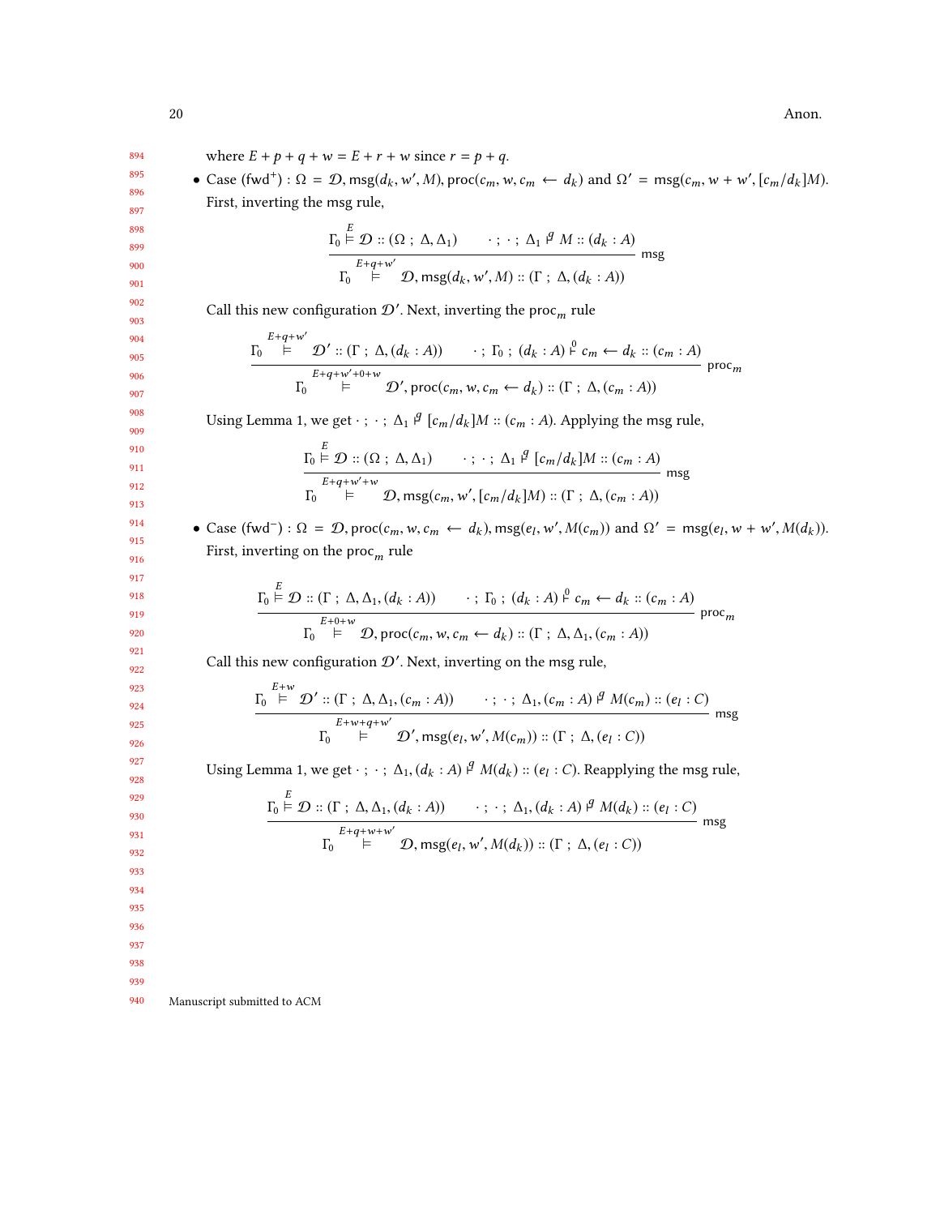20 Anon.

| 894        | where $E + p + q + w = E + r + w$ since $r = p + q$ .                                                                                                                                                                                                                                                                                                      |
|------------|------------------------------------------------------------------------------------------------------------------------------------------------------------------------------------------------------------------------------------------------------------------------------------------------------------------------------------------------------------|
| 895        | • Case $(fwd^+)$ : $\Omega = \mathcal{D}$ , msg $(d_k, w', M)$ , proc $(c_m, w, c_m \leftarrow d_k)$ and $\Omega' = \text{msg}(c_m, w + w', [c_m/d_k]M)$ .                                                                                                                                                                                                 |
| 896        |                                                                                                                                                                                                                                                                                                                                                            |
| 897        | First, inverting the msg rule,                                                                                                                                                                                                                                                                                                                             |
| 898<br>899 |                                                                                                                                                                                                                                                                                                                                                            |
| 900<br>901 | $\frac{\Gamma_0 \stackrel{E}{\models} \mathcal{D} :: (\Omega \, ; \, \Delta, \Delta_1) \qquad \cdots \, ; \, \Delta_1 \stackrel{\beta}{\models} M :: (d_k : A)}{\Gamma_0 \stackrel{E+q+w'}{\models} \mathcal{D}, \, \text{msg}(d_k, w', M) :: (\Gamma \, ; \, \Delta, (d_k : A))}$ msg                                                                     |
| 902<br>903 | Call this new configuration $\mathcal{D}^{\prime}.$ Next, inverting the $\mathsf{proc}_m$ rule                                                                                                                                                                                                                                                             |
| 904<br>905 |                                                                                                                                                                                                                                                                                                                                                            |
| 906<br>907 | $\frac{\Gamma_0 \stackrel{E+q+w}{\models} \mathcal{D}' :: (\Gamma : \Delta, (d_k : A)) \longrightarrow \Gamma_0 : (d_k : A) \stackrel{\rho}{\models} c_m \leftarrow d_k :: (c_m : A) \text{ proc}_m}{\Gamma_0 \stackrel{E+q+w'+0+w}{\models} \mathcal{D}', \text{proc}(c_m, w, c_m \leftarrow d_k) :: (\Gamma : \Delta, (c_m : A))} \text{proc}_m$         |
| 908<br>909 | Using Lemma 1, we get $\cdot$ ; $\cdot$ ; $\Delta_1$ $\beta$ [ $c_m/d_k$ ] <i>M</i> :: ( $c_m$ : <i>A</i> ). Applying the msg rule,                                                                                                                                                                                                                        |
| 910<br>911 | $\frac{\Gamma_0 \overset{E}{\models} \mathcal{D} :: (\Omega \ ; \ \Delta, \Delta_1) \qquad \cdots \ ; \ \cdot \ ; \ \Delta_1 \overset{g}{\models} [c_m/d_k]M :: (c_m : A)}{\Gamma_0 \qquad \vdash \qquad \mathcal{D}, \, \text{msg}(c_m, w', [c_m/d_k]M) :: (\Gamma \ ; \ \Delta, (c_m : A))} \, \text{msg}$                                               |
| 912<br>913 |                                                                                                                                                                                                                                                                                                                                                            |
| 914        | • Case (fwd <sup>-</sup> ) : $\Omega = \mathcal{D}$ , proc( $c_m$ , w, $c_m \leftarrow d_k$ ), msg( $e_l$ , w', $M(c_m)$ ) and $\Omega' = \text{msg}(e_l, w + w', M(d_k))$ .                                                                                                                                                                               |
| 915        | First, inverting on the $procm$ rule                                                                                                                                                                                                                                                                                                                       |
| 916        |                                                                                                                                                                                                                                                                                                                                                            |
| 917        |                                                                                                                                                                                                                                                                                                                                                            |
| 918<br>919 |                                                                                                                                                                                                                                                                                                                                                            |
| 920        | $\frac{\Gamma_0 \overset{E}{\models} \mathcal{D} :: (\Gamma \, ; \, \Delta, \Delta_1, (d_k : A)) \qquad \cdots \, ; \, \Gamma_0 \, ; \, (d_k : A) \overset{\rho}{\models} c_m \leftarrow d_k :: (c_m : A) \atop \Gamma_0 \overset{E+0+w}{\models} \mathcal{D}, \, \text{proc}(c_m, w, c_m \leftarrow d_k) :: (\Gamma \, ; \, \Delta, \Delta_1, (c_m : A))$ |
| 921<br>922 | Call this new configuration $\mathcal{D}'$ . Next, inverting on the msg rule,                                                                                                                                                                                                                                                                              |
| 923<br>924 |                                                                                                                                                                                                                                                                                                                                                            |
| 925<br>926 | $\frac{\Gamma_0 \stackrel{E+W}{\models} \mathcal{D}' :: (\Gamma : \Delta, \Delta_1, (c_m : A)) \qquad : \cdot : \Delta_1, (c_m : A) \stackrel{g}{\models} M(c_m) :: (e_l : C)}{\Gamma_0 \stackrel{E+w+q+w'}{\models} \mathcal{D}', \text{msg}(e_l, w', M(c_m)) :: (\Gamma : \Delta, (e_l : C))} \text{msg}$                                                |
| 927<br>928 | Using Lemma 1, we get $\cdot$ ; $\cdot$ ; $\Delta_1$ , $(d_k : A)$ $\circ$ <sup><i>q</i></sup> $M(d_k) :: (e_l : C)$ . Reapplying the msg rule,                                                                                                                                                                                                            |
| 929<br>930 | $\underbrace{\Gamma_0 \stackrel{E}{\models} \mathcal{D} :: (\Gamma : \Delta, \Delta_1, (d_k : A)) \qquad \cdots : \Delta_1, (d_k : A) \stackrel{q}{\models} M(d_k) :: (e_l : C)}$                                                                                                                                                                          |
| 931        | - msg                                                                                                                                                                                                                                                                                                                                                      |
| 932        | $\mathcal{D}$ , msg $(e_l, w', M(d_k))$ :: $(\Gamma; \Delta, (e_l : C))$<br>$\Gamma_0$<br>⊨                                                                                                                                                                                                                                                                |
| 933        |                                                                                                                                                                                                                                                                                                                                                            |
| 934        |                                                                                                                                                                                                                                                                                                                                                            |
| 935        |                                                                                                                                                                                                                                                                                                                                                            |
| 936        |                                                                                                                                                                                                                                                                                                                                                            |
| 937        |                                                                                                                                                                                                                                                                                                                                                            |
| 938<br>939 |                                                                                                                                                                                                                                                                                                                                                            |
| 940        | Manuscript submitted to ACM                                                                                                                                                                                                                                                                                                                                |
|            |                                                                                                                                                                                                                                                                                                                                                            |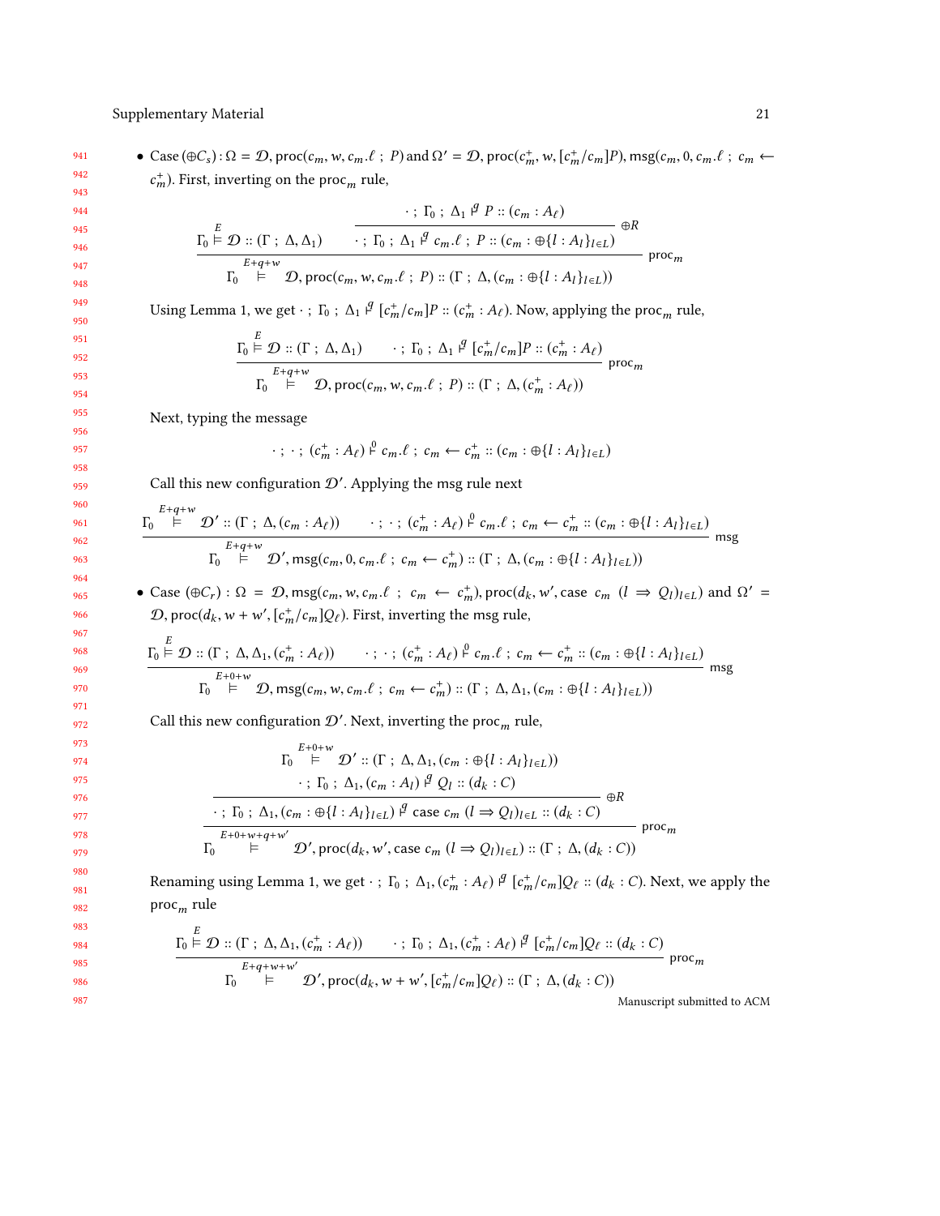#### Supplementary Material 21 22

941 942 • Case  $(\oplus C_s)$ :  $\Omega = \mathcal{D}$ , proc $(c_m, w, c_m, \ell; P)$  and  $\Omega' = \mathcal{D}$ , proc $(c_m^+, w, [c_m^+(c_m]P), \text{msg}(c_m, 0, c_m, \ell; c_m \leftarrow$  $_{m}^{+}$ ). First, inverting on the proc<sub>m</sub> rule,

$$
\frac{\Gamma_0 \stackrel{E}{\models} \mathcal{D} :: (\Gamma \, ; \, \Delta, \Delta_1)}{\Gamma_0 \stackrel{E+q+w}{\models}} \cdot \frac{\cdot \Gamma_0 : \Delta_1 \stackrel{g}{\rightarrow} c_m \cdot \ell \, ; \, P :: (c_m : A_\ell)}{\cdot \cdot \Gamma_0 : \Delta_1 \stackrel{g}{\rightarrow} c_m \cdot \ell \, ; \, P :: (c_m : \bigoplus \{l : A_l\}_{l \in L})} \bigoplus_{\text{proc}_m} \Gamma_0
$$

Using Lemma [1,](#page-8-1) we get  $\cdot$ ;  $\Gamma_0$ ;  $\Delta_1$   $\beta$   $[c_m^+/c_m]P$  ::  $(c_m^+ : A_\ell)$ . Now, applying the proc<sub>m</sub> rule,

$$
\frac{\Gamma_0 \stackrel{\leftarrow}{\models} \mathcal{D} :: (\Gamma \, ; \, \Delta, \Delta_1) \qquad \cdot \, ; \, \Gamma_0 \, ; \, \Delta_1 \stackrel{\beta}{\models} [c_m^+/c_m] P :: (c_m^+ : A_\ell)}{\Gamma_0 \stackrel{E+q+w}{\models}} \mathcal{D}, \text{proc}(c_m, w, c_m.\ell \, ; \, P) :: (\Gamma \, ; \, \Delta, (c_m^+ : A_\ell))
$$

Next, typing the message

$$
\cdot \; ; \; \cdot \; ; \; (c_m^+ : A_\ell) \stackrel{\circ}{\vdash} c_m \cdot \ell \; ; \; c_m \leftarrow c_m^+ :: (c_m : \bigoplus \{l : A_l\}_{l \in L})
$$

Call this new configuration  $\mathcal{D}'$ . Applying the msg rule next

$$
\frac{\Gamma_0 \stackrel{E+q+w}{\models} \mathcal{D}' :: (\Gamma \, ; \, \Delta, (c_m : A_\ell)) \qquad \cdots \, ; \, (c_m^+ : A_\ell) \stackrel{\rho}{\vdash} c_m \ldots c_m \leftarrow c_m^+ :: (c_m : \oplus \{l : A_l\}_{l \in L})}{\Gamma_0 \stackrel{E+q+w}{\models} \mathcal{D}', \, \text{msg}(c_m, 0, c_m \ldots c_m \leftarrow c_m^+) :: (\Gamma \, ; \, \Delta, (c_m : \oplus \{l : A_l\}_{l \in L}))}
$$
msg

• Case  $(\oplus C_r)$ :  $\Omega = \mathcal{D}$ , msg $(c_m, w, c_m, \ell; c_m \leftarrow c_m^+)$ , proc $(d_k, w',$  case  $c_m$   $(l \Rightarrow Q_l)_{l \in L}$ ) and  $\Omega' =$  $\mathcal{D}, \text{proc}(d_k, w + w', [c_m^+/c_m]Q_\ell).$  First, inverting the msg rule,

$$
\frac{\Gamma_0 \stackrel{E}{\models} \mathcal{D} :: (\Gamma \, ; \, \Delta, \Delta_1, (c_m^+ : A_\ell)) \qquad \cdots \, ; \, \cdot \, ; \, (c_m^+ : A_\ell) \stackrel{\rho}{\models} c_m.\ell \, ; \, c_m \leftarrow c_m^+ :: (c_m : \oplus \{l : A_l\}_{l \in L})}{\Gamma_0 \stackrel{E+0+w}{\models} \mathcal{D}, \, \text{msg}(c_m, w, c_m.\ell \, ; \, c_m \leftarrow c_m^+) :: (\Gamma \, ; \, \Delta, \Delta_1, (c_m : \oplus \{l : A_l\}_{l \in L}))}
$$

Call this new configuration  $\mathcal{D}'$ . Next, inverting the proc<sub>m</sub> rule,

$$
\Gamma_0 \stackrel{E+0+w}{\models} \mathcal{D}' :: (\Gamma \; ; \; \Delta, \Delta_1, (c_m : \bigoplus \{ l : A_l \}_{l \in L}))
$$
\n
$$
\cdot \; ; \; \Gamma_0 \; ; \; \Delta_1, (c_m : A_l) \stackrel{q}{\models} \mathcal{Q}_l :: (d_k : C)
$$
\n
$$
\cdot \; ; \; \Gamma_0 \; ; \; \Delta_1, (c_m : \bigoplus \{ l : A_l \}_{l \in L}) \stackrel{q}{\models} \text{case } c_m (l \Rightarrow \mathcal{Q}_l)_{l \in L} :: (d_k : C)
$$
\n
$$
\Gamma_0 \stackrel{E+0+w+q+w'}{\models} \mathcal{D}', \text{proc}(d_k, w', \text{case } c_m (l \Rightarrow \mathcal{Q}_l)_{l \in L}) :: (\Gamma \; ; \; \Delta, (d_k : C))
$$

Renaming using Lemma [1,](#page-8-1) we get  $\cdot$ ;  $\Gamma_0$ ;  $\Delta_1$ ,  $(c_m^+ : A_\ell)$   $\mathcal{F}$   $[c_m^+/c_m]Q_\ell :: (d_k : C)$ . Next, we apply the proc<sub>m</sub> rule

$$
\frac{\Gamma_0 \stackrel{E}{\models} \mathcal{D} :: (\Gamma \, ; \, \Delta, \Delta_1, (c_m^+ : A_\ell)) \qquad \cdot \, ; \, \Gamma_0 \, ; \, \Delta_1, (c_m^+ : A_\ell) \, \mathcal{F} \, [c_m^+ / c_m] Q_\ell :: (d_k : C)}{\Gamma_0 \qquad \qquad \vdots \qquad \qquad \mathcal{D}', \, \text{proc}(d_k, w + w', [c_m^+ / c_m] Q_\ell) :: (\Gamma \, ; \, \Delta, (d_k : C))}
$$
\n
$$
\text{Momentum} \text{Momentum} \text{Momentum} \text{Momentum} \text{Momentum} \text{Momentum} \text{Momentum} \text{Momentum} \text{Momentum} \text{Momentum} \text{Momentum} \text{Momentum} \text{Momentum} \text{Momentum} \text{Momentum} \text{Momentum} \text{Momentum} \text{Momentum} \text{Momentum} \text{Momentum} \text{Momentum} \text{Momentum} \text{Momentum} \text{Momentum} \text{Momentum} \text{Momentum} \text{Momentum} \text{Momentum} \text{Momentum} \text{Momentum} \text{Momentum} \text{Momentum} \text{Momentum} \text{Momentum} \text{Momentum} \text{Momentum} \text{Momentum} \text{Momentum} \text{Momentum} \text{Momentum} \text{Momentum} \text{Momentum} \text{Momentum} \text{Momentum} \text{Momentum} \text{Momentum} \text{Momentum} \text{Momentum} \text{Momentum} \text{Momentum} \text{Momentum} \text{Momentum} \text{Momentum} \text{Momentum} \text{Momentum} \text{Momentum} \text{Momentum} \text{Momentum} \text{Momentum} \text{Momentum} \text{Momentum} \text{Momentum} \text{Momentum} \text{Momentum} \text{Momentum} \text{Momentum} \text{Momentum} \text{Momentum} \text{Momentum} \text{Momentum} \text{Momentum} \text{Momentum} \text{Momentum} \text{Momentum} \text{Momentum} \text{Momentum} \text{Momentum} \text{Momentum} \text{Momentum} \text{Momentum} \text{Momentum} \text{Momentum} \text{Momentum} \text{Momentum} \text{Momentum} \text{Momentum} \text{Momentum} \text{Momentum} \text{Momentum} \text{Momentum} \text{Momentum} \text{Momentum} \text{Momentum} \text{Momentum} \text{Momentum} \text
$$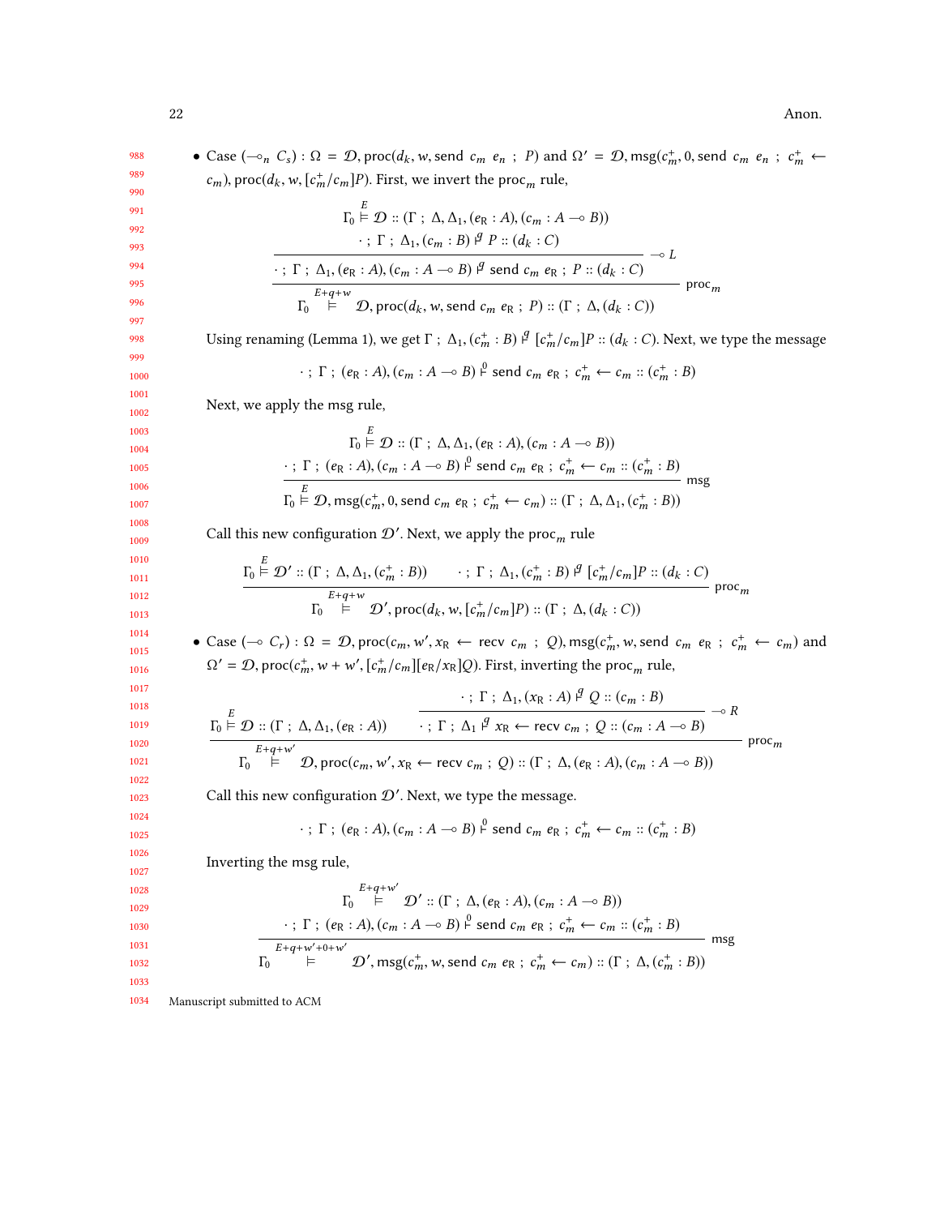988 989 990 991 992 993 994 995 996 997 998 999 1000 1001 1002 1003 1004 1005 1006 1007 1008 1009 1010 1011 1012 1013 1014 1015 1016 1017 1018 1019 1020 1021 1022 1023 1024 1025 1026 1027 1028 1029 1030 1031 1032 1033 1034 • Case  $(-\circ_n C_s) : \Omega = \mathcal{D}$ , proc $(d_k, w, \text{send } c_m \cdot e_n ; P)$  and  $\Omega' = \mathcal{D}$ , msg $(c_m^+, 0, \text{send } c_m \cdot e_n ; c_m^+ \leftarrow$  $(c_m)$ , proc $(d_k, w, [c_m^+/c_m]P)$ . First, we invert the proc<sub>m</sub> rule,  $\overline{10}$  $\stackrel{\sim}{\models} \mathcal{D} :: (\Gamma : \Delta, \Delta_1, (e_R : A), (c_m : A \multimap B))$  $\cdot$ ; Γ; Δ<sub>1</sub>, (c<sub>m</sub> : B) <sup>β</sup> P :: (d<sub>k</sub> : C)  $\cdot$ ;  $\Gamma$ ;  $\Delta_1$ ,  $(e_R : A)$ ,  $(c_m : A \multimap B)$   $\beta$  send  $c_m e_R$ ;  $P :: (d_k : C)$ ⊸ L  $\mathbf{r}_0$  $E+q+w$   $\vdash$   $\mathcal{D}$ , proc(d<sub>k</sub>, w, send c<sub>m</sub> e<sub>R</sub>; P) :: (Γ; Δ, (d<sub>k</sub>: C))  $\operatorname{proc}_m$ Using renaming (Lemma [1\)](#page-8-1), we get  $\Gamma$ ;  $\Delta_1$ ,  $(c_m^+ : B) \not\perp^q [c_m^+/c_m]P :: (d_k : C)$ . Next, we type the message  $\cdot$ ;  $\Gamma$ ;  $(e_R : A)$ ,  $(c_m : A \rightarrow B) \stackrel{\circ}{\vdash}$  send  $c_m e_R$ ;  $c_m^+ \leftarrow c_m :: (c_m^+ : B)$ Next, we apply the msg rule,  $\Gamma_0 \stackrel{\sim}{\models} \mathcal{D} :: (\Gamma : \Delta, \Delta_1, (e_R : A), (c_m : A \multimap B))$  $\cdot$ ;  $\Gamma$ ;  $(e_R : A)$ ,  $(c_m : A \rightarrow B)$   $\stackrel{\circ}{\vdash}$  send  $c_m$   $e_R$ ;  $c_m^+ \leftarrow c_m :: (c_m^+ : B)$  $\Gamma_0 \stackrel{\sim}{\models} \mathcal{D}, \text{msg}(c_m^+, 0, \text{send } c_m \ e_R \ ; \ c_m^+ \leftarrow c_m) :: (\Gamma \ ; \ \Delta, \Delta_1, (c_m^+ : B))$ msg Call this new configuration  $\mathcal{D}'$ . Next, we apply the proc<sub>m</sub> rule  $\Gamma_0 \stackrel{\sim}{\models} \mathcal{D}' :: (\Gamma : \Delta, \Delta_1, (c_m^+ : B)) \longrightarrow : \Gamma : \Delta_1, (c_m^+ : B) \stackrel{\beta}{\models} [c_m^+ / c_m] P :: (d_k : C)$  $\mathbf{r}_0$  $E+q+w$ <br>  $\vdash$   $\mathcal{D}'$ , proc( $d_k$ , w,  $[c_m^+/c_m]P$ ) :: ( $\Gamma$ ;  $\Delta$ ,  $(d_k : C)$ )  $\operatorname{proc}_m$ • Case (→ C<sub>r</sub>) : Ω = *D*, proc(c<sub>m</sub>, w', x<sub>R</sub> ← recv c<sub>m</sub> ; Q), msg(c<sub>m</sub>, w, send c<sub>m</sub> e<sub>R</sub> ; c<sub>m</sub> ← c<sub>m</sub>) and  $\Omega' = \mathcal{D}$ , proc $(c_m^+, w + w', [c_m^+/c_m][e_R/x_R]Q)$ . First, inverting the proc<sub>m</sub> rule,  $\Gamma_0 \stackrel{\sim}{\models} \mathcal{D} :: (\Gamma \, ; \, \Delta, \Delta_1, (e_R : A))$ • ; Γ ; Δ<sub>1</sub>, (x<sub>R</sub> : A) <sup> $q$ </sup> Q :: (c<sub>m</sub> : B)  $\cdot$ ;  $\Gamma$ ;  $\Delta_1$   $\beta$   $x_R \leftarrow$  recv  $c_m$ ;  $Q$  ::  $(c_m : A \rightarrow B)$ ⊸ R  $\frac{1}{10}$  $E+q+w'$ <br>  $\vdash$   $\mathcal{D}$ , proc $(c_m, w', x_R \leftarrow$  recv  $c_m$ ;  $Q)$  ::  $(\Gamma; \Delta, (e_R : A), (c_m : A \rightarrow B))$  $\text{proc}_m$ Call this new configuration  $\mathcal{D}'$ . Next, we type the message.  $\cdot$ ;  $\Gamma$ ;  $(e_R : A)$ ,  $(c_m : A \rightarrow B)$   $\stackrel{\circ}{\vdash}$  send  $c_m e_R$ ;  $c_m^+ \leftarrow c_m :: (c_m^+ : B)$ Inverting the msg rule,  $\mathbf{r}_0$  $E+q+w'$ <br>  $\vdash$   $\mathcal{D}' :: (\Gamma ; \Delta, (e_R : A), (c_m : A \negthinspace \rightarrow B))$  $\cdot$ ;  $\Gamma$ ;  $(e_R : A)$ ,  $(c_m : A \rightarrow B)$   $\stackrel{\circ}{\vdash}$  send  $c_m$   $e_R$ ;  $c_m^+ \leftarrow c_m :: (c_m^+ : B)$  $\mathbf{r}_0$  $E+q+w'+0+w'$ <br>  $\models$   $\mathcal{D}', \text{msg}(c_m^+, w, \text{send } c_m \text{ } e_R \text{ ; } c_m^+ \leftarrow c_m) :: (\Gamma \text{ ; } \Delta, (c_m^+ : B))$ msg Manuscript submitted to ACM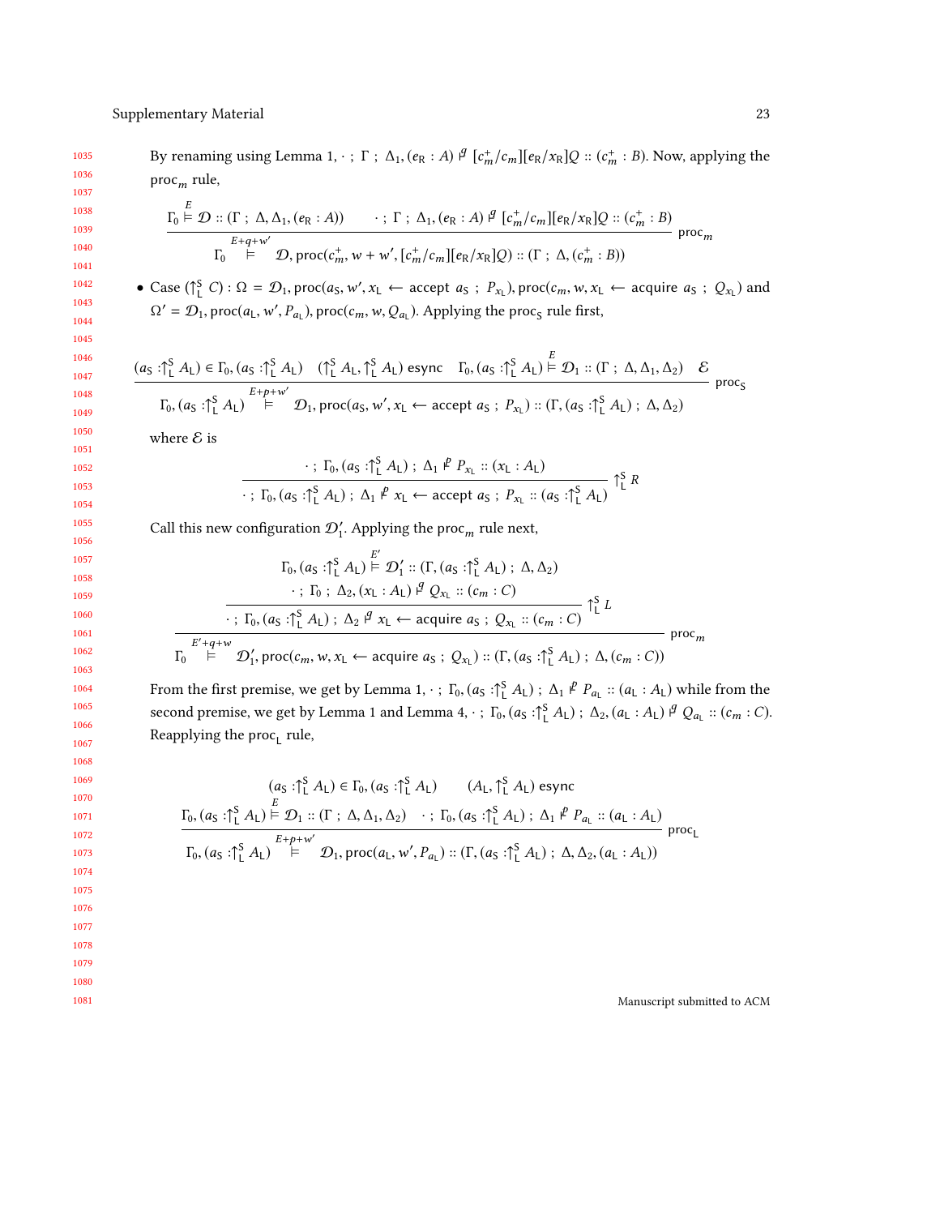By renaming using Lemma [1,](#page-8-1)  $\cdot$ ;  $\Gamma$ ;  $\Delta_1$ ,  $(e_R : A)$   $\beta$   $[c_m^+/c_m][e_R/x_R]Q$  ::  $(c_m^+ : B)$ . Now, applying the  $\text{proc}_m$  rule,

$$
\frac{\Gamma_0 \stackrel{E}{\models} \mathcal{D} :: (\Gamma \, ; \, \Delta, \Delta_1, (e_R : A)) \qquad \cdot \, ; \, \Gamma \, ; \, \Delta_1, (e_R : A) \stackrel{q}{\models} [c_m^+/c_m][e_R/x_R]Q :: (c_m^+ : B)}{\Gamma_0 \stackrel{E+q+w'}{\models} \mathcal{D}, \text{proc}(c_m^+, w+w', [c_m^+/c_m][e_R/x_R]Q) :: (\Gamma \, ; \, \Delta, (c_m^+ : B))} \text{proc}_m
$$

• Case  $({}_{1}^{S}C)$ :  $\Omega = \mathcal{D}_1$ , proc $(a_S, w', x_L \leftarrow \text{accept } a_S ; P_{x_L})$ , proc $(c_m, w, x_L \leftarrow \text{acquire } a_S ; Q_{x_L})$  and  $\Omega' = \mathcal{D}_1$ , proc $(a_L, w')$ ,  $P_{a_L}$ ), proc $(c_m, w, Q_{a_L})$ . Applying the proc<sub>S</sub> rule first,

$$
\frac{(a_S : \uparrow_L^S A_L) \in \Gamma_0, (a_S : \uparrow_L^S A_L) \quad (\uparrow_L^S A_L, \uparrow_L^S A_L) \text{ esync } \Gamma_0, (a_S : \uparrow_L^S A_L) \stackrel{E}{\models} \mathcal{D}_1 :: (\Gamma : \Delta, \Delta_1, \Delta_2) \quad \mathcal{E}_{\Gamma_0, (a_S : \uparrow_L^S A_L)} \quad \text{proc}_S}{\Gamma_0, (a_S : \uparrow_L^S A_L) \stackrel{E+\rho+w'}{\models} \mathcal{D}_1, \text{proc}(a_S, w', x_L \leftarrow accept a_S ; P_{x_L}) :: (\Gamma, (a_S : \uparrow_L^S A_L) ; \Delta, \Delta_2)} \quad \text{proc}_S
$$

where  ${\mathcal E}$  is

 $\overline{\phantom{0}}$ 

$$
\cdot ; T_0, (a_S : \hat{I}_L^S A_L) ; \Delta_1 \stackrel{p}{\longleftarrow} P_{x_L} :: (x_L : A_L)
$$
  

$$
\cdot ; T_0, (a_S : \hat{I}_L^S A_L) ; \Delta_1 \stackrel{p}{\longleftarrow} x_L \leftarrow accept \ a_S ; P_{x_L} :: (a_S : \hat{I}_L^S A_L) \stackrel{S}{\longleftarrow} R
$$

Call this new configuration  $\mathcal{D}'_1$ . Applying the proc<sub>m</sub> rule next,

$$
\Gamma_0, (a_S : \uparrow_L^S A_L) \stackrel{E'}{\models} \mathcal{D}'_1 :: (\Gamma, (a_S : \uparrow_L^S A_L) ; \Delta, \Delta_2)
$$
\n
$$
\cdot ; \Gamma_0 ; \Delta_2, (x_L : A_L) \stackrel{\beta'}{\neq} Q_{x_L} :: (c_m : C)
$$
\n
$$
\cdot ; \Gamma_0, (a_S : \uparrow_L^S A_L) ; \Delta_2 \stackrel{\beta'}{\neq} x_L \leftarrow \text{acquire } a_S ; Q_{x_L} :: (c_m : C) \stackrel{\beta'_L}{\neq} L
$$
\n
$$
\Gamma_0 \stackrel{E'+q+w}{\models} \mathcal{D}'_1, \text{proc}(c_m, w, x_L \leftarrow \text{acquire } a_S ; Q_{x_L}) :: (\Gamma, (a_S : \uparrow_L^S A_L) ; \Delta, (c_m : C))
$$

From the first premise, we get by Lemma [1,](#page-8-1)  $\cdot$ ;  $\Gamma_0$ ,  $(a_S : \uparrow_S^S A_L)$ ;  $\Delta_1 \not\models P_{a_L} :: (a_L : A_L)$  while from the second premise, we get by Lemma [1](#page-8-1) and Lemma [4,](#page-13-0)  $\cdot$ ;  $\Gamma_0$ ,  $(a_S : \uparrow_L^S A_L)$ ;  $\Delta_2$ ,  $(a_L : A_L) \not\perp^q Q_{a_L} :: (c_m : C)$ . Reapplying the proc<sub>L</sub> rule,

$$
(a_{\mathsf{S}} : \uparrow_{\mathsf{L}}^{\mathsf{S}} A_{\mathsf{L}}) \in \Gamma_{0}, (a_{\mathsf{S}} : \uparrow_{\mathsf{L}}^{\mathsf{S}} A_{\mathsf{L}}) \qquad (A_{\mathsf{L}}, \uparrow_{\mathsf{L}}^{\mathsf{S}} A_{\mathsf{L}}) \text{ esync}
$$
\n
$$
\frac{\Gamma_{0}, (a_{\mathsf{S}} : \uparrow_{\mathsf{L}}^{\mathsf{S}} A_{\mathsf{L}}) \vDash \mathcal{D}_{1} :: (\Gamma \ ; \ \Delta, \Delta_{1}, \Delta_{2}) \quad \cdot \ ; \ \Gamma_{0}, (a_{\mathsf{S}} : \uparrow_{\mathsf{L}}^{\mathsf{S}} A_{\mathsf{L}}) \ ; \ \Delta_{1} \not\vdash P_{a_{\mathsf{L}}} :: (a_{\mathsf{L}} : A_{\mathsf{L}})}{\Gamma_{0}, (a_{\mathsf{S}} : \uparrow_{\mathsf{L}}^{\mathsf{S}} A_{\mathsf{L}}) \vDash \mathcal{D}_{1}, \text{proc}(a_{\mathsf{L}}, w', P_{a_{\mathsf{L}}}) :: (\Gamma, (a_{\mathsf{S}} : \uparrow_{\mathsf{L}}^{\mathsf{S}} A_{\mathsf{L}}) \ ; \ \Delta, \Delta_{2}, (a_{\mathsf{L}} : A_{\mathsf{L}}))}
$$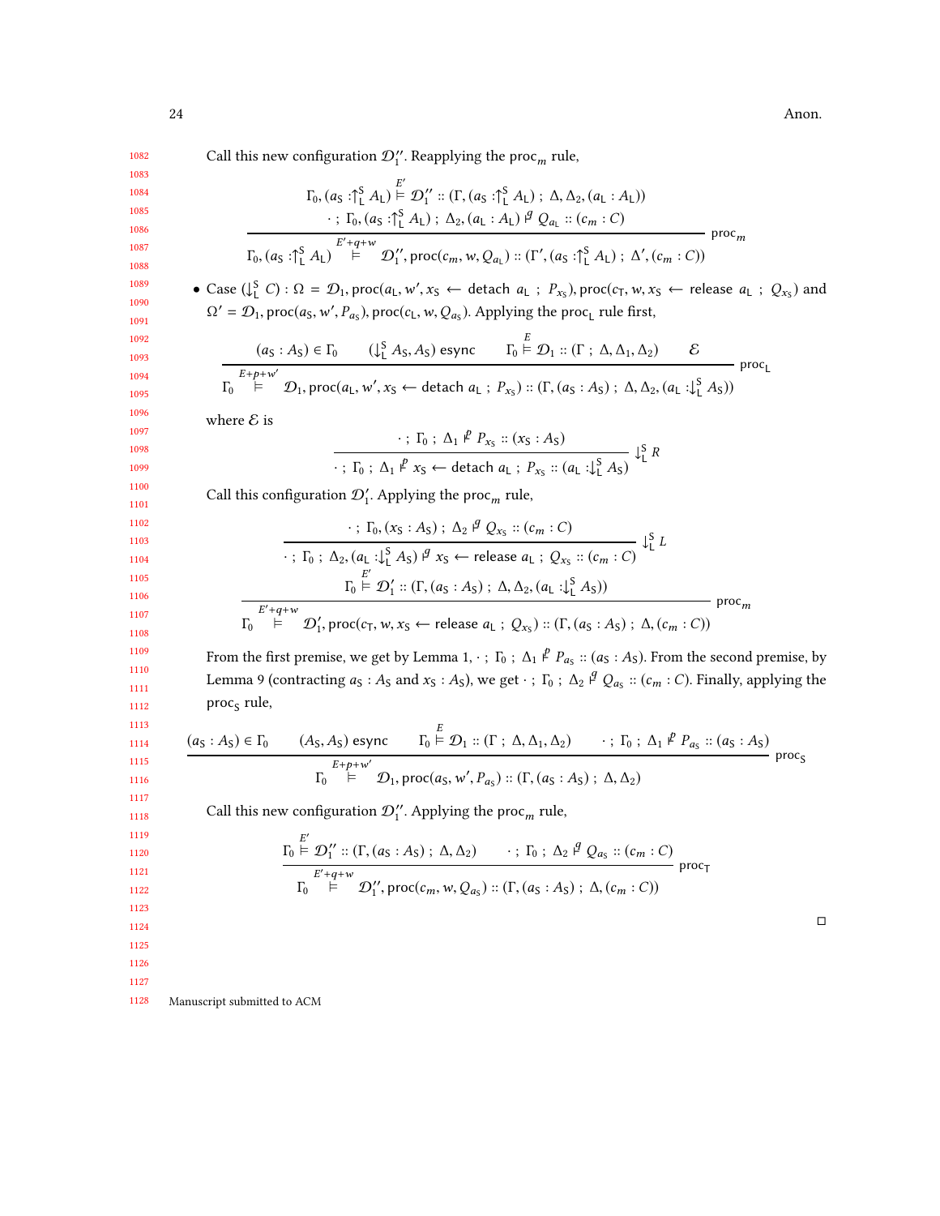Call this new configuration  $\mathcal{D}''_1$ . Reapplying the proc<sub>m</sub> rule,

$$
\begin{array}{c} 1083 \\ 1084 \end{array}
$$

1082

1085 1086 1087

$$
\cdot \, ; T_0, (a_S : \uparrow_L^S A_L) ; \, \Delta_2, (a_L : A_L) \stackrel{\beta}{\downarrow} Q_{a_L} :: (c_m : C)
$$
\n
$$
\frac{E' + q + w}{\downarrow_{0}, (a_S : \uparrow_L^S A_L)} \stackrel{E' + q + w}{\uparrow_{1}, \, \text{proc}(c_m, w, Q_{a_L})} :: (\Gamma', (a_S : \uparrow_L^S A_L) ; \, \Delta', (c_m : C))
$$
\n
$$
\text{proc}_m
$$

 $Γ_0$ , (a<sub>S</sub> : ↑ Δ<sub>L</sub> |  $\vdash$   $\vdash$   $\Delta_1$ ' :: (Γ, (a<sub>S</sub> : ↑ Δ<sub>L</sub> | ; Δ, Δ<sub>2</sub>, (a<sub>L</sub> : A<sub>L</sub>)))

• Case  $( \bigcup_{i=1}^{s} C) : \Omega = \mathcal{D}_1$ , proc $(a_L, w', x_S \leftarrow \text{delta } a_L ; P_{x_S})$ , proc $(c_T, w, x_S \leftarrow \text{release } a_L ; Q_{x_S})$  and  $\Omega' = \mathcal{D}_1$ , proc $(a_S, w')$ ,  $P_{a_S}$ ), proc( $c_L$ , w,  $Q_{a_S}$ ). Applying the proc<sub>L</sub> rule first,

$$
\frac{(a_S: A_S) \in \Gamma_0 \qquad (\downarrow^S_L A_S, A_S) \text{ esync}}{\Gamma_0 \qquad \qquad \vdots \qquad \qquad \Gamma_0 \qquad \qquad \vdots \qquad \qquad \Gamma_1 \qquad \qquad \vdots \qquad \qquad \Gamma_2 \qquad \qquad \vdots \qquad \qquad \qquad \Gamma_3 \qquad \qquad \ldots \qquad \qquad \Gamma_4 \qquad \qquad \vdots \qquad \qquad \Gamma_5 \qquad \qquad \vdots \qquad \qquad \Gamma_6 \qquad \qquad \vdots \qquad \qquad \Gamma_7 \qquad \qquad \vdots \qquad \qquad \Gamma_7 \qquad \qquad \vdots \qquad \qquad \Gamma_8 \qquad \qquad \vdots \qquad \qquad \Gamma_9 \qquad \qquad \vdots \qquad \qquad \Gamma_9 \qquad \qquad \vdots \qquad \qquad \Gamma_9 \qquad \qquad \vdots \qquad \qquad \Gamma_9 \qquad \qquad \vdots \qquad \qquad \Gamma_1 \qquad \qquad \vdots \qquad \qquad \vdots \qquad \qquad \Gamma_1 \qquad \qquad \vdots \qquad \qquad \vdots \qquad \qquad \Gamma_1 \qquad \qquad \vdots \qquad \qquad \vdots \qquad \qquad \vdots \qquad \qquad \vdots \qquad \qquad \vdots \qquad \qquad \vdots \qquad \qquad \vdots \qquad \qquad \vdots \qquad \qquad \vdots \qquad \qquad \vdots \qquad \qquad \vdots \qquad \qquad \vdots \qquad \qquad \vdots \qquad \qquad \vdots \qquad \qquad \vdots \qquad \qquad \vdots \qquad \qquad \vdots \qquad \qquad \vdots \qquad \qquad \vdots \qquad \qquad \vdots \qquad \qquad \vdots \qquad \qquad \vdots \qquad \qquad \vdots \qquad \qquad \vdots \qquad \qquad \vdots \qquad \qquad \vdots \qquad \qquad \vdots \qquad \qquad \vdots \qquad \qquad \vdots \qquad \qquad \vdots \qquad \qquad \vdots \qquad \qquad \vdots \qquad \qquad \vdots \qquad \qquad \vdots \qquad \qquad \vdots \qquad \qquad \vdots \qquad \qquad \vdots \qquad \qquad \vdots \qquad \qquad \vdots \qquad \qquad \vdots \qquad \qquad \vdots \qquad \qquad \
$$

where  $\mathcal E$  is

$$
\cdot; \Gamma_0; \Delta_1 \not\stackrel{P}{\longrightarrow} P_{x_S} :: (x_S : A_S)
$$
  

$$
\cdot; \Gamma_0; \Delta_1 \not\stackrel{P}{\longrightarrow} x_S \leftarrow \text{detach } a_L; \ P_{x_S} :: (a_L : \downarrow^S_L A_S) \downarrow^S_L R
$$

Call this configuration  $\mathcal{D}'_1$ . Applying the proc<sub>m</sub> rule,

· ; <sup>Γ</sup>0, (x<sup>S</sup> : <sup>A</sup>S) ; <sup>∆</sup><sup>2</sup> <sup>⊢</sup> <sup>q</sup> <sup>Q</sup>x<sup>S</sup> :: (cm : <sup>C</sup>) · ; <sup>Γ</sup><sup>0</sup> ; <sup>∆</sup>2, (a<sup>L</sup> :<sup>↓</sup> S <sup>L</sup> <sup>A</sup>S) ⊢<sup>q</sup> <sup>x</sup><sup>S</sup> <sup>←</sup> release <sup>a</sup><sup>L</sup> ; <sup>Q</sup>x<sup>S</sup> :: (cm : <sup>C</sup>) ↓ S L Γ0 E ′ ⊨ D′ 1 :: (Γ, (a<sup>S</sup> : <sup>A</sup>S) ; <sup>∆</sup>, <sup>∆</sup>2, (a<sup>L</sup> :<sup>↓</sup> S <sup>L</sup> <sup>A</sup>S)) Γ0 ′+q+w ⊨ D′ 1 , proc(cT,w, <sup>x</sup><sup>S</sup> <sup>←</sup> release <sup>a</sup><sup>L</sup> ; <sup>Q</sup>x<sup>S</sup> ) :: (Γ, (a<sup>S</sup> : <sup>A</sup>S) ; <sup>∆</sup>, (cm : <sup>C</sup>)) proc

From the first premise, we get by Lemma [1,](#page-8-1)  $\cdot$ ;  $\Gamma_0$ ;  $\Delta_1 \not\perp P_{a_S}$  :: ( $a_S$ :  $A_S$ ). From the second premise, by Lemma [9](#page-14-0) (contracting  $a_S : A_S$  and  $x_S : A_S$ ), we get  $\cdot$ ;  $\Gamma_0$ ;  $\Delta_2$   $\beta$   $Q_{a_S} :: (c_m : C)$ . Finally, applying the proc<sub>S</sub> rule,

$$
\frac{(a_{\text{S}}:A_{\text{S}}) \in \Gamma_{0} \qquad (A_{\text{S}},A_{\text{S}}) \text{ esync}}{\Gamma_{0} \overset{E_{+p+w'}}{\models} \mathcal{D}_{1}::(\Gamma \ ; \ \Delta,\Delta_{1},\Delta_{2}) \qquad \cdot \ ; \ \Gamma_{0} \ ; \ \Delta_{1} \overset{P}{\rightarrow} P_{a_{\text{S}}}::(a_{\text{S}}:A_{\text{S}})}{\Gamma_{0} \ \overset{E_{+p+w'}}{\models} \mathcal{D}_{1}, \text{proc}(a_{\text{S}},w',P_{a_{\text{S}}})::(\Gamma,(a_{\text{S}}:A_{\text{S}}) \ ; \ \Delta,\Delta_{2})}
$$
proc<sub>S</sub>

Call this new configuration  $\mathcal{D}''_1$ . Applying the proc<sub>m</sub> rule,

$$
\frac{\Gamma_0 \overset{E'}{\models} \mathcal{D}'_1 :: (\Gamma, (a_S : A_S) ; \Delta, \Delta_2) \cdots ; \Gamma_0 ; \Delta_2 \overset{\beta}{\neq} Q_{a_S} :: (c_m : C)}{\Gamma_0 \overset{E'+q+w}{\models}} \mathcal{D}''_1, \text{proc}(c_m, w, Q_{a_S}) :: (\Gamma, (a_S : A_S) ; \Delta, (c_m : C))
$$

 $\Box$ 

1124 1125

1126

1127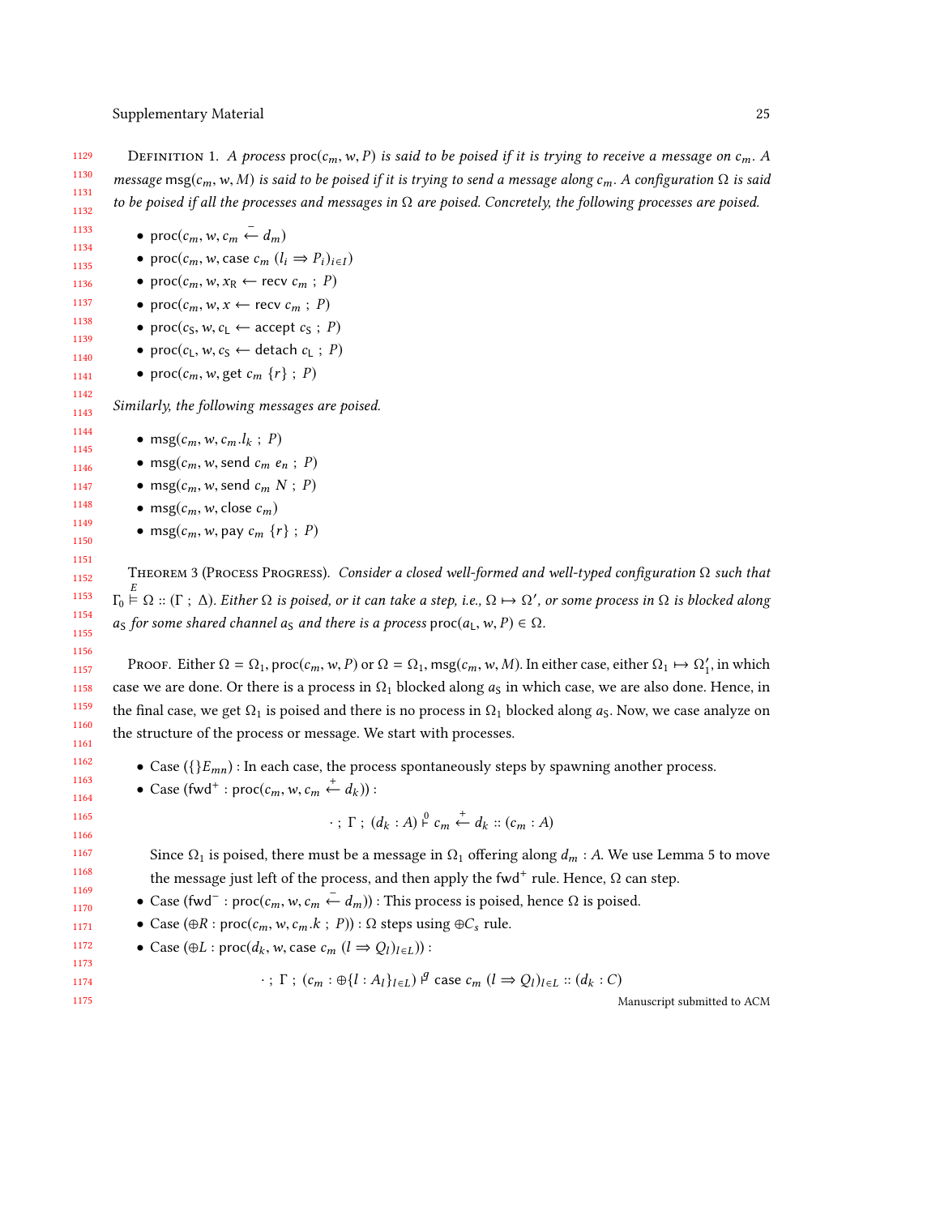1129 1130 1131 1132 DEFINITION 1. A process proc $(c_m, w, P)$  is said to be poised if it is trying to receive a message on  $c_m$ . A message msg(c<sub>m</sub>, w, M) is said to be poised if it is trying to send a message along c<sub>m</sub>. A configuration  $\Omega$  is said to be poised if all the processes and messages in  $\Omega$  are poised. Concretely, the following processes are poised.

• proc $(c_m, w, c_m \stackrel{-}{\leftarrow} d_m)$ 

- proc $(c_m, w, \text{case } c_m (l_i \Rightarrow P_i)_{i \in I})$
- proc $(c_m, w, x_R \leftarrow$  recv  $c_m$ ; P)
- proc $(c_m, w, x \leftarrow$  recv  $c_m$ ; P)
	- proc( $c_S, w, c_L \leftarrow$  accept  $c_S$ ; P)
	- proc $(c_1, w, c_5 \leftarrow$  detach  $c_1$ ; P)
	- proc $(c_m, w, \text{get } c_m \{r\} ; P)$

Similarly, the following messages are poised.

- msg $(c_m, w, c_m, l_k ; P)$
- msg $(c_m, w, \text{send } c_m \ e_n ; P)$
- msg $(c_m, w, \text{send } c_m \mid N ; P)$
- msg $(c_m, w, \text{close } c_m)$
- msg $(c_m, w,$  pay  $c_m \{r\}$ ; P)

THEOREM 3 (PROCESS PROGRESS). Consider a closed well-formed and well-typed configuration  $\Omega$  such that  $\Gamma_0 \stackrel{\sim}{\models} \Omega :: (\Gamma : \Delta)$ . Either  $\Omega$  is poised, or it can take a step, i.e.,  $\Omega \mapsto \Omega'$ , or some process in  $\Omega$  is blocked along  $a_S$  for some shared channel  $a_S$  and there is a process proc( $a_L$ , w, P)  $\in \Omega$ .

Proof. Either  $\Omega = \Omega_1$ , proc $(c_m, w, P)$  or  $\Omega = \Omega_1$ , msg $(c_m, w, M)$ . In either case, either  $\Omega_1 \mapsto \Omega'_1$ , in which case we are done. Or there is a process in  $\Omega_1$  blocked along  $a_S$  in which case, we are also done. Hence, in the final case, we get  $\Omega_1$  is poised and there is no process in  $\Omega_1$  blocked along  $a_S$ . Now, we case analyze on the structure of the process or message. We start with processes.

- Case ( $\{E_{mn}\}$ : In each case, the process spontaneously steps by spawning another process.
- Case (fwd<sup>+</sup>:  $\text{proc}(c_m, w, c_m \stackrel{+}{\leftarrow} d_k))$ :

$$
\cdot \; ; \; \Gamma \; ; \; (d_k : A) \stackrel{0}{\vdash} c_m \stackrel{+}{\leftarrow} d_k :: (c_m : A)
$$

Since  $\Omega_1$  is poised, there must be a message in  $\Omega_1$  offering along  $d_m : A$ . We use Lemma [5](#page-13-1) to move the message just left of the process, and then apply the fwd<sup>+</sup> rule. Hence,  $\Omega$  can step.

• Case (fwd<sup>-</sup> : proc(c<sub>m</sub>, w, c<sub>m</sub> ← d<sub>m</sub>)) : This process is poised, hence Ω is poised.

- Case  $(\oplus R : \text{proc}(c_m, w, c_m, k ; P)) : \Omega$  steps using  $\oplus C_s$  rule.
- Case  $(\oplus L : \text{proc}(d_k, w, \text{case } c_m (l \Rightarrow Q_l)_{l \in L}))$ :

: 
$$
\Gamma
$$
;  $(c_m : \bigoplus \{l : A_l\}_{l \in L})$   $\bigoplus$  case  $c_m$   $(l \Rightarrow Q_l)_{l \in L} :: (d_k : C)$